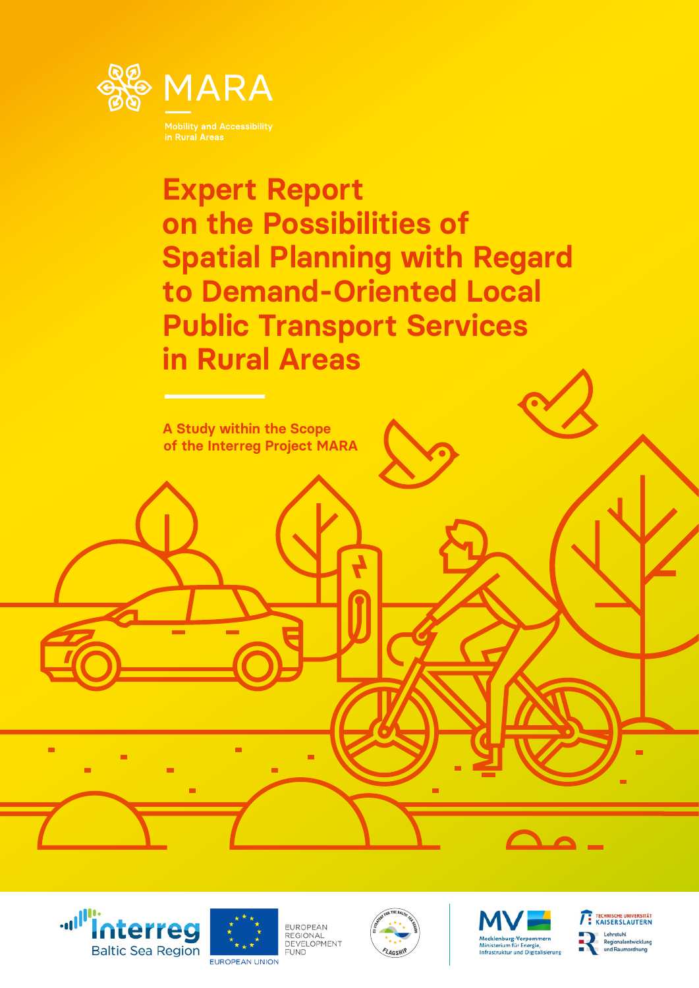

**Expert Report on the Possibilities of Spatial Planning with Regard to Demand-Oriented Local Public Transport Services in Rural Areas**







EUROPEAN EUROPEAN<br>REGIONAL<br>DEVELOPMENT **FUND** 





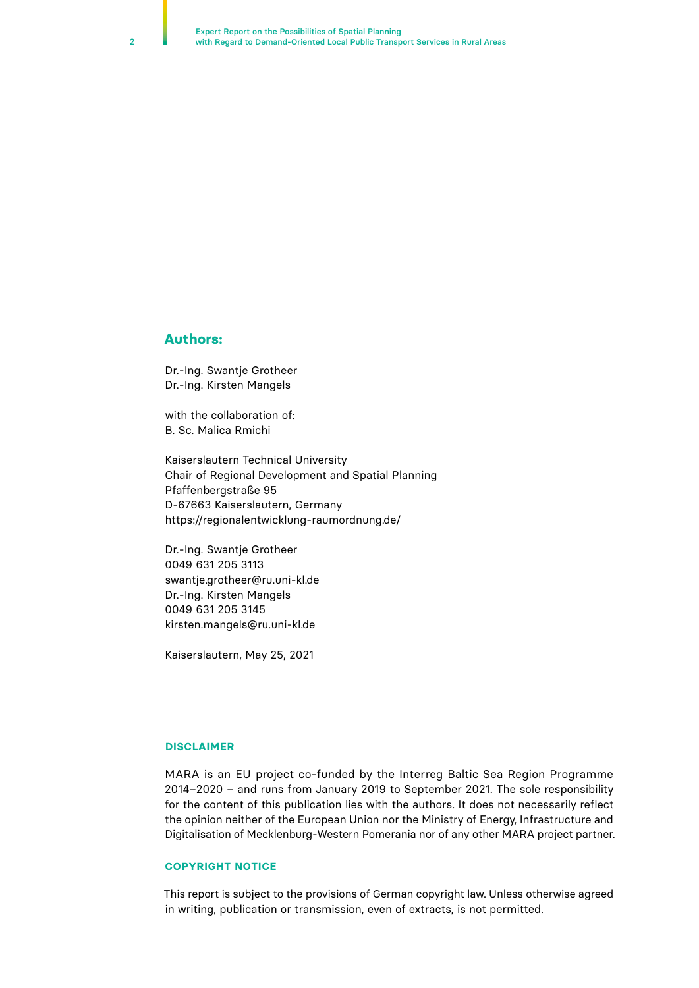#### **Authors:**

Dr.-Ing. Swantje Grotheer Dr.-Ing. Kirsten Mangels

with the collaboration of: B. Sc. Malica Rmichi

Kaiserslautern Technical University Chair of Regional Development and Spatial Planning Pfaffenbergstraße 95 D-67663 Kaiserslautern, Germany https://regionalentwicklung-raumordnung.de/

Dr.-Ing. Swantje Grotheer 0049 631 205 3113 swantje.grotheer@ru.uni-kl.de Dr.-Ing. Kirsten Mangels 0049 631 205 3145 kirsten.mangels@ru.uni-kl.de

Kaiserslautern, May 25, 2021

#### **DISCLAIMER**

MARA is an EU project co-funded by the Interreg Baltic Sea Region Programme 2014–2020 – and runs from January 2019 to September 2021. The sole responsibility for the content of this publication lies with the authors. It does not necessarily reflect the opinion neither of the European Union nor the Ministry of Energy, Infrastructure and Digitalisation of Mecklenburg-Western Pomerania nor of any other MARA project partner.

#### **COPYRIGHT NOTICE**

This report is subject to the provisions of German copyright law. Unless otherwise agreed in writing, publication or transmission, even of extracts, is not permitted.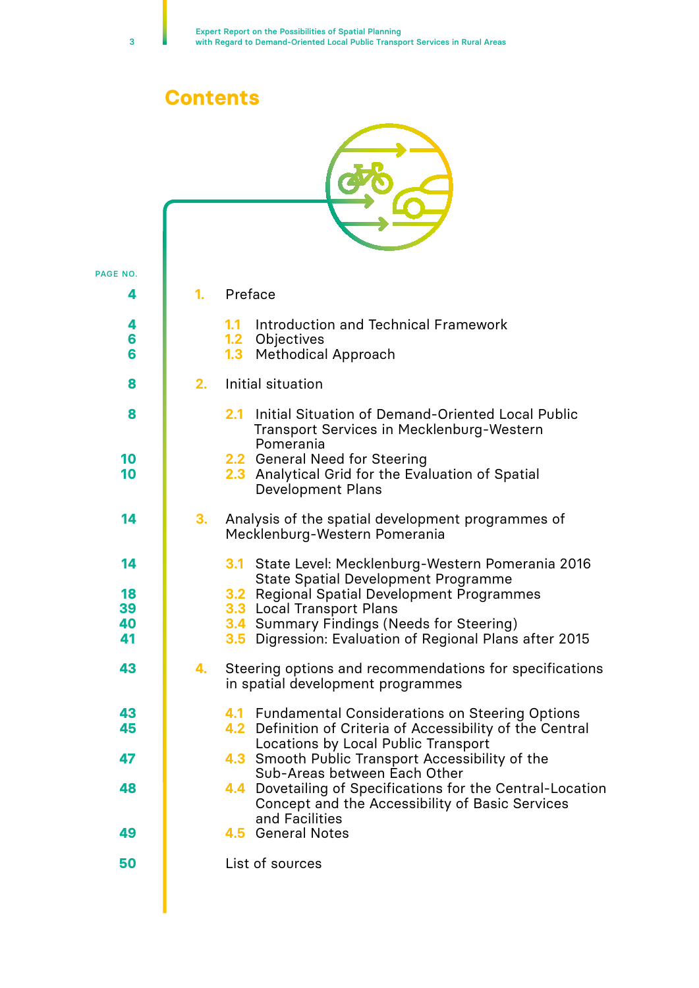# **Contents**

| PAGE NO.    |    |                                                                                                                                                         |
|-------------|----|---------------------------------------------------------------------------------------------------------------------------------------------------------|
| 4           | 1. | Preface                                                                                                                                                 |
| 4<br>6<br>6 |    | <b>Introduction and Technical Framework</b><br>1.1<br>1.2 Objectives<br><b>Methodical Approach</b><br>1.3                                               |
| 8           | 2. | Initial situation                                                                                                                                       |
| 8           |    | Initial Situation of Demand-Oriented Local Public<br>2.1<br><b>Transport Services in Mecklenburg-Western</b><br>Pomerania                               |
| 10<br>10    |    | 2.2 General Need for Steering<br>2.3 Analytical Grid for the Evaluation of Spatial<br><b>Development Plans</b>                                          |
| 14          | 3. | Analysis of the spatial development programmes of<br>Mecklenburg-Western Pomerania                                                                      |
| 14          |    | State Level: Mecklenburg-Western Pomerania 2016<br>3.1<br><b>State Spatial Development Programme</b>                                                    |
| 18<br>39    |    | <b>3.2</b> Regional Spatial Development Programmes<br>3.3 Local Transport Plans                                                                         |
| 40<br>41    |    | <b>3.4</b> Summary Findings (Needs for Steering)<br>Digression: Evaluation of Regional Plans after 2015<br>3.5                                          |
| 43          | 4. | Steering options and recommendations for specifications<br>in spatial development programmes                                                            |
| 43<br>45    |    | 4.1 Fundamental Considerations on Steering Options<br>4.2 Definition of Criteria of Accessibility of the Central<br>Locations by Local Public Transport |
| 47          |    | 4.3 Smooth Public Transport Accessibility of the<br>Sub-Areas between Each Other                                                                        |
| 48          |    | 4.4 Dovetailing of Specifications for the Central-Location<br>Concept and the Accessibility of Basic Services<br>and Facilities                         |
| 49          |    | 4.5 General Notes                                                                                                                                       |
| 50          |    | List of sources                                                                                                                                         |
|             |    |                                                                                                                                                         |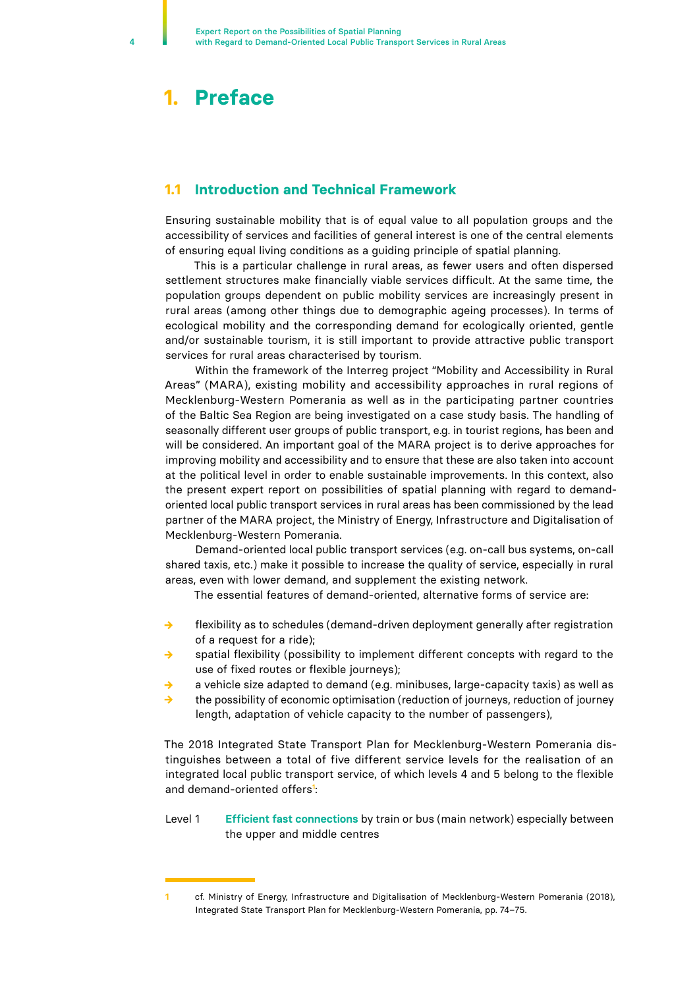## <span id="page-3-0"></span>**1. Preface**

## **1.1 Introduction and Technical Framework**

Ensuring sustainable mobility that is of equal value to all population groups and the accessibility of services and facilities of general interest is one of the central elements of ensuring equal living conditions as a guiding principle of spatial planning.

This is a particular challenge in rural areas, as fewer users and often dispersed settlement structures make financially viable services difficult. At the same time, the population groups dependent on public mobility services are increasingly present in rural areas (among other things due to demographic ageing processes). In terms of ecological mobility and the corresponding demand for ecologically oriented, gentle and/or sustainable tourism, it is still important to provide attractive public transport services for rural areas characterised by tourism.

Within the framework of the Interreg project "Mobility and Accessibility in Rural Areas" (MARA), existing mobility and accessibility approaches in rural regions of Mecklenburg-Western Pomerania as well as in the participating partner countries of the Baltic Sea Region are being investigated on a case study basis. The handling of seasonally different user groups of public transport, e.g. in tourist regions, has been and will be considered. An important goal of the MARA project is to derive approaches for improving mobility and accessibility and to ensure that these are also taken into account at the political level in order to enable sustainable improvements. In this context, also the present expert report on possibilities of spatial planning with regard to demandoriented local public transport services in rural areas has been commissioned by the lead partner of the MARA project, the Ministry of Energy, Infrastructure and Digitalisation of Mecklenburg-Western Pomerania.

Demand-oriented local public transport services (e.g. on-call bus systems, on-call shared taxis, etc.) make it possible to increase the quality of service, especially in rural areas, even with lower demand, and supplement the existing network.

The essential features of demand-oriented, alternative forms of service are:

- flexibility as to schedules (demand-driven deployment generally after registration of a request for a ride);
- **→** spatial flexibility (possibility to implement different concepts with regard to the use of fixed routes or flexible journeys);
- **→** a vehicle size adapted to demand (e.g. minibuses, large-capacity taxis) as well as
- **→** the possibility of economic optimisation (reduction of journeys, reduction of journey length, adaptation of vehicle capacity to the number of passengers),

The 2018 Integrated State Transport Plan for Mecklenburg-Western Pomerania distinguishes between a total of five different service levels for the realisation of an integrated local public transport service, of which levels 4 and 5 belong to the flexible and demand-oriented offers**<sup>1</sup>** :

#### Level 1 **Efficient fast connections** by train or bus (main network) especially between the upper and middle centres

**<sup>1</sup>** cf. Ministry of Energy, Infrastructure and Digitalisation of Mecklenburg-Western Pomerania (2018), Integrated State Transport Plan for Mecklenburg-Western Pomerania, pp. 74–75.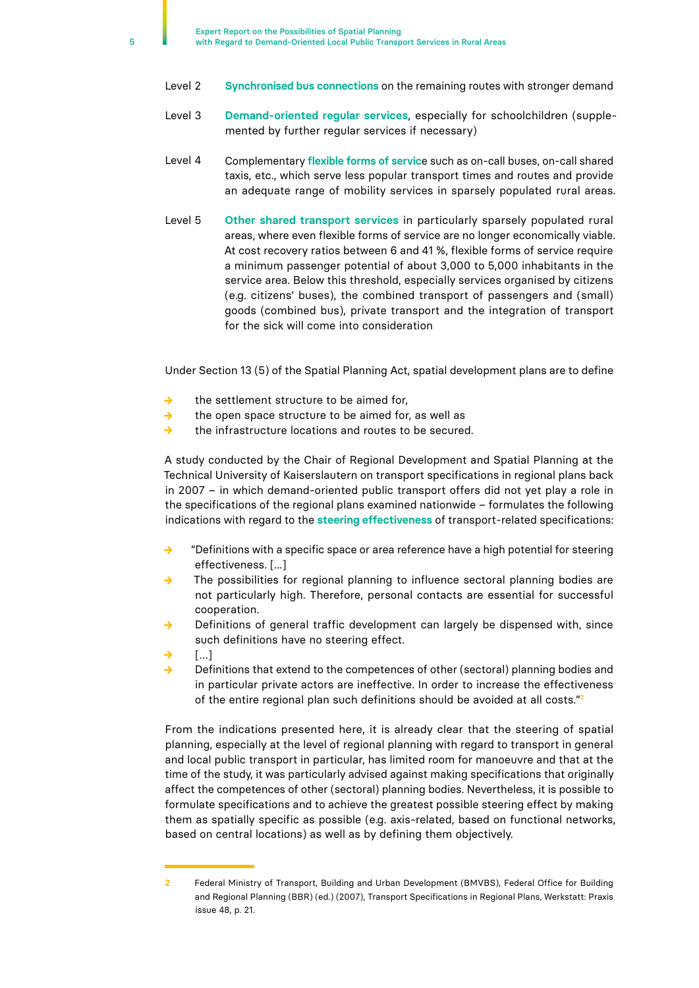- Level 2 **Synchronised bus connections** on the remaining routes with stronger demand
- Level 3 **Demand-oriented regular services**, especially for schoolchildren (supplemented by further regular services if necessary)
- Level 4 Complementary **flexible forms of servic**e such as on-call buses, on-call shared taxis, etc., which serve less popular transport times and routes and provide an adequate range of mobility services in sparsely populated rural areas.
- Level 5 **Other shared transport services** in particularly sparsely populated rural areas, where even flexible forms of service are no longer economically viable. At cost recovery ratios between 6 and 41 %, flexible forms of service require a minimum passenger potential of about 3,000 to 5,000 inhabitants in the service area. Below this threshold, especially services organised by citizens (e.g. citizens' buses), the combined transport of passengers and (small) goods (combined bus), private transport and the integration of transport for the sick will come into consideration

Under Section 13 (5) of the Spatial Planning Act, spatial development plans are to define

- **→** the settlement structure to be aimed for,
- **→** the open space structure to be aimed for, as well as
- **→** the infrastructure locations and routes to be secured.

A study conducted by the Chair of Regional Development and Spatial Planning at the Technical University of Kaiserslautern on transport specifications in regional plans back in 2007 – in which demand-oriented public transport offers did not yet play a role in the specifications of the regional plans examined nationwide – formulates the following indications with regard to the **steering effectiveness** of transport-related specifications:

- **→** "Definitions with a specific space or area reference have a high potential for steering effectiveness. [...]
- **→** The possibilities for regional planning to influence sectoral planning bodies are not particularly high. Therefore, personal contacts are essential for successful cooperation.
- Definitions of general traffic development can largely be dispensed with, since such definitions have no steering effect.
- **→** […]
- **→** Definitions that extend to the competences of other (sectoral) planning bodies and in particular private actors are ineffective. In order to increase the effectiveness of the entire regional plan such definitions should be avoided at all costs."**<sup>2</sup>**

From the indications presented here, it is already clear that the steering of spatial planning, especially at the level of regional planning with regard to transport in general and local public transport in particular, has limited room for manoeuvre and that at the time of the study, it was particularly advised against making specifications that originally affect the competences of other (sectoral) planning bodies. Nevertheless, it is possible to formulate specifications and to achieve the greatest possible steering effect by making them as spatially specific as possible (e.g. axis-related, based on functional networks, based on central locations) as well as by defining them objectively.

**<sup>2</sup>** Federal Ministry of Transport, Building and Urban Development (BMVBS), Federal Office for Building and Regional Planning (BBR) (ed.) (2007), Transport Specifications in Regional Plans, Werkstatt: Praxis issue 48, p. 21.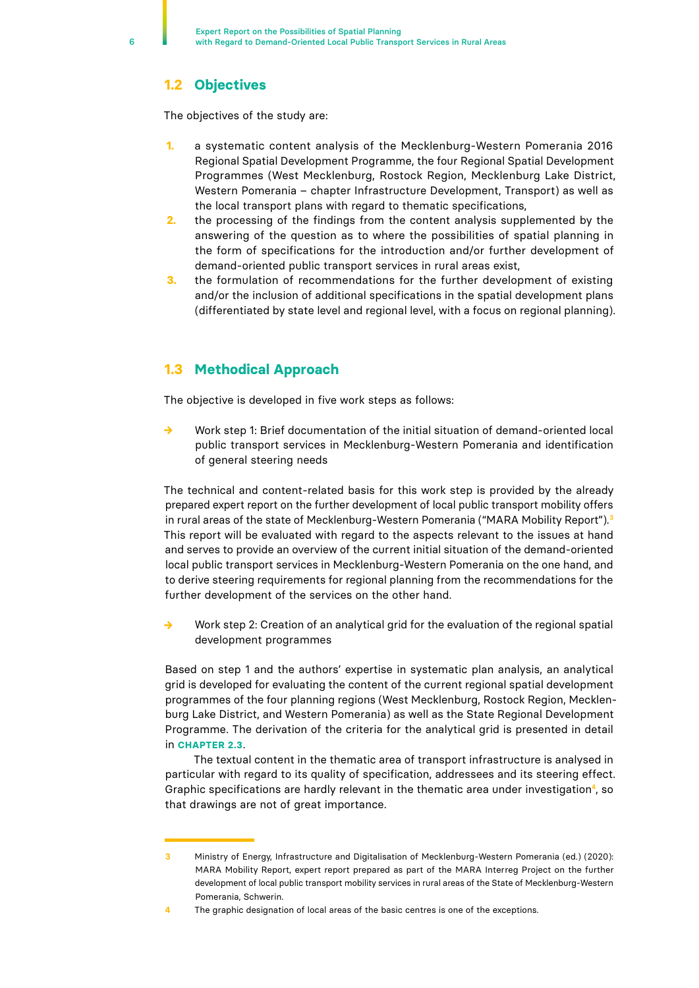## <span id="page-5-0"></span>**1.2 Objectives**

The objectives of the study are:

- **1.** a systematic content analysis of the Mecklenburg-Western Pomerania 2016 Regional Spatial Development Programme, the four Regional Spatial Development Programmes (West Mecklenburg, Rostock Region, Mecklenburg Lake District, Western Pomerania – chapter Infrastructure Development, Transport) as well as the local transport plans with regard to thematic specifications,
- **2.** the processing of the findings from the content analysis supplemented by the answering of the question as to where the possibilities of spatial planning in the form of specifications for the introduction and/or further development of demand-oriented public transport services in rural areas exist,
- **3.** the formulation of recommendations for the further development of existing and/or the inclusion of additional specifications in the spatial development plans (differentiated by state level and regional level, with a focus on regional planning).

## **1.3 Methodical Approach**

The objective is developed in five work steps as follows:

**→** Work step 1: Brief documentation of the initial situation of demand-oriented local public transport services in Mecklenburg-Western Pomerania and identification of general steering needs

The technical and content-related basis for this work step is provided by the already prepared expert report on the further development of local public transport mobility offers in rural areas of the state of Mecklenburg-Western Pomerania ("MARA Mobility Report").**<sup>3</sup>** This report will be evaluated with regard to the aspects relevant to the issues at hand and serves to provide an overview of the current initial situation of the demand-oriented local public transport services in Mecklenburg-Western Pomerania on the one hand, and to derive steering requirements for regional planning from the recommendations for the further development of the services on the other hand.

**→** Work step 2: Creation of an analytical grid for the evaluation of the regional spatial development programmes

Based on step 1 and the authors' expertise in systematic plan analysis, an analytical grid is developed for evaluating the content of the current regional spatial development programmes of the four planning regions (West Mecklenburg, Rostock Region, Mecklenburg Lake District, and Western Pomerania) as well as the State Regional Development Programme. The derivation of the criteria for the analytical grid is presented in detail in **CHAPTER 2.3**.

The textual content in the thematic area of transport infrastructure is analysed in particular with regard to its quality of specification, addressees and its steering effect. Graphic specifications are hardly relevant in the thematic area under investigation**4**, so that drawings are not of great importance.

**<sup>3</sup>** Ministry of Energy, Infrastructure and Digitalisation of Mecklenburg-Western Pomerania (ed.) (2020): MARA Mobility Report, expert report prepared as part of the MARA Interreg Project on the further development of local public transport mobility services in rural areas of the State of Mecklenburg-Western Pomerania, Schwerin.

**<sup>4</sup>** The graphic designation of local areas of the basic centres is one of the exceptions.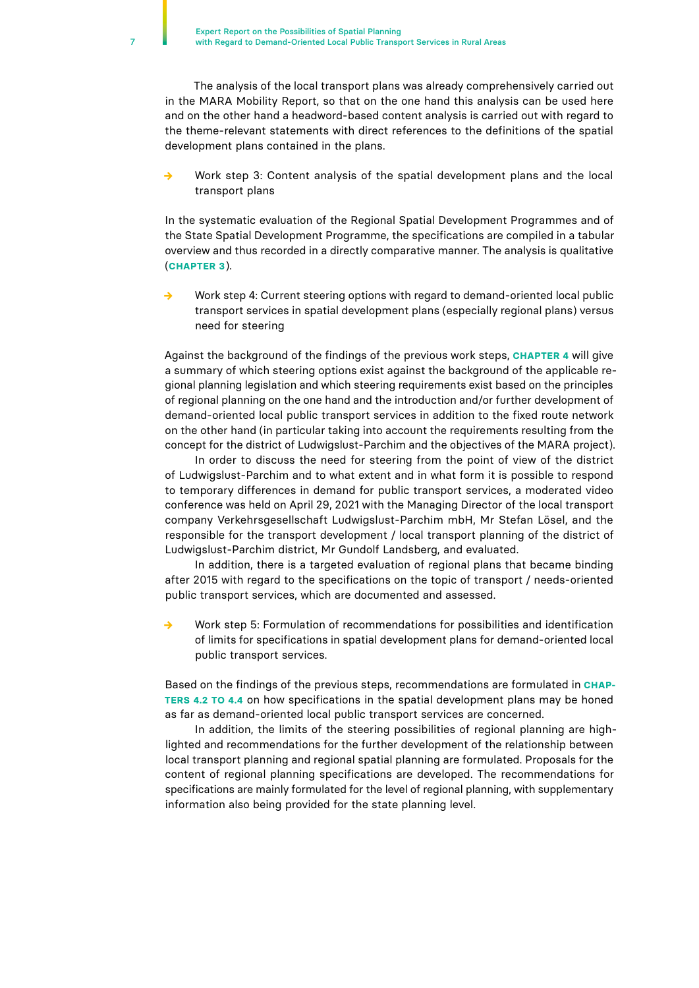The analysis of the local transport plans was already comprehensively carried out in the MARA Mobility Report, so that on the one hand this analysis can be used here and on the other hand a headword-based content analysis is carried out with regard to the theme-relevant statements with direct references to the definitions of the spatial development plans contained in the plans.

Work step 3: Content analysis of the spatial development plans and the local transport plans

In the systematic evaluation of the Regional Spatial Development Programmes and of the State Spatial Development Programme, the specifications are compiled in a tabular overview and thus recorded in a directly comparative manner. The analysis is qualitative (**CHAPTER 3**).

Work step 4: Current steering options with regard to demand-oriented local public transport services in spatial development plans (especially regional plans) versus need for steering

Against the background of the findings of the previous work steps, **CHAPTER 4** will give a summary of which steering options exist against the background of the applicable regional planning legislation and which steering requirements exist based on the principles of regional planning on the one hand and the introduction and/or further development of demand-oriented local public transport services in addition to the fixed route network on the other hand (in particular taking into account the requirements resulting from the concept for the district of Ludwigslust-Parchim and the objectives of the MARA project).

In order to discuss the need for steering from the point of view of the district of Ludwigslust-Parchim and to what extent and in what form it is possible to respond to temporary differences in demand for public transport services, a moderated video conference was held on April 29, 2021 with the Managing Director of the local transport company Verkehrsgesellschaft Ludwigslust-Parchim mbH, Mr Stefan Lösel, and the responsible for the transport development / local transport planning of the district of Ludwigslust-Parchim district, Mr Gundolf Landsberg, and evaluated.

In addition, there is a targeted evaluation of regional plans that became binding after 2015 with regard to the specifications on the topic of transport / needs-oriented public transport services, which are documented and assessed.

**→** Work step 5: Formulation of recommendations for possibilities and identification of limits for specifications in spatial development plans for demand-oriented local public transport services.

Based on the findings of the previous steps, recommendations are formulated in **CHAP-TERS 4.2 TO 4.4** on how specifications in the spatial development plans may be honed as far as demand-oriented local public transport services are concerned.

In addition, the limits of the steering possibilities of regional planning are highlighted and recommendations for the further development of the relationship between local transport planning and regional spatial planning are formulated. Proposals for the content of regional planning specifications are developed. The recommendations for specifications are mainly formulated for the level of regional planning, with supplementary information also being provided for the state planning level.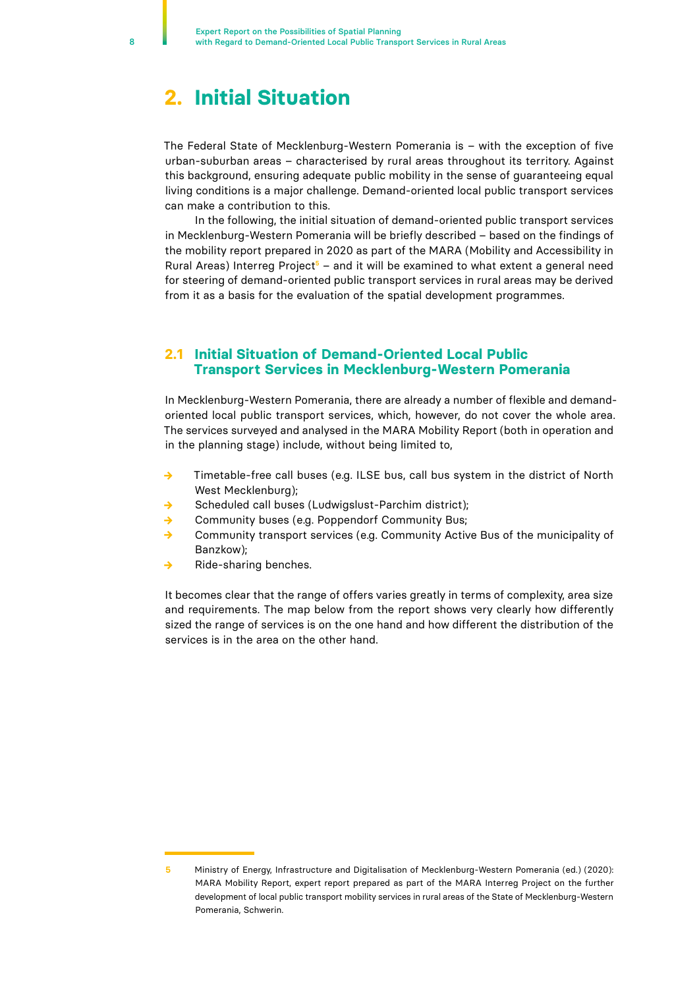# <span id="page-7-0"></span>**2. Initial Situation**

The Federal State of Mecklenburg-Western Pomerania is – with the exception of five urban-suburban areas – characterised by rural areas throughout its territory. Against this background, ensuring adequate public mobility in the sense of guaranteeing equal living conditions is a major challenge. Demand-oriented local public transport services can make a contribution to this.

In the following, the initial situation of demand-oriented public transport services in Mecklenburg-Western Pomerania will be briefly described – based on the findings of the mobility report prepared in 2020 as part of the MARA (Mobility and Accessibility in Rural Areas) Interreg Project**5** – and it will be examined to what extent a general need for steering of demand-oriented public transport services in rural areas may be derived from it as a basis for the evaluation of the spatial development programmes.

## **2.1 Initial Situation of Demand-Oriented Local Public Transport Services in Mecklenburg-Western Pomerania**

In Mecklenburg-Western Pomerania, there are already a number of flexible and demandoriented local public transport services, which, however, do not cover the whole area. The services surveyed and analysed in the MARA Mobility Report (both in operation and in the planning stage) include, without being limited to,

- **→** Timetable-free call buses (e.g. ILSE bus, call bus system in the district of North West Mecklenburg);
- **→** Scheduled call buses (Ludwigslust-Parchim district);
- **→** Community buses (e.g. Poppendorf Community Bus;
- **→** Community transport services (e.g. Community Active Bus of the municipality of Banzkow);
- **→** Ride-sharing benches.

It becomes clear that the range of offers varies greatly in terms of complexity, area size and requirements. The map below from the report shows very clearly how differently sized the range of services is on the one hand and how different the distribution of the services is in the area on the other hand.

**<sup>5</sup>** Ministry of Energy, Infrastructure and Digitalisation of Mecklenburg-Western Pomerania (ed.) (2020): MARA Mobility Report, expert report prepared as part of the MARA Interreg Project on the further development of local public transport mobility services in rural areas of the State of Mecklenburg-Western Pomerania, Schwerin.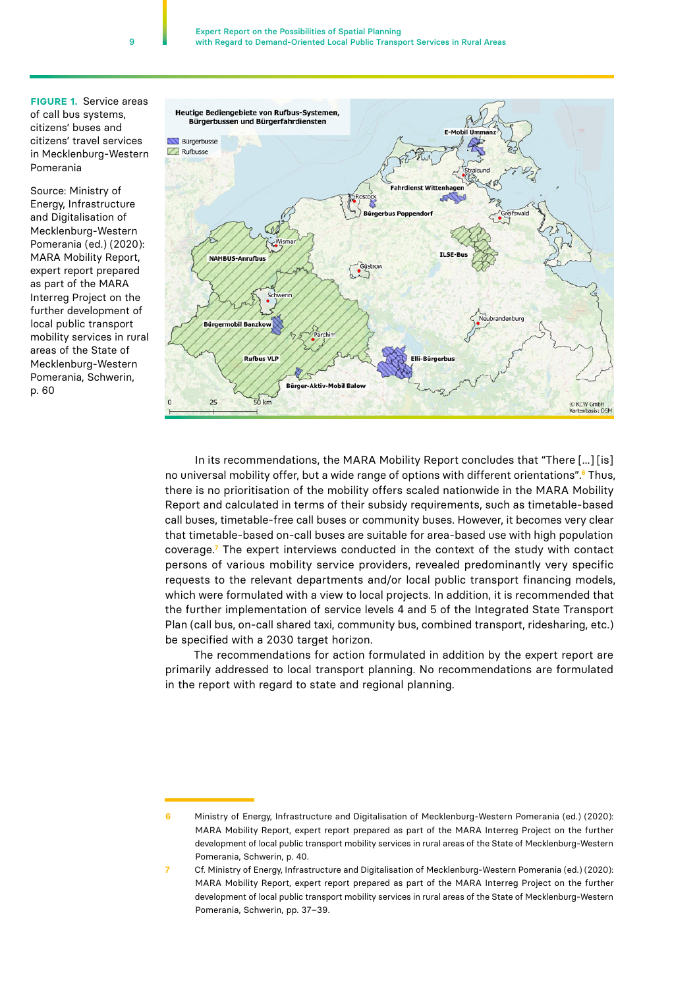**FIGURE 1.** Service areas of call bus systems, citizens' buses and citizens' travel services in Mecklenburg-Western Pomerania

Source: Ministry of Energy, Infrastructure and Digitalisation of Mecklenburg-Western Pomerania (ed.) (2020): MARA Mobility Report, expert report prepared as part of the MARA Interreg Project on the further development of local public transport mobility services in rural areas of the State of Mecklenburg-Western Pomerania, Schwerin, p. 60



In its recommendations, the MARA Mobility Report concludes that "There [...] [is] no universal mobility offer, but a wide range of options with different orientations".**<sup>6</sup>** Thus, there is no prioritisation of the mobility offers scaled nationwide in the MARA Mobility Report and calculated in terms of their subsidy requirements, such as timetable-based call buses, timetable-free call buses or community buses. However, it becomes very clear that timetable-based on-call buses are suitable for area-based use with high population coverage.**<sup>7</sup>** The expert interviews conducted in the context of the study with contact persons of various mobility service providers, revealed predominantly very specific requests to the relevant departments and/or local public transport financing models, which were formulated with a view to local projects. In addition, it is recommended that the further implementation of service levels 4 and 5 of the Integrated State Transport Plan (call bus, on-call shared taxi, community bus, combined transport, ridesharing, etc.) be specified with a 2030 target horizon.

The recommendations for action formulated in addition by the expert report are primarily addressed to local transport planning. No recommendations are formulated in the report with regard to state and regional planning.

9

**<sup>6</sup>** Ministry of Energy, Infrastructure and Digitalisation of Mecklenburg-Western Pomerania (ed.) (2020): MARA Mobility Report, expert report prepared as part of the MARA Interreg Project on the further development of local public transport mobility services in rural areas of the State of Mecklenburg-Western Pomerania, Schwerin, p. 40.

**<sup>7</sup>** Cf. Ministry of Energy, Infrastructure and Digitalisation of Mecklenburg-Western Pomerania (ed.) (2020): MARA Mobility Report, expert report prepared as part of the MARA Interreg Project on the further development of local public transport mobility services in rural areas of the State of Mecklenburg-Western Pomerania, Schwerin, pp. 37–39.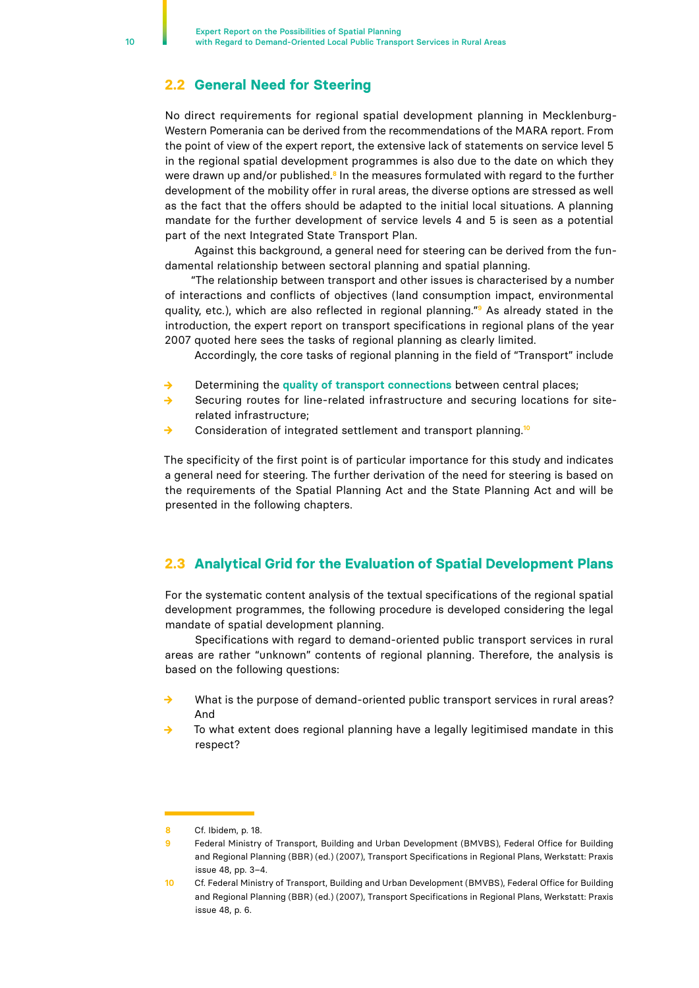## <span id="page-9-0"></span>**2.2 General Need for Steering**

No direct requirements for regional spatial development planning in Mecklenburg-Western Pomerania can be derived from the recommendations of the MARA report. From the point of view of the expert report, the extensive lack of statements on service level 5 in the regional spatial development programmes is also due to the date on which they were drawn up and/or published.**<sup>8</sup>** In the measures formulated with regard to the further development of the mobility offer in rural areas, the diverse options are stressed as well as the fact that the offers should be adapted to the initial local situations. A planning mandate for the further development of service levels 4 and 5 is seen as a potential part of the next Integrated State Transport Plan.

Against this background, a general need for steering can be derived from the fundamental relationship between sectoral planning and spatial planning.

"The relationship between transport and other issues is characterised by a number of interactions and conflicts of objectives (land consumption impact, environmental quality, etc.), which are also reflected in regional planning."**9** As already stated in the introduction, the expert report on transport specifications in regional plans of the year 2007 quoted here sees the tasks of regional planning as clearly limited.

Accordingly, the core tasks of regional planning in the field of "Transport" include

- **→** Determining the **quality of transport connections** between central places;
- **→** Securing routes for line-related infrastructure and securing locations for siterelated infrastructure;
- **→** Consideration of integrated settlement and transport planning.**<sup>10</sup>**

The specificity of the first point is of particular importance for this study and indicates a general need for steering. The further derivation of the need for steering is based on the requirements of the Spatial Planning Act and the State Planning Act and will be presented in the following chapters.

## **2.3 Analytical Grid for the Evaluation of Spatial Development Plans**

For the systematic content analysis of the textual specifications of the regional spatial development programmes, the following procedure is developed considering the legal mandate of spatial development planning.

Specifications with regard to demand-oriented public transport services in rural areas are rather "unknown" contents of regional planning. Therefore, the analysis is based on the following questions:

- **→** What is the purpose of demand-oriented public transport services in rural areas? And
- To what extent does regional planning have a legally legitimised mandate in this respect?

**<sup>8</sup>** Cf. Ibidem, p. 18.

**<sup>9</sup>** Federal Ministry of Transport, Building and Urban Development (BMVBS), Federal Office for Building and Regional Planning (BBR) (ed.) (2007), Transport Specifications in Regional Plans, Werkstatt: Praxis issue 48, pp. 3–4.

**<sup>10</sup>** Cf. Federal Ministry of Transport, Building and Urban Development (BMVBS), Federal Office for Building and Regional Planning (BBR) (ed.) (2007), Transport Specifications in Regional Plans, Werkstatt: Praxis issue 48, p. 6.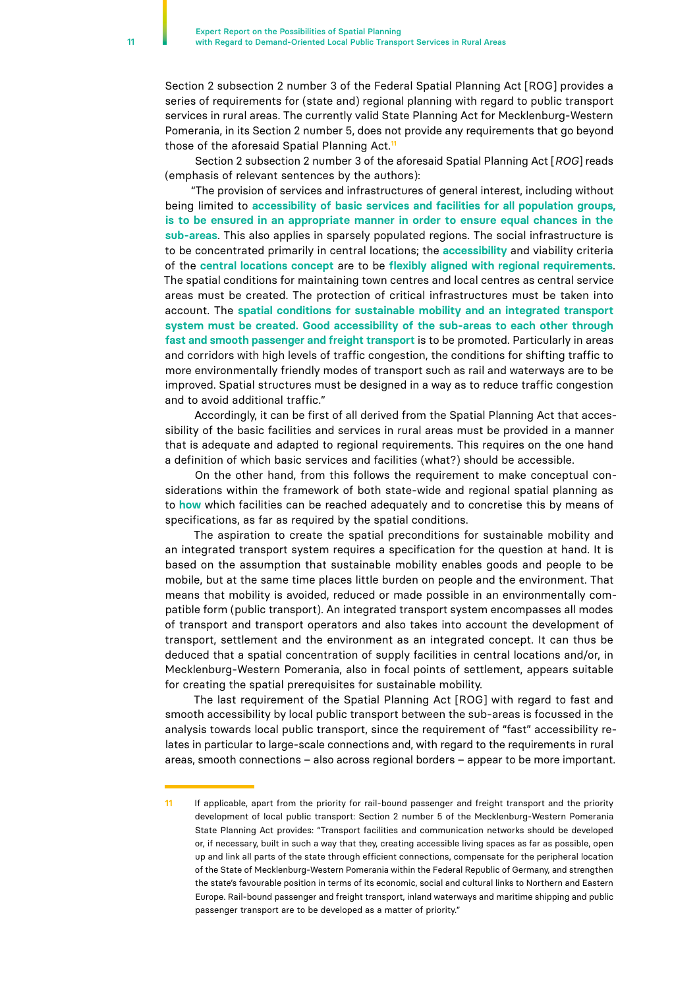Section 2 subsection 2 number 3 of the Federal Spatial Planning Act [ROG] provides a series of requirements for (state and) regional planning with regard to public transport services in rural areas. The currently valid State Planning Act for Mecklenburg-Western Pomerania, in its Section 2 number 5, does not provide any requirements that go beyond those of the aforesaid Spatial Planning Act.**<sup>11</sup>**

Section 2 subsection 2 number 3 of the aforesaid Spatial Planning Act [*ROG*] reads (emphasis of relevant sentences by the authors):

"The provision of services and infrastructures of general interest, including without being limited to **accessibility of basic services and facilities for all population groups, is to be ensured in an appropriate manner in order to ensure equal chances in the sub-areas**. This also applies in sparsely populated regions. The social infrastructure is to be concentrated primarily in central locations; the **accessibility** and viability criteria of the **central locations concept** are to be **flexibly aligned with regional requirements**. The spatial conditions for maintaining town centres and local centres as central service areas must be created. The protection of critical infrastructures must be taken into account. The **spatial conditions for sustainable mobility and an integrated transport system must be created. Good accessibility of the sub-areas to each other through fast and smooth passenger and freight transport** is to be promoted. Particularly in areas and corridors with high levels of traffic congestion, the conditions for shifting traffic to more environmentally friendly modes of transport such as rail and waterways are to be improved. Spatial structures must be designed in a way as to reduce traffic congestion and to avoid additional traffic."

Accordingly, it can be first of all derived from the Spatial Planning Act that accessibility of the basic facilities and services in rural areas must be provided in a manner that is adequate and adapted to regional requirements. This requires on the one hand a definition of which basic services and facilities (what?) should be accessible.

On the other hand, from this follows the requirement to make conceptual considerations within the framework of both state-wide and regional spatial planning as to **how** which facilities can be reached adequately and to concretise this by means of specifications, as far as required by the spatial conditions.

The aspiration to create the spatial preconditions for sustainable mobility and an integrated transport system requires a specification for the question at hand. It is based on the assumption that sustainable mobility enables goods and people to be mobile, but at the same time places little burden on people and the environment. That means that mobility is avoided, reduced or made possible in an environmentally compatible form (public transport). An integrated transport system encompasses all modes of transport and transport operators and also takes into account the development of transport, settlement and the environment as an integrated concept. It can thus be deduced that a spatial concentration of supply facilities in central locations and/or, in Mecklenburg-Western Pomerania, also in focal points of settlement, appears suitable for creating the spatial prerequisites for sustainable mobility.

The last requirement of the Spatial Planning Act [ROG] with regard to fast and smooth accessibility by local public transport between the sub-areas is focussed in the analysis towards local public transport, since the requirement of "fast" accessibility relates in particular to large-scale connections and, with regard to the requirements in rural areas, smooth connections – also across regional borders – appear to be more important.

**<sup>11</sup>** If applicable, apart from the priority for rail-bound passenger and freight transport and the priority development of local public transport: Section 2 number 5 of the Mecklenburg-Western Pomerania State Planning Act provides: "Transport facilities and communication networks should be developed or, if necessary, built in such a way that they, creating accessible living spaces as far as possible, open up and link all parts of the state through efficient connections, compensate for the peripheral location of the State of Mecklenburg-Western Pomerania within the Federal Republic of Germany, and strengthen the state's favourable position in terms of its economic, social and cultural links to Northern and Eastern Europe. Rail-bound passenger and freight transport, inland waterways and maritime shipping and public passenger transport are to be developed as a matter of priority."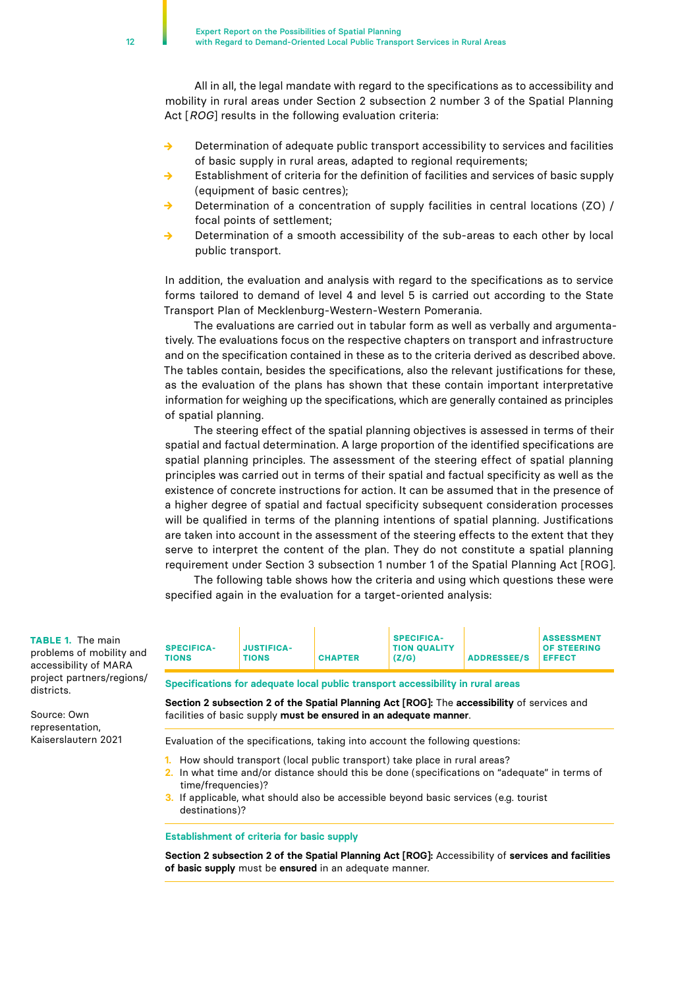All in all, the legal mandate with regard to the specifications as to accessibility and mobility in rural areas under Section 2 subsection 2 number 3 of the Spatial Planning Act [*ROG*] results in the following evaluation criteria:

- **→** Determination of adequate public transport accessibility to services and facilities of basic supply in rural areas, adapted to regional requirements;
- Establishment of criteria for the definition of facilities and services of basic supply (equipment of basic centres);
- **→** Determination of a concentration of supply facilities in central locations (ZO) / focal points of settlement;
- **→** Determination of a smooth accessibility of the sub-areas to each other by local public transport.

In addition, the evaluation and analysis with regard to the specifications as to service forms tailored to demand of level 4 and level 5 is carried out according to the State Transport Plan of Mecklenburg-Western-Western Pomerania.

The evaluations are carried out in tabular form as well as verbally and argumentatively. The evaluations focus on the respective chapters on transport and infrastructure and on the specification contained in these as to the criteria derived as described above. The tables contain, besides the specifications, also the relevant justifications for these, as the evaluation of the plans has shown that these contain important interpretative information for weighing up the specifications, which are generally contained as principles of spatial planning.

The steering effect of the spatial planning objectives is assessed in terms of their spatial and factual determination. A large proportion of the identified specifications are spatial planning principles. The assessment of the steering effect of spatial planning principles was carried out in terms of their spatial and factual specificity as well as the existence of concrete instructions for action. It can be assumed that in the presence of a higher degree of spatial and factual specificity subsequent consideration processes will be qualified in terms of the planning intentions of spatial planning. Justifications are taken into account in the assessment of the steering effects to the extent that they serve to interpret the content of the plan. They do not constitute a spatial planning requirement under Section 3 subsection 1 number 1 of the Spatial Planning Act [ROG].

The following table shows how the criteria and using which questions these were specified again in the evaluation for a target-oriented analysis:

| (Z/G)<br><b>ADDRESSEE/S EFFECT</b><br><b>TIONS</b><br><b>TIONS</b><br><b>CHAPTER</b> | d | <b>SPECIFICA-</b> | <b>JUSTIFICA-</b> |  | <b>SPECIFICA-</b><br><b>TION QUALITY</b> |  | <b>ASSESSMENT</b><br><b>OF STEERING</b> |
|--------------------------------------------------------------------------------------|---|-------------------|-------------------|--|------------------------------------------|--|-----------------------------------------|
|--------------------------------------------------------------------------------------|---|-------------------|-------------------|--|------------------------------------------|--|-----------------------------------------|

**Specifications for adequate local public transport accessibility in rural areas**

**Section 2 subsection 2 of the Spatial Planning Act [ROG]:** The **accessibility** of services and facilities of basic supply **must be ensured in an adequate manner**.

Evaluation of the specifications, taking into account the following questions:

- **1.** How should transport (local public transport) take place in rural areas?
- **2.** In what time and/or distance should this be done (specifications on "adequate" in terms of time/frequencies)?
- **3.** If applicable, what should also be accessible beyond basic services (e.g. tourist destinations)?

#### **Establishment of criteria for basic supply**

**Section 2 subsection 2 of the Spatial Planning Act [ROG]:** Accessibility of **services and facilities of basic supply** must be **ensured** in an adequate manner.

**TABLE 1.** The main problems of mobility and accessibility of MARA project partners/regions/ districts

Source: Own representation, Kaiserslautern 2021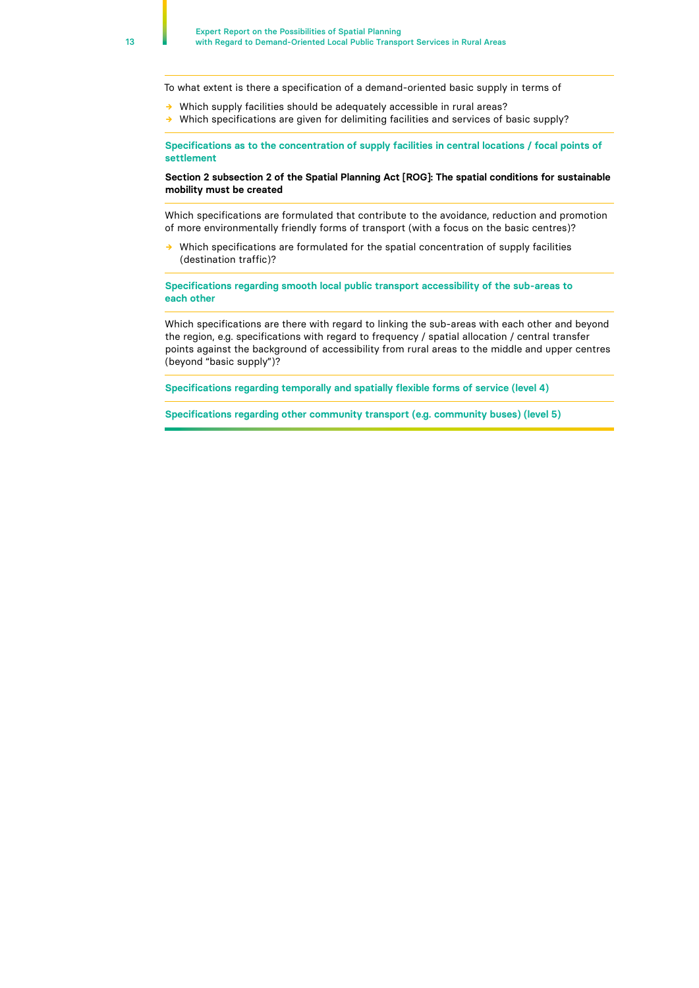To what extent is there a specification of a demand-oriented basic supply in terms of

- **→** Which supply facilities should be adequately accessible in rural areas?
- **→** Which specifications are given for delimiting facilities and services of basic supply?

**Specifications as to the concentration of supply facilities in central locations / focal points of settlement**

**Section 2 subsection 2 of the Spatial Planning Act [ROG]: The spatial conditions for sustainable mobility must be created**

Which specifications are formulated that contribute to the avoidance, reduction and promotion of more environmentally friendly forms of transport (with a focus on the basic centres)?

Which specifications are formulated for the spatial concentration of supply facilities (destination traffic)?

**Specifications regarding smooth local public transport accessibility of the sub-areas to each other**

Which specifications are there with regard to linking the sub-areas with each other and beyond the region, e.g. specifications with regard to frequency / spatial allocation / central transfer points against the background of accessibility from rural areas to the middle and upper centres (beyond "basic supply")?

**Specifications regarding temporally and spatially flexible forms of service (level 4)**

**Specifications regarding other community transport (e.g. community buses) (level 5)**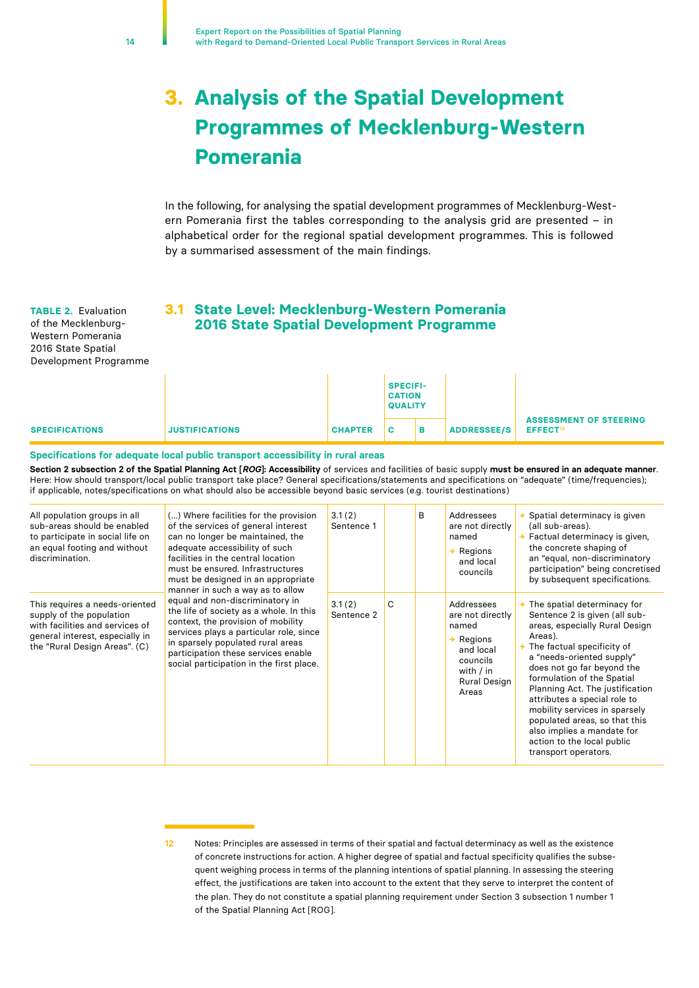# <span id="page-13-0"></span>**3. Analysis of the Spatial Development Programmes of Mecklenburg-Western Pomerania**

In the following, for analysing the spatial development programmes of Mecklenburg-Western Pomerania first the tables corresponding to the analysis grid are presented – in alphabetical order for the regional spatial development programmes. This is followed by a summarised assessment of the main findings.

**TABLE 2.** Evaluation of the Mecklenburg-Western Pomerania 2016 State Spatial Development Programme

## **3.1 State Level: Mecklenburg-Western Pomerania 2016 State Spatial Development Programme**

|                       |                       |                | <b>SPECIFI-</b><br><b>CATION</b><br><b>QUALITY</b> |   |                    |                                                       |  |  |
|-----------------------|-----------------------|----------------|----------------------------------------------------|---|--------------------|-------------------------------------------------------|--|--|
| <b>SPECIFICATIONS</b> | <b>JUSTIFICATIONS</b> | <b>CHAPTER</b> | c.                                                 | в | <b>ADDRESSEE/S</b> | <b>ASSESSMENT OF STEERING</b><br>EFFECT <sup>12</sup> |  |  |

#### **Specifications for adequate local public transport accessibility in rural areas**

**Section 2 subsection 2 of the Spatial Planning Act [***ROG***]: Accessibility** of services and facilities of basic supply **must be ensured in an adequate manner**. Here: How should transport/local public transport take place? General specifications/statements and specifications on "adequate" (time/frequencies); if applicable, notes/specifications on what should also be accessible beyond basic services (e.g. tourist destinations)

| All population groups in all<br>sub-areas should be enabled<br>to participate in social life on<br>an equal footing and without<br>discrimination.                | () Where facilities for the provision<br>of the services of general interest<br>can no longer be maintained, the<br>adequate accessibility of such<br>facilities in the central location<br>must be ensured. Infrastructures<br>must be designed in an appropriate<br>manner in such a way as to allow | 3.1(2)<br>Sentence 1 |   | B | Addressees<br>are not directly<br>named<br>Regions<br>and local<br>councils                                                     | $\rightarrow$ Spatial determinacy is given<br>(all sub-areas).<br>Factual determinacy is given,<br>the concrete shaping of<br>an "equal, non-discriminatory<br>participation" being concretised<br>by subsequent specifications.                                                                                                                                                                                                                                        |
|-------------------------------------------------------------------------------------------------------------------------------------------------------------------|--------------------------------------------------------------------------------------------------------------------------------------------------------------------------------------------------------------------------------------------------------------------------------------------------------|----------------------|---|---|---------------------------------------------------------------------------------------------------------------------------------|-------------------------------------------------------------------------------------------------------------------------------------------------------------------------------------------------------------------------------------------------------------------------------------------------------------------------------------------------------------------------------------------------------------------------------------------------------------------------|
| This requires a needs-oriented<br>supply of the population<br>with facilities and services of<br>general interest, especially in<br>the "Rural Design Areas". (C) | equal and non-discriminatory in<br>the life of society as a whole. In this<br>context, the provision of mobility<br>services plays a particular role, since<br>in sparsely populated rural areas<br>participation these services enable<br>social participation in the first place.                    | 3.1(2)<br>Sentence 2 | C |   | Addressees<br>are not directly<br>named<br>$\rightarrow$ Regions<br>and local<br>councils<br>with / in<br>Rural Design<br>Areas | $\rightarrow$ The spatial determinacy for<br>Sentence 2 is given (all sub-<br>areas, especially Rural Design<br>Areas).<br>The factual specificity of<br>a "needs-oriented supply"<br>does not go far beyond the<br>formulation of the Spatial<br>Planning Act. The justification<br>attributes a special role to<br>mobility services in sparsely<br>populated areas, so that this<br>also implies a mandate for<br>action to the local public<br>transport operators. |

**<sup>12</sup>** Notes: Principles are assessed in terms of their spatial and factual determinacy as well as the existence of concrete instructions for action. A higher degree of spatial and factual specificity qualifies the subsequent weighing process in terms of the planning intentions of spatial planning. In assessing the steering effect, the justifications are taken into account to the extent that they serve to interpret the content of the plan. They do not constitute a spatial planning requirement under Section 3 subsection 1 number 1 of the Spatial Planning Act [ROG].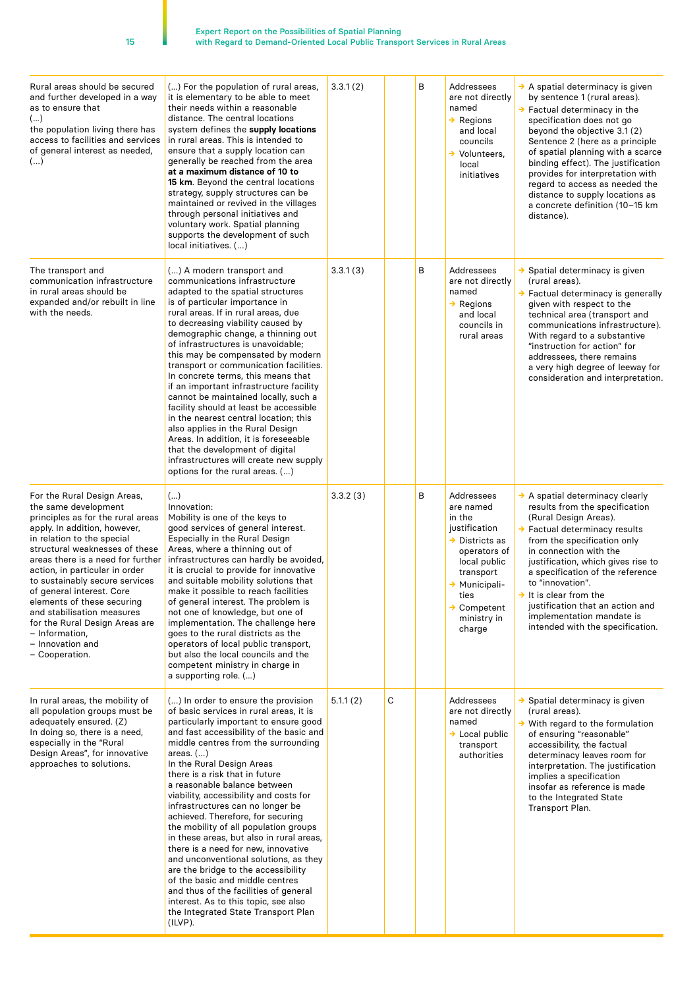| ۰, |    |
|----|----|
|    | ۰. |

| Rural areas should be secured<br>and further developed in a way<br>as to ensure that<br>()<br>the population living there has<br>access to facilities and services<br>of general interest as needed,<br>()                                                                                                                                                                                                                                                                           | () For the population of rural areas,<br>it is elementary to be able to meet<br>their needs within a reasonable<br>distance. The central locations<br>system defines the supply locations<br>in rural areas. This is intended to<br>ensure that a supply location can<br>generally be reached from the area<br>at a maximum distance of 10 to<br>15 km. Beyond the central locations<br>strategy, supply structures can be<br>maintained or revived in the villages<br>through personal initiatives and<br>voluntary work. Spatial planning<br>supports the development of such<br>local initiatives. ()                                                                                                                                                                                                                     | 3.3.1(2) |   | B | Addressees<br>are not directly<br>named<br>$\rightarrow$ Regions<br>and local<br>councils<br>$\rightarrow$ Volunteers.<br>local<br>initiatives                                                             | A spatial determinacy is given<br>by sentence 1 (rural areas).<br>$\rightarrow$ Factual determinacy in the<br>specification does not go<br>beyond the objective 3.1 (2)<br>Sentence 2 (here as a principle<br>of spatial planning with a scarce<br>binding effect). The justification<br>provides for interpretation with<br>regard to access as needed the<br>distance to supply locations as<br>a concrete definition (10-15 km<br>distance). |
|--------------------------------------------------------------------------------------------------------------------------------------------------------------------------------------------------------------------------------------------------------------------------------------------------------------------------------------------------------------------------------------------------------------------------------------------------------------------------------------|------------------------------------------------------------------------------------------------------------------------------------------------------------------------------------------------------------------------------------------------------------------------------------------------------------------------------------------------------------------------------------------------------------------------------------------------------------------------------------------------------------------------------------------------------------------------------------------------------------------------------------------------------------------------------------------------------------------------------------------------------------------------------------------------------------------------------|----------|---|---|------------------------------------------------------------------------------------------------------------------------------------------------------------------------------------------------------------|-------------------------------------------------------------------------------------------------------------------------------------------------------------------------------------------------------------------------------------------------------------------------------------------------------------------------------------------------------------------------------------------------------------------------------------------------|
| The transport and<br>communication infrastructure<br>in rural areas should be<br>expanded and/or rebuilt in line<br>with the needs.                                                                                                                                                                                                                                                                                                                                                  | () A modern transport and<br>communications infrastructure<br>adapted to the spatial structures<br>is of particular importance in<br>rural areas. If in rural areas, due<br>to decreasing viability caused by<br>demographic change, a thinning out<br>of infrastructures is unavoidable;<br>this may be compensated by modern<br>transport or communication facilities.<br>In concrete terms, this means that<br>if an important infrastructure facility<br>cannot be maintained locally, such a<br>facility should at least be accessible<br>in the nearest central location; this<br>also applies in the Rural Design<br>Areas. In addition, it is foreseeable<br>that the development of digital<br>infrastructures will create new supply<br>options for the rural areas. ()                                            | 3.3.1(3) |   | В | Addressees<br>are not directly<br>named<br>$\rightarrow$ Regions<br>and local<br>councils in<br>rural areas                                                                                                | → Spatial determinacy is given<br>(rural areas).<br>→ Factual determinacy is generally<br>given with respect to the<br>technical area (transport and<br>communications infrastructure).<br>With regard to a substantive<br>"instruction for action" for<br>addressees, there remains<br>a very high degree of leeway for<br>consideration and interpretation.                                                                                   |
| For the Rural Design Areas,<br>the same development<br>principles as for the rural areas<br>apply. In addition, however,<br>in relation to the special<br>structural weaknesses of these<br>areas there is a need for further<br>action, in particular in order<br>to sustainably secure services<br>of general interest. Core<br>elements of these securing<br>and stabilisation measures<br>for the Rural Design Areas are<br>- Information,<br>- Innovation and<br>- Cooperation. | ()<br>Innovation:<br>Mobility is one of the keys to<br>good services of general interest.<br>Especially in the Rural Design<br>Areas, where a thinning out of<br>infrastructures can hardly be avoided.<br>it is crucial to provide for innovative<br>and suitable mobility solutions that<br>make it possible to reach facilities<br>of general interest. The problem is<br>not one of knowledge, but one of<br>implementation. The challenge here<br>goes to the rural districts as the<br>operators of local public transport,<br>but also the local councils and the<br>competent ministry in charge in<br>a supporting role. ()                                                                                                                                                                                         | 3.3.2(3) |   | В | Addressees<br>are named<br>in the<br>justification<br>$\rightarrow$ Districts as<br>operators of<br>local public<br>transport<br>→ Municipali-<br>ties<br>$\rightarrow$ Competent<br>ministry in<br>charge | A spatial determinacy clearly<br>results from the specification<br>(Rural Design Areas).<br>$\rightarrow$ Factual determinacy results<br>from the specification only<br>in connection with the<br>justification, which gives rise to<br>a specification of the reference<br>to "innovation".<br>$\rightarrow$ It is clear from the<br>justification that an action and<br>implementation mandate is<br>intended with the specification.         |
| In rural areas, the mobility of<br>all population groups must be<br>adequately ensured. (Z)<br>In doing so, there is a need,<br>especially in the "Rural<br>Design Areas", for innovative<br>approaches to solutions.                                                                                                                                                                                                                                                                | () In order to ensure the provision<br>of basic services in rural areas, it is<br>particularly important to ensure good<br>and fast accessibility of the basic and<br>middle centres from the surrounding<br>areas. $()$<br>In the Rural Design Areas<br>there is a risk that in future<br>a reasonable balance between<br>viability, accessibility and costs for<br>infrastructures can no longer be<br>achieved. Therefore, for securing<br>the mobility of all population groups<br>in these areas, but also in rural areas,<br>there is a need for new, innovative<br>and unconventional solutions, as they<br>are the bridge to the accessibility<br>of the basic and middle centres<br>and thus of the facilities of general<br>interest. As to this topic, see also<br>the Integrated State Transport Plan<br>(ILVP). | 5.1.1(2) | C |   | Addressees<br>are not directly<br>named<br>→ Local public<br>transport<br>authorities                                                                                                                      | → Spatial determinacy is given<br>(rural areas).<br>$\rightarrow$ With regard to the formulation<br>of ensuring "reasonable"<br>accessibility, the factual<br>determinacy leaves room for<br>interpretation. The justification<br>implies a specification<br>insofar as reference is made<br>to the Integrated State<br>Transport Plan.                                                                                                         |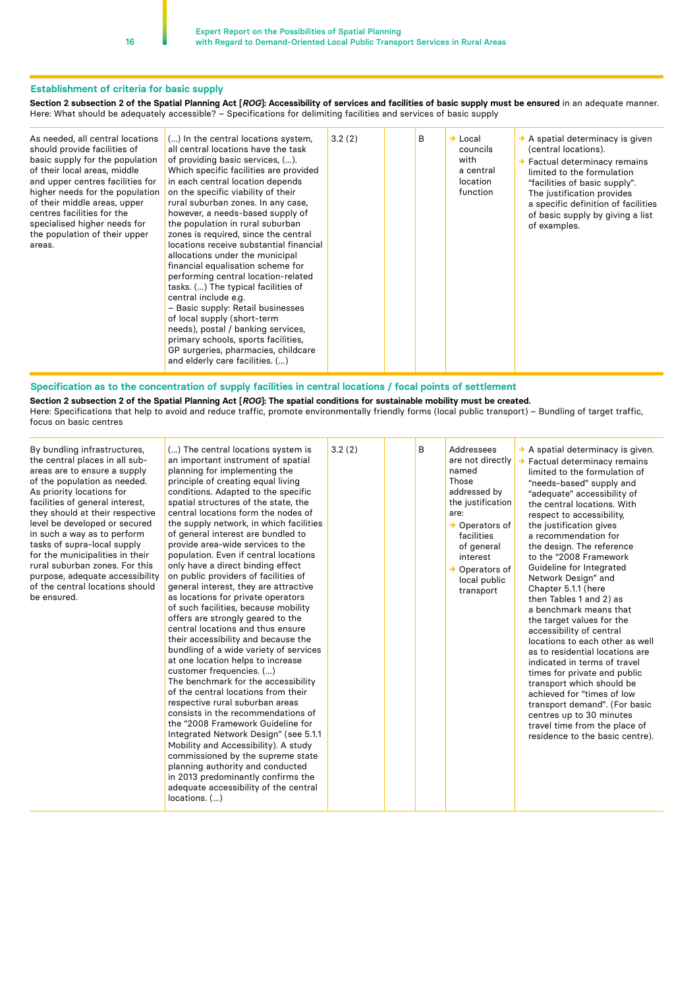#### **Establishment of criteria for basic supply**

**Section 2 subsection 2 of the Spatial Planning Act [***ROG***]: Accessibility of services and facilities of basic supply must be ensured** in an adequate manner. Here: What should be adequately accessible? – Specifications for delimiting facilities and services of basic supply

| As needed, all central locations<br>should provide facilities of<br>basic supply for the population<br>of their local areas, middle<br>and upper centres facilities for<br>higher needs for the population<br>of their middle areas, upper<br>centres facilities for the<br>specialised higher needs for<br>the population of their upper<br>areas. | () In the central locations system,<br>all central locations have the task<br>of providing basic services, ().<br>Which specific facilities are provided<br>in each central location depends<br>on the specific viability of their<br>rural suburban zones. In any case,<br>however, a needs-based supply of<br>the population in rural suburban<br>zones is required, since the central<br>locations receive substantial financial<br>allocations under the municipal<br>financial equalisation scheme for<br>performing central location-related<br>tasks. () The typical facilities of<br>central include e.g.<br>- Basic supply: Retail businesses<br>of local supply (short-term<br>needs), postal / banking services,<br>primary schools, sports facilities,<br>GP surgeries, pharmacies, childcare<br>and elderly care facilities. () | 3.2(2) |  | B | $\rightarrow$ Local<br>councils<br>with<br>a central<br>location<br>function | $\rightarrow$ A spatial determinacy is given<br>(central locations).<br>$\rightarrow$ Factual determinacy remains<br>limited to the formulation<br>"facilities of basic supply".<br>The justification provides<br>a specific definition of facilities<br>of basic supply by giving a list<br>of examples. |
|-----------------------------------------------------------------------------------------------------------------------------------------------------------------------------------------------------------------------------------------------------------------------------------------------------------------------------------------------------|----------------------------------------------------------------------------------------------------------------------------------------------------------------------------------------------------------------------------------------------------------------------------------------------------------------------------------------------------------------------------------------------------------------------------------------------------------------------------------------------------------------------------------------------------------------------------------------------------------------------------------------------------------------------------------------------------------------------------------------------------------------------------------------------------------------------------------------------|--------|--|---|------------------------------------------------------------------------------|-----------------------------------------------------------------------------------------------------------------------------------------------------------------------------------------------------------------------------------------------------------------------------------------------------------|
|-----------------------------------------------------------------------------------------------------------------------------------------------------------------------------------------------------------------------------------------------------------------------------------------------------------------------------------------------------|----------------------------------------------------------------------------------------------------------------------------------------------------------------------------------------------------------------------------------------------------------------------------------------------------------------------------------------------------------------------------------------------------------------------------------------------------------------------------------------------------------------------------------------------------------------------------------------------------------------------------------------------------------------------------------------------------------------------------------------------------------------------------------------------------------------------------------------------|--------|--|---|------------------------------------------------------------------------------|-----------------------------------------------------------------------------------------------------------------------------------------------------------------------------------------------------------------------------------------------------------------------------------------------------------|

#### **Specification as to the concentration of supply facilities in central locations / focal points of settlement**

**Section 2 subsection 2 of the Spatial Planning Act [***ROG***]: The spatial conditions for sustainable mobility must be created.** Here: Specifications that help to avoid and reduce traffic, promote environmentally friendly forms (local public transport) – Bundling of target traffic, focus on basic centres

| By bundling infrastructures,<br>the central places in all sub-<br>areas are to ensure a supply<br>of the population as needed.<br>As priority locations for<br>facilities of general interest,<br>they should at their respective<br>level be developed or secured<br>in such a way as to perform<br>tasks of supra-local supply<br>for the municipalities in their<br>rural suburban zones. For this<br>purpose, adequate accessibility<br>of the central locations should<br>be ensured. | () The central locations system is<br>an important instrument of spatial<br>planning for implementing the<br>principle of creating equal living<br>conditions. Adapted to the specific<br>spatial structures of the state, the<br>central locations form the nodes of<br>the supply network, in which facilities<br>of general interest are bundled to<br>provide area-wide services to the<br>population. Even if central locations<br>only have a direct binding effect<br>on public providers of facilities of<br>general interest, they are attractive<br>as locations for private operators<br>of such facilities, because mobility<br>offers are strongly geared to the<br>central locations and thus ensure<br>their accessibility and because the<br>bundling of a wide variety of services<br>at one location helps to increase<br>customer frequencies. ()<br>The benchmark for the accessibility<br>of the central locations from their<br>respective rural suburban areas<br>consists in the recommendations of<br>the "2008 Framework Guideline for<br>Integrated Network Design" (see 5.1.1)<br>Mobility and Accessibility). A study<br>commissioned by the supreme state<br>planning authority and conducted<br>in 2013 predominantly confirms the<br>adequate accessibility of the central<br>$locations.$ $()$ | 3.2(2) |  | B | Addressees<br>are not directly<br>named<br>Those<br>addressed by<br>the justification<br>are:<br>$\rightarrow$ Operators of<br>facilities<br>of general<br>interest<br>$\rightarrow$ Operators of<br>local public<br>transport | $\rightarrow$ A spatial determinacy is given.<br>Factual determinacy remains<br>limited to the formulation of<br>"needs-based" supply and<br>"adequate" accessibility of<br>the central locations. With<br>respect to accessibility.<br>the justification gives<br>a recommendation for<br>the design. The reference<br>to the "2008 Framework<br>Guideline for Integrated<br>Network Design" and<br>Chapter 5.1.1 (here<br>then Tables 1 and 2) as<br>a benchmark means that<br>the target values for the<br>accessibility of central<br>locations to each other as well<br>as to residential locations are<br>indicated in terms of travel<br>times for private and public<br>transport which should be<br>achieved for "times of low<br>transport demand". (For basic<br>centres up to 30 minutes<br>travel time from the place of<br>residence to the basic centre). |
|--------------------------------------------------------------------------------------------------------------------------------------------------------------------------------------------------------------------------------------------------------------------------------------------------------------------------------------------------------------------------------------------------------------------------------------------------------------------------------------------|---------------------------------------------------------------------------------------------------------------------------------------------------------------------------------------------------------------------------------------------------------------------------------------------------------------------------------------------------------------------------------------------------------------------------------------------------------------------------------------------------------------------------------------------------------------------------------------------------------------------------------------------------------------------------------------------------------------------------------------------------------------------------------------------------------------------------------------------------------------------------------------------------------------------------------------------------------------------------------------------------------------------------------------------------------------------------------------------------------------------------------------------------------------------------------------------------------------------------------------------------------------------------------------------------------------------------------|--------|--|---|--------------------------------------------------------------------------------------------------------------------------------------------------------------------------------------------------------------------------------|--------------------------------------------------------------------------------------------------------------------------------------------------------------------------------------------------------------------------------------------------------------------------------------------------------------------------------------------------------------------------------------------------------------------------------------------------------------------------------------------------------------------------------------------------------------------------------------------------------------------------------------------------------------------------------------------------------------------------------------------------------------------------------------------------------------------------------------------------------------------------|
|--------------------------------------------------------------------------------------------------------------------------------------------------------------------------------------------------------------------------------------------------------------------------------------------------------------------------------------------------------------------------------------------------------------------------------------------------------------------------------------------|---------------------------------------------------------------------------------------------------------------------------------------------------------------------------------------------------------------------------------------------------------------------------------------------------------------------------------------------------------------------------------------------------------------------------------------------------------------------------------------------------------------------------------------------------------------------------------------------------------------------------------------------------------------------------------------------------------------------------------------------------------------------------------------------------------------------------------------------------------------------------------------------------------------------------------------------------------------------------------------------------------------------------------------------------------------------------------------------------------------------------------------------------------------------------------------------------------------------------------------------------------------------------------------------------------------------------------|--------|--|---|--------------------------------------------------------------------------------------------------------------------------------------------------------------------------------------------------------------------------------|--------------------------------------------------------------------------------------------------------------------------------------------------------------------------------------------------------------------------------------------------------------------------------------------------------------------------------------------------------------------------------------------------------------------------------------------------------------------------------------------------------------------------------------------------------------------------------------------------------------------------------------------------------------------------------------------------------------------------------------------------------------------------------------------------------------------------------------------------------------------------|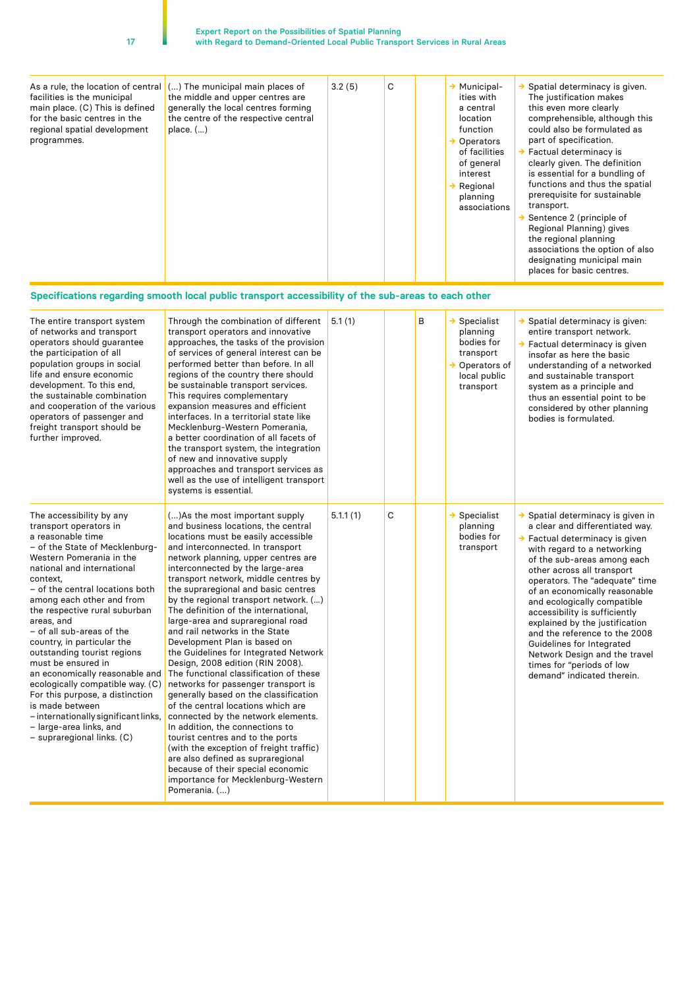Pomerania. (…)

| As a rule, the location of central<br>facilities is the municipal<br>main place. (C) This is defined<br>for the basic centres in the<br>regional spatial development<br>programmes.                                                                                                                                                                                                                                                                                                                                                                                                                                                         | () The municipal main places of<br>the middle and upper centres are<br>generally the local centres forming<br>the centre of the respective central<br>place. $(\ldots)$                                                                                                                                                                                                                                                                                                                                                                                                                                                                                                                                                                                                                                                                                                                                                                                                                                                  | 3.2(5)   | С |   | $\rightarrow$ Municipal-<br>ities with<br>a central<br>location<br>function<br>$\rightarrow$ Operators<br>of facilities<br>of general<br>interest<br>$\rightarrow$ Regional<br>planning<br>associations | $\rightarrow$ Spatial determinacy is given.<br>The justification makes<br>this even more clearly<br>comprehensible, although this<br>could also be formulated as<br>part of specification.<br>→ Factual determinacy is<br>clearly given. The definition<br>is essential for a bundling of<br>functions and thus the spatial<br>prerequisite for sustainable<br>transport.<br>$\rightarrow$ Sentence 2 (principle of<br>Regional Planning) gives<br>the regional planning<br>associations the option of also<br>designating municipal main<br>places for basic centres. |
|---------------------------------------------------------------------------------------------------------------------------------------------------------------------------------------------------------------------------------------------------------------------------------------------------------------------------------------------------------------------------------------------------------------------------------------------------------------------------------------------------------------------------------------------------------------------------------------------------------------------------------------------|--------------------------------------------------------------------------------------------------------------------------------------------------------------------------------------------------------------------------------------------------------------------------------------------------------------------------------------------------------------------------------------------------------------------------------------------------------------------------------------------------------------------------------------------------------------------------------------------------------------------------------------------------------------------------------------------------------------------------------------------------------------------------------------------------------------------------------------------------------------------------------------------------------------------------------------------------------------------------------------------------------------------------|----------|---|---|---------------------------------------------------------------------------------------------------------------------------------------------------------------------------------------------------------|------------------------------------------------------------------------------------------------------------------------------------------------------------------------------------------------------------------------------------------------------------------------------------------------------------------------------------------------------------------------------------------------------------------------------------------------------------------------------------------------------------------------------------------------------------------------|
|                                                                                                                                                                                                                                                                                                                                                                                                                                                                                                                                                                                                                                             | Specifications regarding smooth local public transport accessibility of the sub-areas to each other                                                                                                                                                                                                                                                                                                                                                                                                                                                                                                                                                                                                                                                                                                                                                                                                                                                                                                                      |          |   |   |                                                                                                                                                                                                         |                                                                                                                                                                                                                                                                                                                                                                                                                                                                                                                                                                        |
| The entire transport system<br>of networks and transport<br>operators should guarantee<br>the participation of all<br>population groups in social<br>life and ensure economic<br>development. To this end,<br>the sustainable combination<br>and cooperation of the various<br>operators of passenger and<br>freight transport should be<br>further improved.                                                                                                                                                                                                                                                                               | Through the combination of different<br>transport operators and innovative<br>approaches, the tasks of the provision<br>of services of general interest can be<br>performed better than before. In all<br>regions of the country there should<br>be sustainable transport services.<br>This requires complementary<br>expansion measures and efficient<br>interfaces. In a territorial state like<br>Mecklenburg-Western Pomerania,<br>a better coordination of all facets of<br>the transport system, the integration<br>of new and innovative supply<br>approaches and transport services as<br>well as the use of intelligent transport<br>systems is essential.                                                                                                                                                                                                                                                                                                                                                      | 5.1(1)   |   | В | $\rightarrow$ Specialist<br>planning<br>bodies for<br>transport<br>$\rightarrow$ Operators of<br>local public<br>transport                                                                              | Spatial determinacy is given:<br>entire transport network.<br>→ Factual determinacy is given<br>insofar as here the basic<br>understanding of a networked<br>and sustainable transport<br>system as a principle and<br>thus an essential point to be<br>considered by other planning<br>bodies is formulated.                                                                                                                                                                                                                                                          |
| The accessibility by any<br>transport operators in<br>a reasonable time<br>- of the State of Mecklenburg-<br>Western Pomerania in the<br>national and international<br>context.<br>- of the central locations both<br>among each other and from<br>the respective rural suburban<br>areas, and<br>- of all sub-areas of the<br>country, in particular the<br>outstanding tourist regions<br>must be ensured in<br>an economically reasonable and<br>ecologically compatible way. (C)<br>For this purpose, a distinction<br>is made between<br>- internationally significant links,<br>- large-area links, and<br>- supraregional links. (C) | () As the most important supply<br>and business locations, the central<br>locations must be easily accessible<br>and interconnected. In transport<br>network planning, upper centres are<br>interconnected by the large-area<br>transport network, middle centres by<br>the supraregional and basic centres<br>by the regional transport network. ()<br>The definition of the international,<br>large-area and supraregional road<br>and rail networks in the State<br>Development Plan is based on<br>the Guidelines for Integrated Network<br>Design, 2008 edition (RIN 2008).<br>The functional classification of these<br>networks for passenger transport is<br>generally based on the classification<br>of the central locations which are<br>connected by the network elements.<br>In addition, the connections to<br>tourist centres and to the ports<br>(with the exception of freight traffic)<br>are also defined as supraregional<br>because of their special economic<br>importance for Mecklenburg-Western | 5.1.1(1) | С |   | $\rightarrow$ Specialist<br>planning<br>bodies for<br>transport                                                                                                                                         | → Spatial determinacy is given in<br>a clear and differentiated way.<br>$\rightarrow$ Factual determinacy is given<br>with regard to a networking<br>of the sub-areas among each<br>other across all transport<br>operators. The "adequate" time<br>of an economically reasonable<br>and ecologically compatible<br>accessibility is sufficiently<br>explained by the justification<br>and the reference to the 2008<br>Guidelines for Integrated<br>Network Design and the travel<br>times for "periods of low<br>demand" indicated therein.                          |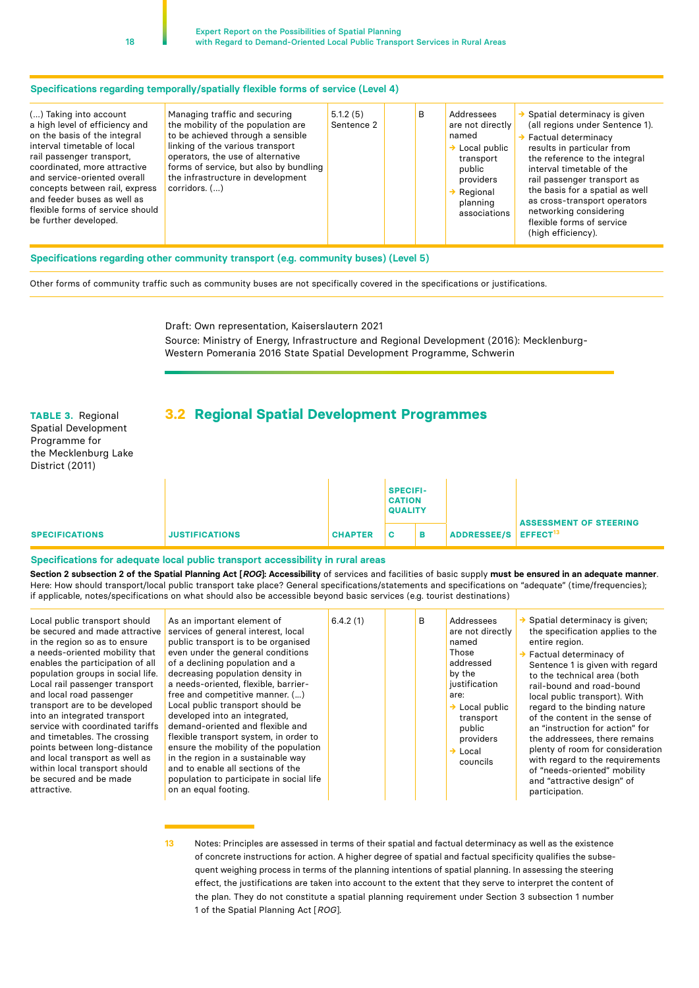<span id="page-17-0"></span>

| Managing traffic and securing<br>() Taking into account<br>the mobility of the population are<br>a high level of efficiency and<br>to be achieved through a sensible<br>on the basis of the integral<br>linking of the various transport<br>interval timetable of local<br>operators, the use of alternative<br>rail passenger transport,<br>coordinated, more attractive<br>forms of service, but also by bundling<br>the infrastructure in development<br>and service-oriented overall<br>concepts between rail, express<br>$corridors.$ $()$<br>and feeder buses as well as<br>flexible forms of service should<br>be further developed. | 5.1.2(5)<br>Sentence 2 | в | Addressees<br>are not directly<br>named<br>Local public<br>transport<br>public<br>providers<br>Regional<br>planning<br>associations | Spatial determinacy is given<br>(all regions under Sentence 1).<br>$\rightarrow$ Factual determinacy<br>results in particular from<br>the reference to the integral<br>interval timetable of the<br>rail passenger transport as<br>the basis for a spatial as well<br>as cross-transport operators<br>networking considering<br>flexible forms of service<br>(high efficiency). |
|---------------------------------------------------------------------------------------------------------------------------------------------------------------------------------------------------------------------------------------------------------------------------------------------------------------------------------------------------------------------------------------------------------------------------------------------------------------------------------------------------------------------------------------------------------------------------------------------------------------------------------------------|------------------------|---|-------------------------------------------------------------------------------------------------------------------------------------|---------------------------------------------------------------------------------------------------------------------------------------------------------------------------------------------------------------------------------------------------------------------------------------------------------------------------------------------------------------------------------|
|---------------------------------------------------------------------------------------------------------------------------------------------------------------------------------------------------------------------------------------------------------------------------------------------------------------------------------------------------------------------------------------------------------------------------------------------------------------------------------------------------------------------------------------------------------------------------------------------------------------------------------------------|------------------------|---|-------------------------------------------------------------------------------------------------------------------------------------|---------------------------------------------------------------------------------------------------------------------------------------------------------------------------------------------------------------------------------------------------------------------------------------------------------------------------------------------------------------------------------|

#### **Specifications regarding other community transport (e.g. community buses) (Level 5)**

Other forms of community traffic such as community buses are not specifically covered in the specifications or justifications.

Draft: Own representation, Kaiserslautern 2021 Source: Ministry of Energy, Infrastructure and Regional Development (2016): Mecklenburg-Western Pomerania 2016 State Spatial Development Programme, Schwerin

### **TABLE 3.** Regional **3.2 Regional Spatial Development Programmes**

Spatial Development Programme for the Mecklenburg Lake District (2011)

|                       |                       |                | <b>SPECIFI-</b><br><b>CATION</b><br><b>QUALITY</b> |   |                                  |                               |
|-----------------------|-----------------------|----------------|----------------------------------------------------|---|----------------------------------|-------------------------------|
| <b>SPECIFICATIONS</b> | <b>JUSTIFICATIONS</b> | <b>CHAPTER</b> | <b>C</b>                                           | в | ADDRESSEE/S EFFECT <sup>13</sup> | <b>ASSESSMENT OF STEERING</b> |

#### **Specifications for adequate local public transport accessibility in rural areas**

**Section 2 subsection 2 of the Spatial Planning Act [***ROG***]: Accessibility** of services and facilities of basic supply **must be ensured in an adequate manner**. Here: How should transport/local public transport take place? General specifications/statements and specifications on "adequate" (time/frequencies); if applicable, notes/specifications on what should also be accessible beyond basic services (e.g. tourist destinations)

| Local public transport should<br>be secured and made attractive<br>in the region so as to ensure<br>a needs-oriented mobility that<br>enables the participation of all<br>population groups in social life.<br>Local rail passenger transport<br>and local road passenger<br>transport are to be developed<br>into an integrated transport<br>service with coordinated tariffs<br>and timetables. The crossing<br>points between long-distance<br>and local transport as well as<br>within local transport should<br>be secured and be made<br>attractive. | As an important element of<br>services of general interest, local<br>public transport is to be organised<br>even under the general conditions<br>of a declining population and a<br>decreasing population density in<br>a needs-oriented, flexible, barrier-<br>free and competitive manner. ()<br>Local public transport should be<br>developed into an integrated.<br>demand-oriented and flexible and<br>flexible transport system, in order to<br>ensure the mobility of the population<br>in the region in a sustainable way<br>and to enable all sections of the<br>population to participate in social life<br>on an equal footing. | 6.4.2(1) | B | Addressees<br>are not directly<br>named<br>Those<br>addressed<br>by the<br>justification<br>are:<br>$\rightarrow$ Local public<br>transport<br>public<br>providers<br>$\rightarrow$ Local<br>councils | Spatial determinacy is given;<br>the specification applies to the<br>entire region.<br>Factual determinacy of<br>Sentence 1 is given with regard<br>to the technical area (both<br>rail-bound and road-bound<br>local public transport). With<br>regard to the binding nature<br>of the content in the sense of<br>an "instruction for action" for<br>the addressees, there remains<br>plenty of room for consideration<br>with regard to the requirements<br>of "needs-oriented" mobility<br>and "attractive design" of<br>participation. |
|------------------------------------------------------------------------------------------------------------------------------------------------------------------------------------------------------------------------------------------------------------------------------------------------------------------------------------------------------------------------------------------------------------------------------------------------------------------------------------------------------------------------------------------------------------|--------------------------------------------------------------------------------------------------------------------------------------------------------------------------------------------------------------------------------------------------------------------------------------------------------------------------------------------------------------------------------------------------------------------------------------------------------------------------------------------------------------------------------------------------------------------------------------------------------------------------------------------|----------|---|-------------------------------------------------------------------------------------------------------------------------------------------------------------------------------------------------------|--------------------------------------------------------------------------------------------------------------------------------------------------------------------------------------------------------------------------------------------------------------------------------------------------------------------------------------------------------------------------------------------------------------------------------------------------------------------------------------------------------------------------------------------|
|------------------------------------------------------------------------------------------------------------------------------------------------------------------------------------------------------------------------------------------------------------------------------------------------------------------------------------------------------------------------------------------------------------------------------------------------------------------------------------------------------------------------------------------------------------|--------------------------------------------------------------------------------------------------------------------------------------------------------------------------------------------------------------------------------------------------------------------------------------------------------------------------------------------------------------------------------------------------------------------------------------------------------------------------------------------------------------------------------------------------------------------------------------------------------------------------------------------|----------|---|-------------------------------------------------------------------------------------------------------------------------------------------------------------------------------------------------------|--------------------------------------------------------------------------------------------------------------------------------------------------------------------------------------------------------------------------------------------------------------------------------------------------------------------------------------------------------------------------------------------------------------------------------------------------------------------------------------------------------------------------------------------|

**<sup>13</sup>** Notes: Principles are assessed in terms of their spatial and factual determinacy as well as the existence of concrete instructions for action. A higher degree of spatial and factual specificity qualifies the subsequent weighing process in terms of the planning intentions of spatial planning. In assessing the steering effect, the justifications are taken into account to the extent that they serve to interpret the content of the plan. They do not constitute a spatial planning requirement under Section 3 subsection 1 number 1 of the Spatial Planning Act [*ROG*].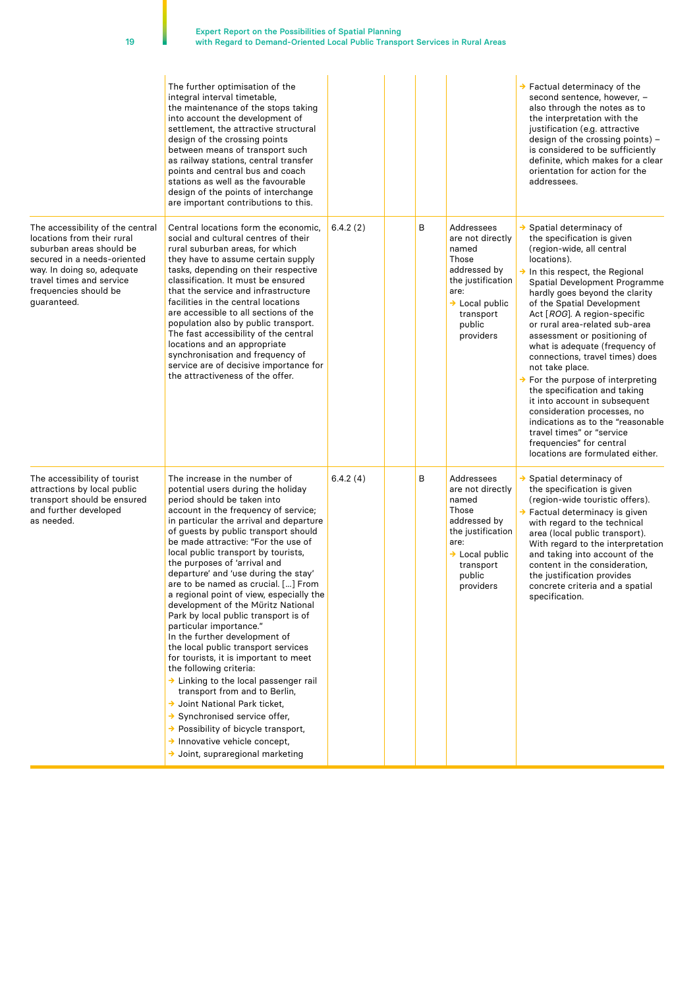|                                                                                                                                                                                                                             | The further optimisation of the<br>integral interval timetable,<br>the maintenance of the stops taking<br>into account the development of<br>settlement, the attractive structural<br>design of the crossing points<br>between means of transport such<br>as railway stations, central transfer<br>points and central bus and coach<br>stations as well as the favourable<br>design of the points of interchange<br>are important contributions to this.                                                                                                                                                                                                                                                                                                                                                                                                                                                                                                                                                                |          |   |                                                                                                                                                                 | $\rightarrow$ Factual determinacy of the<br>second sentence, however, -<br>also through the notes as to<br>the interpretation with the<br>justification (e.g. attractive<br>design of the crossing points) -<br>is considered to be sufficiently<br>definite, which makes for a clear<br>orientation for action for the<br>addressees.                                                                                                                                                                                                                                                                                                                                                                                                      |
|-----------------------------------------------------------------------------------------------------------------------------------------------------------------------------------------------------------------------------|-------------------------------------------------------------------------------------------------------------------------------------------------------------------------------------------------------------------------------------------------------------------------------------------------------------------------------------------------------------------------------------------------------------------------------------------------------------------------------------------------------------------------------------------------------------------------------------------------------------------------------------------------------------------------------------------------------------------------------------------------------------------------------------------------------------------------------------------------------------------------------------------------------------------------------------------------------------------------------------------------------------------------|----------|---|-----------------------------------------------------------------------------------------------------------------------------------------------------------------|---------------------------------------------------------------------------------------------------------------------------------------------------------------------------------------------------------------------------------------------------------------------------------------------------------------------------------------------------------------------------------------------------------------------------------------------------------------------------------------------------------------------------------------------------------------------------------------------------------------------------------------------------------------------------------------------------------------------------------------------|
| The accessibility of the central<br>locations from their rural<br>suburban areas should be<br>secured in a needs-oriented<br>way. In doing so, adequate<br>travel times and service<br>frequencies should be<br>guaranteed. | Central locations form the economic.<br>social and cultural centres of their<br>rural suburban areas, for which<br>they have to assume certain supply<br>tasks, depending on their respective<br>classification. It must be ensured<br>that the service and infrastructure<br>facilities in the central locations<br>are accessible to all sections of the<br>population also by public transport.<br>The fast accessibility of the central<br>locations and an appropriate<br>synchronisation and frequency of<br>service are of decisive importance for<br>the attractiveness of the offer.                                                                                                                                                                                                                                                                                                                                                                                                                           | 6.4.2(2) | В | Addressees<br>are not directly<br>named<br>Those<br>addressed by<br>the justification<br>are:<br>$\rightarrow$ Local public<br>transport<br>public<br>providers | $\rightarrow$ Spatial determinacy of<br>the specification is given<br>(region-wide, all central<br>locations).<br>$\rightarrow$ In this respect, the Regional<br>Spatial Development Programme<br>hardly goes beyond the clarity<br>of the Spatial Development<br>Act [ROG]. A region-specific<br>or rural area-related sub-area<br>assessment or positioning of<br>what is adequate (frequency of<br>connections, travel times) does<br>not take place.<br>$\rightarrow$ For the purpose of interpreting<br>the specification and taking<br>it into account in subsequent<br>consideration processes, no<br>indications as to the "reasonable<br>travel times" or "service<br>frequencies" for central<br>locations are formulated either. |
| The accessibility of tourist<br>attractions by local public<br>transport should be ensured<br>and further developed<br>as needed.                                                                                           | The increase in the number of<br>potential users during the holiday<br>period should be taken into<br>account in the frequency of service;<br>in particular the arrival and departure<br>of guests by public transport should<br>be made attractive: "For the use of<br>local public transport by tourists,<br>the purposes of 'arrival and<br>departure' and 'use during the stay'<br>are to be named as crucial. [] From<br>a regional point of view, especially the<br>development of the Müritz National<br>Park by local public transport is of<br>particular importance."<br>In the further development of<br>the local public transport services<br>for tourists, it is important to meet<br>the following criteria:<br>> Linking to the local passenger rail<br>transport from and to Berlin,<br>→ Joint National Park ticket,<br>$\rightarrow$ Synchronised service offer,<br>→ Possibility of bicycle transport,<br>$\rightarrow$ Innovative vehicle concept,<br>$\rightarrow$ Joint, supraregional marketing | 6.4.2(4) | в | Addressees<br>are not directly<br>named<br>Those<br>addressed by<br>the justification<br>are:<br>$\rightarrow$ Local public<br>transport<br>public<br>providers | $\rightarrow$ Spatial determinacy of<br>the specification is given<br>(region-wide touristic offers).<br>$\rightarrow$ Factual determinacy is given<br>with regard to the technical<br>area (local public transport).<br>With regard to the interpretation<br>and taking into account of the<br>content in the consideration,<br>the justification provides<br>concrete criteria and a spatial<br>specification.                                                                                                                                                                                                                                                                                                                            |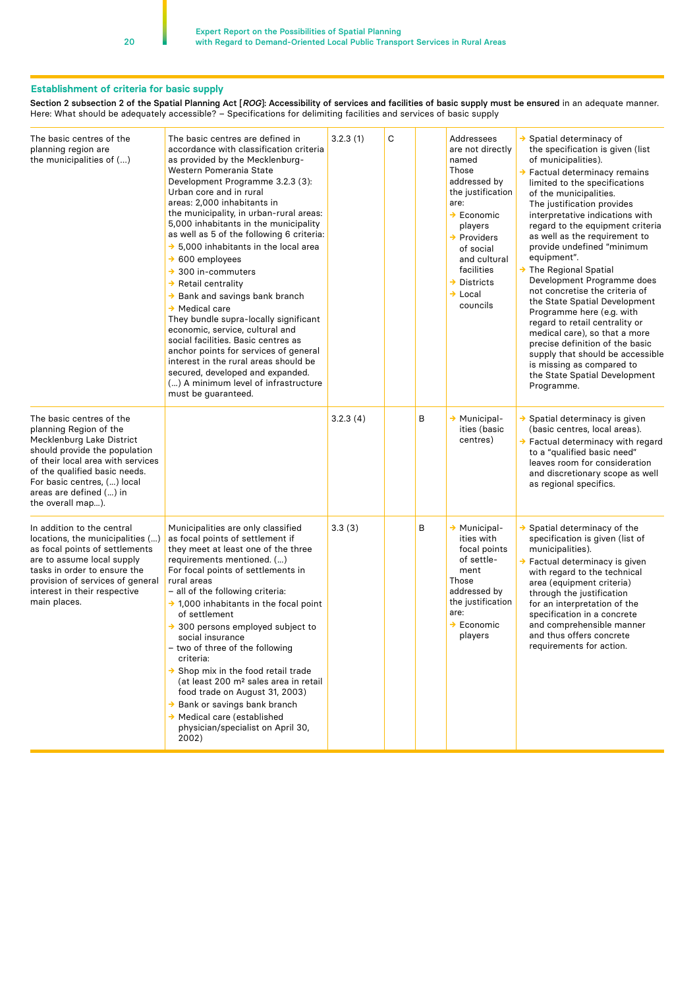#### **Establishment of criteria for basic supply**

Section 2 subsection 2 of the Spatial Planning Act [*ROG*]: Accessibility of services and facilities of basic supply must be ensured in an adequate manner. Here: What should be adequately accessible? – Specifications for delimiting facilities and services of basic supply

| The basic centres of the<br>planning region are<br>the municipalities of ()                                                                                                                                                                                           | The basic centres are defined in<br>accordance with classification criteria<br>as provided by the Mecklenburg-<br>Western Pomerania State<br>Development Programme 3.2.3 (3):<br>Urban core and in rural<br>areas: 2,000 inhabitants in<br>the municipality, in urban-rural areas:<br>5,000 inhabitants in the municipality<br>as well as 5 of the following 6 criteria:<br>$\rightarrow$ 5,000 inhabitants in the local area<br>$\rightarrow$ 600 employees<br>$\rightarrow$ 300 in-commuters<br>$\rightarrow$ Retail centrality<br>→ Bank and savings bank branch<br>$\rightarrow$ Medical care<br>They bundle supra-locally significant<br>economic, service, cultural and<br>social facilities. Basic centres as<br>anchor points for services of general<br>interest in the rural areas should be<br>secured, developed and expanded.<br>() A minimum level of infrastructure<br>must be guaranteed. | 3.2.3(1) | C |   | Addressees<br>are not directly<br>named<br>Those<br>addressed by<br>the justification<br>are:<br>$\rightarrow$ Economic<br>players<br>$\rightarrow$ Providers<br>of social<br>and cultural<br>facilities<br>$\rightarrow$<br><b>Districts</b><br>$\rightarrow$ Local<br>councils | $\rightarrow$ Spatial determinacy of<br>the specification is given (list<br>of municipalities).<br>$\rightarrow$ Factual determinacy remains<br>limited to the specifications<br>of the municipalities.<br>The justification provides<br>interpretative indications with<br>regard to the equipment criteria<br>as well as the requirement to<br>provide undefined "minimum<br>equipment".<br>→ The Regional Spatial<br>Development Programme does<br>not concretise the criteria of<br>the State Spatial Development<br>Programme here (e.g. with<br>regard to retail centrality or<br>medical care), so that a more<br>precise definition of the basic<br>supply that should be accessible<br>is missing as compared to<br>the State Spatial Development<br>Programme. |
|-----------------------------------------------------------------------------------------------------------------------------------------------------------------------------------------------------------------------------------------------------------------------|-----------------------------------------------------------------------------------------------------------------------------------------------------------------------------------------------------------------------------------------------------------------------------------------------------------------------------------------------------------------------------------------------------------------------------------------------------------------------------------------------------------------------------------------------------------------------------------------------------------------------------------------------------------------------------------------------------------------------------------------------------------------------------------------------------------------------------------------------------------------------------------------------------------|----------|---|---|----------------------------------------------------------------------------------------------------------------------------------------------------------------------------------------------------------------------------------------------------------------------------------|--------------------------------------------------------------------------------------------------------------------------------------------------------------------------------------------------------------------------------------------------------------------------------------------------------------------------------------------------------------------------------------------------------------------------------------------------------------------------------------------------------------------------------------------------------------------------------------------------------------------------------------------------------------------------------------------------------------------------------------------------------------------------|
| The basic centres of the<br>planning Region of the<br>Mecklenburg Lake District<br>should provide the population<br>of their local area with services<br>of the qualified basic needs.<br>For basic centres, () local<br>areas are defined () in<br>the overall map). |                                                                                                                                                                                                                                                                                                                                                                                                                                                                                                                                                                                                                                                                                                                                                                                                                                                                                                           | 3.2.3(4) |   | В | $\rightarrow$ Municipal-<br>ities (basic<br>centres)                                                                                                                                                                                                                             | → Spatial determinacy is given<br>(basic centres, local areas).<br>→ Factual determinacy with regard<br>to a "qualified basic need"<br>leaves room for consideration<br>and discretionary scope as well<br>as regional specifics.                                                                                                                                                                                                                                                                                                                                                                                                                                                                                                                                        |
| In addition to the central<br>locations, the municipalities ()<br>as focal points of settlements<br>are to assume local supply<br>tasks in order to ensure the<br>provision of services of general<br>interest in their respective<br>main places.                    | Municipalities are only classified<br>as focal points of settlement if<br>they meet at least one of the three<br>requirements mentioned. ()<br>For focal points of settlements in<br>rural areas<br>- all of the following criteria:<br>$\rightarrow$ 1,000 inhabitants in the focal point<br>of settlement<br>$\rightarrow$ 300 persons employed subject to<br>social insurance<br>- two of three of the following<br>criteria:<br>$\rightarrow$ Shop mix in the food retail trade<br>(at least 200 m <sup>2</sup> sales area in retail<br>food trade on August 31, 2003)<br>→ Bank or savings bank branch<br>$\rightarrow$ Medical care (established<br>physician/specialist on April 30,<br>2002)                                                                                                                                                                                                      | 3.3(3)   |   | В | $\rightarrow$ Municipal-<br>ities with<br>focal points<br>of settle-<br>ment<br>Those<br>addressed by<br>the justification<br>are:<br>$\rightarrow$ Economic<br>players                                                                                                          | $\rightarrow$ Spatial determinacy of the<br>specification is given (list of<br>municipalities).<br>→ Factual determinacy is given<br>with regard to the technical<br>area (equipment criteria)<br>through the justification<br>for an interpretation of the<br>specification in a concrete<br>and comprehensible manner<br>and thus offers concrete<br>requirements for action.                                                                                                                                                                                                                                                                                                                                                                                          |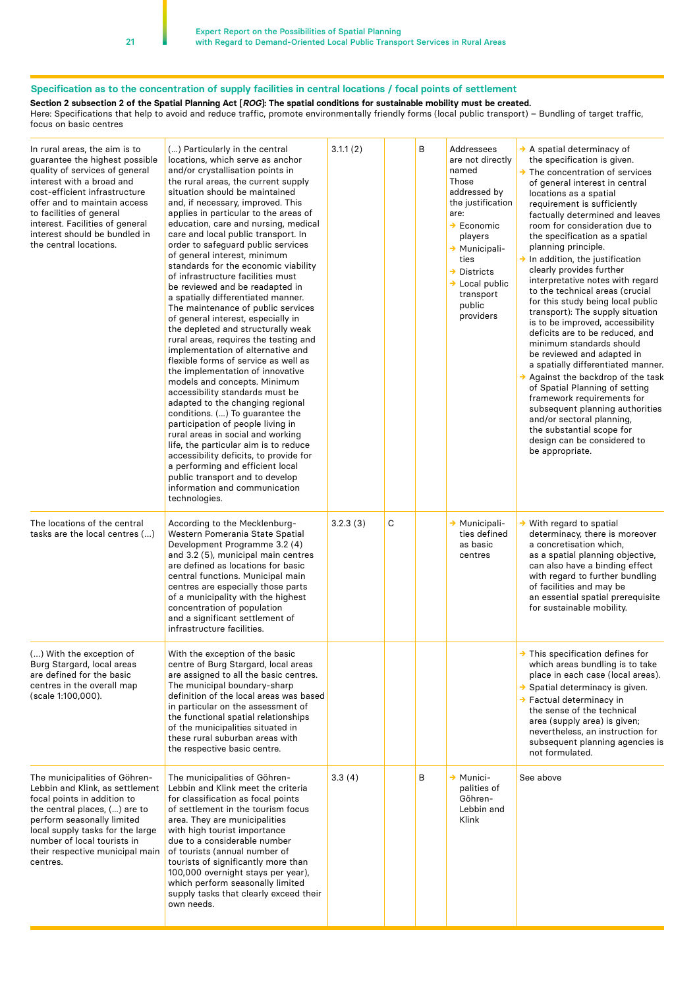## **Specification as to the concentration of supply facilities in central locations / focal points of settlement**

**Section 2 subsection 2 of the Spatial Planning Act [***ROG***]: The spatial conditions for sustainable mobility must be created.**

Here: Specifications that help to avoid and reduce traffic, promote environmentally friendly forms (local public transport) – Bundling of target traffic, focus on basic centres

| In rural areas, the aim is to<br>guarantee the highest possible<br>quality of services of general<br>interest with a broad and<br>cost-efficient infrastructure<br>offer and to maintain access<br>to facilities of general<br>interest. Facilities of general<br>interest should be bundled in<br>the central locations. | () Particularly in the central<br>locations, which serve as anchor<br>and/or crystallisation points in<br>the rural areas, the current supply<br>situation should be maintained<br>and, if necessary, improved. This<br>applies in particular to the areas of<br>education, care and nursing, medical<br>care and local public transport. In<br>order to safeguard public services<br>of general interest, minimum<br>standards for the economic viability<br>of infrastructure facilities must<br>be reviewed and be readapted in<br>a spatially differentiated manner.<br>The maintenance of public services<br>of general interest, especially in<br>the depleted and structurally weak<br>rural areas, requires the testing and<br>implementation of alternative and<br>flexible forms of service as well as<br>the implementation of innovative<br>models and concepts. Minimum<br>accessibility standards must be<br>adapted to the changing regional<br>conditions. () To guarantee the<br>participation of people living in<br>rural areas in social and working<br>life, the particular aim is to reduce<br>accessibility deficits, to provide for<br>a performing and efficient local<br>public transport and to develop<br>information and communication<br>technologies. | 3.1.1(2) |   | В | Addressees<br>are not directly<br>named<br>Those<br>addressed by<br>the justification<br>are:<br>$\rightarrow$ Economic<br>players<br>→ Municipali-<br>ties<br>$\rightarrow$ Districts<br>$\rightarrow$ Local public<br>transport<br>public<br>providers | $\rightarrow$ A spatial determinacy of<br>the specification is given.<br>$\rightarrow$ The concentration of services<br>of general interest in central<br>locations as a spatial<br>requirement is sufficiently<br>factually determined and leaves<br>room for consideration due to<br>the specification as a spatial<br>planning principle.<br>$\rightarrow$ In addition, the justification<br>clearly provides further<br>interpretative notes with regard<br>to the technical areas (crucial<br>for this study being local public<br>transport): The supply situation<br>is to be improved, accessibility<br>deficits are to be reduced, and<br>minimum standards should<br>be reviewed and adapted in<br>a spatially differentiated manner.<br>$\rightarrow$ Against the backdrop of the task<br>of Spatial Planning of setting<br>framework requirements for<br>subsequent planning authorities<br>and/or sectoral planning,<br>the substantial scope for<br>design can be considered to<br>be appropriate. |
|---------------------------------------------------------------------------------------------------------------------------------------------------------------------------------------------------------------------------------------------------------------------------------------------------------------------------|--------------------------------------------------------------------------------------------------------------------------------------------------------------------------------------------------------------------------------------------------------------------------------------------------------------------------------------------------------------------------------------------------------------------------------------------------------------------------------------------------------------------------------------------------------------------------------------------------------------------------------------------------------------------------------------------------------------------------------------------------------------------------------------------------------------------------------------------------------------------------------------------------------------------------------------------------------------------------------------------------------------------------------------------------------------------------------------------------------------------------------------------------------------------------------------------------------------------------------------------------------------------------------------|----------|---|---|----------------------------------------------------------------------------------------------------------------------------------------------------------------------------------------------------------------------------------------------------------|------------------------------------------------------------------------------------------------------------------------------------------------------------------------------------------------------------------------------------------------------------------------------------------------------------------------------------------------------------------------------------------------------------------------------------------------------------------------------------------------------------------------------------------------------------------------------------------------------------------------------------------------------------------------------------------------------------------------------------------------------------------------------------------------------------------------------------------------------------------------------------------------------------------------------------------------------------------------------------------------------------------|
| The locations of the central<br>tasks are the local centres ()                                                                                                                                                                                                                                                            | According to the Mecklenburg-<br>Western Pomerania State Spatial<br>Development Programme 3.2 (4)<br>and 3.2 (5), municipal main centres<br>are defined as locations for basic<br>central functions. Municipal main<br>centres are especially those parts<br>of a municipality with the highest<br>concentration of population<br>and a significant settlement of<br>infrastructure facilities.                                                                                                                                                                                                                                                                                                                                                                                                                                                                                                                                                                                                                                                                                                                                                                                                                                                                                      | 3.2.3(3) | С |   | → Municipali-<br>ties defined<br>as basic<br>centres                                                                                                                                                                                                     | $\rightarrow$ With regard to spatial<br>determinacy, there is moreover<br>a concretisation which,<br>as a spatial planning objective,<br>can also have a binding effect<br>with regard to further bundling<br>of facilities and may be<br>an essential spatial prerequisite<br>for sustainable mobility.                                                                                                                                                                                                                                                                                                                                                                                                                                                                                                                                                                                                                                                                                                         |
| () With the exception of<br>Burg Stargard, local areas<br>are defined for the basic<br>centres in the overall map<br>(scale 1:100,000).                                                                                                                                                                                   | With the exception of the basic<br>centre of Burg Stargard, local areas<br>are assigned to all the basic centres.<br>The municipal boundary-sharp<br>definition of the local areas was based<br>in particular on the assessment of<br>the functional spatial relationships<br>of the municipalities situated in<br>these rural suburban areas with<br>the respective basic centre.                                                                                                                                                                                                                                                                                                                                                                                                                                                                                                                                                                                                                                                                                                                                                                                                                                                                                                   |          |   |   |                                                                                                                                                                                                                                                          | $\rightarrow$ This specification defines for<br>which areas bundling is to take<br>place in each case (local areas).<br>$\rightarrow$ Spatial determinacy is given.<br>$\rightarrow$ Factual determinacy in<br>the sense of the technical<br>area (supply area) is given;<br>nevertheless, an instruction for<br>subsequent planning agencies is<br>not formulated.                                                                                                                                                                                                                                                                                                                                                                                                                                                                                                                                                                                                                                              |
| The municipalities of Göhren-<br>Lebbin and Klink, as settlement<br>focal points in addition to<br>the central places, () are to<br>perform seasonally limited<br>local supply tasks for the large<br>number of local tourists in<br>their respective municipal main<br>centres.                                          | The municipalities of Göhren-<br>Lebbin and Klink meet the criteria<br>for classification as focal points<br>of settlement in the tourism focus<br>area. They are municipalities<br>with high tourist importance<br>due to a considerable number<br>of tourists (annual number of<br>tourists of significantly more than<br>100,000 overnight stays per year),<br>which perform seasonally limited<br>supply tasks that clearly exceed their<br>own needs.                                                                                                                                                                                                                                                                                                                                                                                                                                                                                                                                                                                                                                                                                                                                                                                                                           | 3.3(4)   |   | В | $\rightarrow$ Munici-<br>palities of<br>Göhren-<br>Lebbin and<br>Klink                                                                                                                                                                                   | See above                                                                                                                                                                                                                                                                                                                                                                                                                                                                                                                                                                                                                                                                                                                                                                                                                                                                                                                                                                                                        |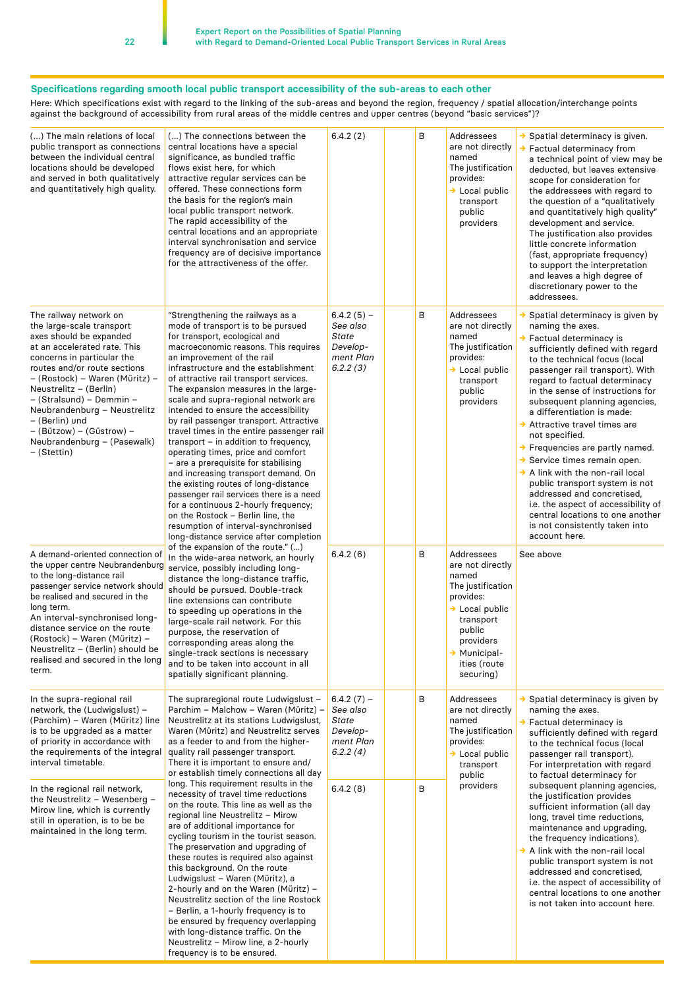#### **Specifications regarding smooth local public transport accessibility of the sub-areas to each other**

Here: Which specifications exist with regard to the linking of the sub-areas and beyond the region, frequency / spatial allocation/interchange points against the background of accessibility from rural areas of the middle centres and upper centres (beyond "basic services")?

| () The main relations of local<br>public transport as connections<br>between the individual central<br>locations should be developed<br>and served in both qualitatively<br>and quantitatively high quality.                                                                                                                                                                                     | () The connections between the<br>central locations have a special<br>significance, as bundled traffic<br>flows exist here, for which<br>attractive regular services can be<br>offered. These connections form<br>the basis for the region's main<br>local public transport network.<br>The rapid accessibility of the<br>central locations and an appropriate<br>interval synchronisation and service<br>frequency are of decisive importance<br>for the attractiveness of the offer.                                                                                                                                                                                                                                                                                                                                                                                                                                               | 6.4.2(2)                                                               | B | Addressees<br>are not directly<br>named<br>The justification<br>provides:<br>$\rightarrow$ Local public<br>transport<br>public<br>providers                                            | $\rightarrow$ Spatial determinacy is given.<br>$\rightarrow$ Factual determinacy from<br>a technical point of view may be<br>deducted, but leaves extensive<br>scope for consideration for<br>the addressees with regard to<br>the question of a "qualitatively<br>and quantitatively high quality"<br>development and service.<br>The justification also provides<br>little concrete information<br>(fast, appropriate frequency)<br>to support the interpretation<br>and leaves a high degree of<br>discretionary power to the<br>addressees.                                                                                                                                                                                                   |
|--------------------------------------------------------------------------------------------------------------------------------------------------------------------------------------------------------------------------------------------------------------------------------------------------------------------------------------------------------------------------------------------------|--------------------------------------------------------------------------------------------------------------------------------------------------------------------------------------------------------------------------------------------------------------------------------------------------------------------------------------------------------------------------------------------------------------------------------------------------------------------------------------------------------------------------------------------------------------------------------------------------------------------------------------------------------------------------------------------------------------------------------------------------------------------------------------------------------------------------------------------------------------------------------------------------------------------------------------|------------------------------------------------------------------------|---|----------------------------------------------------------------------------------------------------------------------------------------------------------------------------------------|---------------------------------------------------------------------------------------------------------------------------------------------------------------------------------------------------------------------------------------------------------------------------------------------------------------------------------------------------------------------------------------------------------------------------------------------------------------------------------------------------------------------------------------------------------------------------------------------------------------------------------------------------------------------------------------------------------------------------------------------------|
| The railway network on<br>the large-scale transport<br>axes should be expanded<br>at an accelerated rate. This<br>concerns in particular the<br>routes and/or route sections<br>– (Rostock) – Waren (Müritz) –<br>Neustrelitz – (Berlin)<br>- (Stralsund) - Demmin -<br>Neubrandenburg - Neustrelitz<br>– (Berlin) und<br>– (Bützow) – (Güstrow) –<br>Neubrandenburg - (Pasewalk)<br>– (Stettin) | "Strengthening the railways as a<br>mode of transport is to be pursued<br>for transport, ecological and<br>macroeconomic reasons. This requires<br>an improvement of the rail<br>infrastructure and the establishment<br>of attractive rail transport services.<br>The expansion measures in the large-<br>scale and supra-regional network are<br>intended to ensure the accessibility<br>by rail passenger transport. Attractive<br>travel times in the entire passenger rail<br>transport – in addition to frequency,<br>operating times, price and comfort<br>- are a prerequisite for stabilising<br>and increasing transport demand. On<br>the existing routes of long-distance<br>passenger rail services there is a need<br>for a continuous 2-hourly frequency;<br>on the Rostock - Berlin line, the<br>resumption of interval-synchronised<br>long-distance service after completion<br>of the expansion of the route." () | $6.4.2(5) -$<br>See also<br>State<br>Develop-<br>ment Plan<br>6.2.2(3) | В | Addressees<br>are not directly<br>named<br>The justification<br>provides:<br>$\rightarrow$ Local public<br>transport<br>public<br>providers                                            | $\rightarrow$ Spatial determinacy is given by<br>naming the axes.<br>→ Factual determinacy is<br>sufficiently defined with regard<br>to the technical focus (local<br>passenger rail transport). With<br>regard to factual determinacy<br>in the sense of instructions for<br>subsequent planning agencies,<br>a differentiation is made:<br>$\rightarrow$ Attractive travel times are<br>not specified.<br>$\rightarrow$ Frequencies are partly named.<br>$\rightarrow$ Service times remain open.<br>$\rightarrow$ A link with the non-rail local<br>public transport system is not<br>addressed and concretised,<br>i.e. the aspect of accessibility of<br>central locations to one another<br>is not consistently taken into<br>account here. |
| A demand-oriented connection of<br>the upper centre Neubrandenburg<br>to the long-distance rail<br>passenger service network should<br>be realised and secured in the<br>long term.<br>An interval-synchronised long-<br>distance service on the route<br>(Rostock) – Waren (Müritz) –<br>Neustrelitz $-$ (Berlin) should be<br>realised and secured in the long<br>term.                        | In the wide-area network, an hourly<br>service, possibly including long-<br>distance the long-distance traffic,<br>should be pursued. Double-track<br>line extensions can contribute<br>to speeding up operations in the<br>large-scale rail network. For this<br>purpose, the reservation of<br>corresponding areas along the<br>single-track sections is necessary<br>and to be taken into account in all<br>spatially significant planning.                                                                                                                                                                                                                                                                                                                                                                                                                                                                                       | 6.4.2(6)                                                               | В | Addressees<br>are not directly<br>named<br>The justification<br>provides:<br>$\rightarrow$ Local public<br>transport<br>public<br>providers<br>Municipal-<br>ities (route<br>securing) | See above                                                                                                                                                                                                                                                                                                                                                                                                                                                                                                                                                                                                                                                                                                                                         |
| In the supra-regional rail<br>network, the (Ludwigslust) -<br>(Parchim) – Waren (Müritz) line<br>is to be upgraded as a matter<br>of priority in accordance with<br>the requirements of the integral<br>interval timetable.                                                                                                                                                                      | The supraregional route Ludwigslust -<br>Parchim - Malchow - Waren (Müritz) -<br>Neustrelitz at its stations Ludwigslust,<br>Waren (Müritz) and Neustrelitz serves<br>as a feeder to and from the higher-<br>quality rail passenger transport.<br>There it is important to ensure and/<br>or establish timely connections all day                                                                                                                                                                                                                                                                                                                                                                                                                                                                                                                                                                                                    | $6.4.2(7) -$<br>See also<br>State<br>Develop-<br>ment Plan<br>6.2.2(4) | В | Addressees<br>are not directly<br>named<br>The justification<br>provides:<br>$\rightarrow$ Local public<br>transport<br>public                                                         | $\rightarrow$ Spatial determinacy is given by<br>naming the axes.<br>$\rightarrow$ Factual determinacy is<br>sufficiently defined with regard<br>to the technical focus (local<br>passenger rail transport).<br>For interpretation with regard<br>to factual determinacy for                                                                                                                                                                                                                                                                                                                                                                                                                                                                      |
| In the regional rail network,<br>the Neustrelitz - Wesenberg -<br>Mirow line, which is currently<br>still in operation, is to be be<br>maintained in the long term.                                                                                                                                                                                                                              | long. This requirement results in the<br>necessity of travel time reductions<br>on the route. This line as well as the<br>regional line Neustrelitz - Mirow<br>are of additional importance for<br>cycling tourism in the tourist season.<br>The preservation and upgrading of<br>these routes is required also against<br>this background. On the route<br>Ludwigslust - Waren (Müritz), a<br>2-hourly and on the Waren (Müritz) -<br>Neustrelitz section of the line Rostock<br>- Berlin, a 1-hourly frequency is to<br>be ensured by frequency overlapping<br>with long-distance traffic. On the<br>Neustrelitz - Mirow line, a 2-hourly<br>frequency is to be ensured.                                                                                                                                                                                                                                                           | 6.4.2(8)                                                               | B | providers                                                                                                                                                                              | subsequent planning agencies,<br>the justification provides<br>sufficient information (all day<br>long, travel time reductions,<br>maintenance and upgrading,<br>the frequency indications).<br>$\rightarrow$ A link with the non-rail local<br>public transport system is not<br>addressed and concretised,<br>i.e. the aspect of accessibility of<br>central locations to one another<br>is not taken into account here.                                                                                                                                                                                                                                                                                                                        |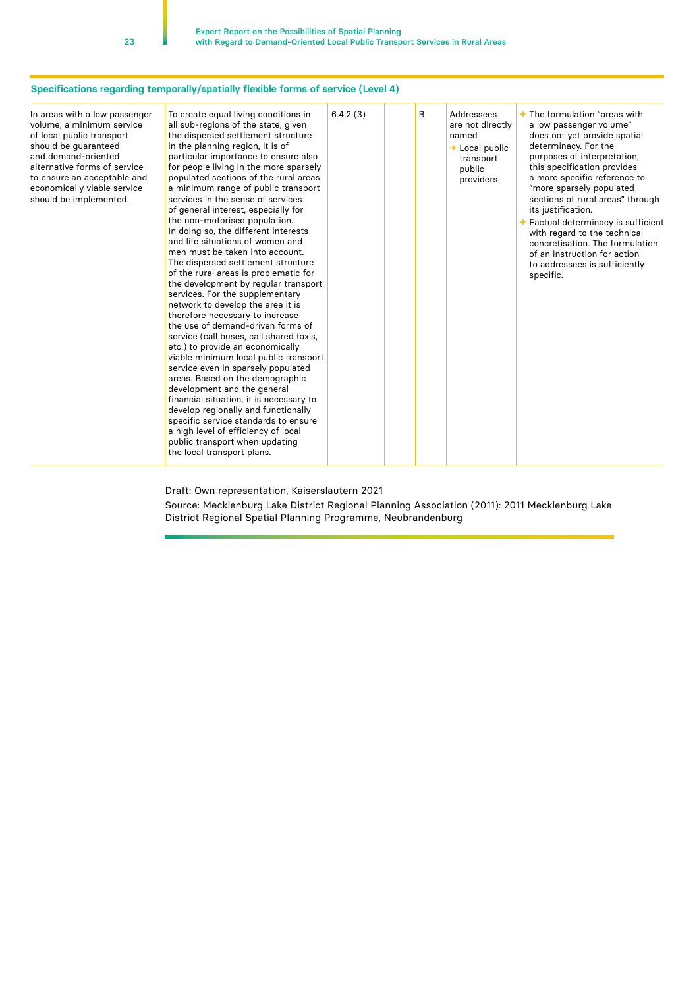#### **Specifications regarding temporally/spatially flexible forms of service (Level 4)**

| In areas with a low passenger<br>volume, a minimum service<br>of local public transport<br>should be guaranteed<br>and demand-oriented<br>alternative forms of service<br>to ensure an acceptable and<br>economically viable service<br>should be implemented. | To create equal living conditions in<br>all sub-regions of the state, given<br>the dispersed settlement structure<br>in the planning region, it is of<br>particular importance to ensure also<br>for people living in the more sparsely<br>populated sections of the rural areas<br>a minimum range of public transport<br>services in the sense of services<br>of general interest, especially for<br>the non-motorised population.<br>In doing so, the different interests<br>and life situations of women and<br>men must be taken into account.<br>The dispersed settlement structure<br>of the rural areas is problematic for<br>the development by regular transport<br>services. For the supplementary<br>network to develop the area it is<br>therefore necessary to increase<br>the use of demand-driven forms of<br>service (call buses, call shared taxis,<br>etc.) to provide an economically<br>viable minimum local public transport<br>service even in sparsely populated<br>areas. Based on the demographic<br>development and the general<br>financial situation, it is necessary to<br>develop regionally and functionally<br>specific service standards to ensure<br>a high level of efficiency of local<br>public transport when updating<br>the local transport plans. | 6.4.2(3) | B | Addressees<br>are not directly<br>named<br>$\rightarrow$ Local public<br>transport<br>public<br>providers | $\rightarrow$ The formulation "areas with<br>a low passenger volume"<br>does not yet provide spatial<br>determinacy. For the<br>purposes of interpretation,<br>this specification provides<br>a more specific reference to:<br>"more sparsely populated<br>sections of rural areas" through<br>its justification.<br>$\rightarrow$ Factual determinacy is sufficient<br>with regard to the technical<br>concretisation. The formulation<br>of an instruction for action<br>to addressees is sufficiently<br>specific. |
|----------------------------------------------------------------------------------------------------------------------------------------------------------------------------------------------------------------------------------------------------------------|---------------------------------------------------------------------------------------------------------------------------------------------------------------------------------------------------------------------------------------------------------------------------------------------------------------------------------------------------------------------------------------------------------------------------------------------------------------------------------------------------------------------------------------------------------------------------------------------------------------------------------------------------------------------------------------------------------------------------------------------------------------------------------------------------------------------------------------------------------------------------------------------------------------------------------------------------------------------------------------------------------------------------------------------------------------------------------------------------------------------------------------------------------------------------------------------------------------------------------------------------------------------------------------------|----------|---|-----------------------------------------------------------------------------------------------------------|-----------------------------------------------------------------------------------------------------------------------------------------------------------------------------------------------------------------------------------------------------------------------------------------------------------------------------------------------------------------------------------------------------------------------------------------------------------------------------------------------------------------------|

Draft: Own representation, Kaiserslautern 2021

Source: Mecklenburg Lake District Regional Planning Association (2011): 2011 Mecklenburg Lake District Regional Spatial Planning Programme, Neubrandenburg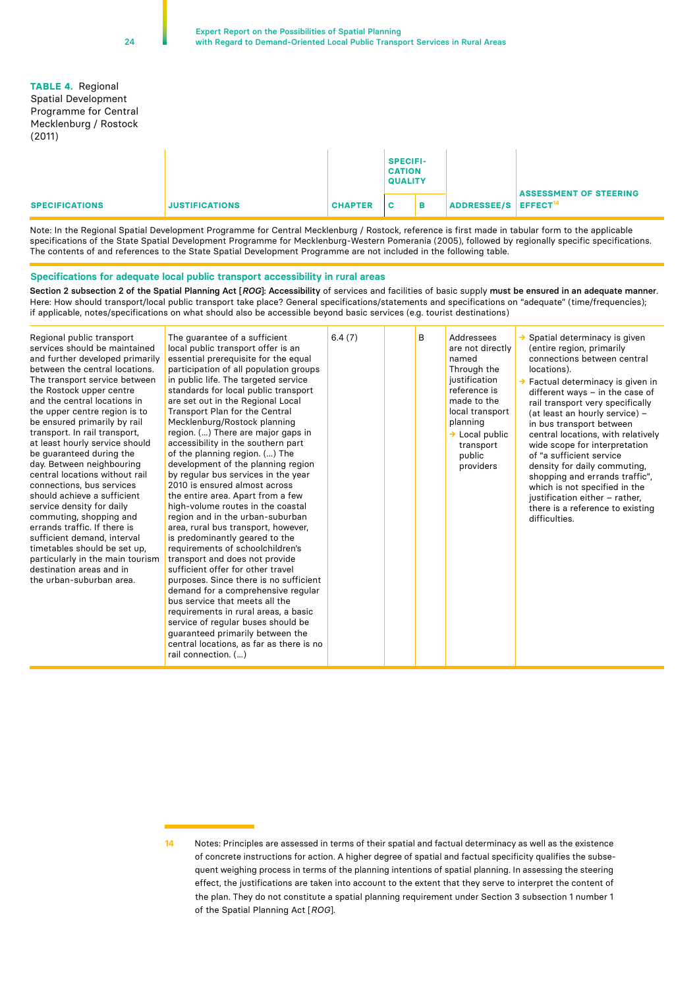#### **TABLE 4.** Regional Spatial Development Programme for Central Mecklenburg / Rostock (2011)

|                       |                       |                | <b>SPECIFI-</b><br><b>CATION</b><br><b>QUALITY</b> |  |                                  |                               |
|-----------------------|-----------------------|----------------|----------------------------------------------------|--|----------------------------------|-------------------------------|
| <b>SPECIFICATIONS</b> | <b>JUSTIFICATIONS</b> | <b>CHAPTER</b> | <b>C</b>                                           |  | ADDRESSEE/S EFFECT <sup>14</sup> | <b>ASSESSMENT OF STEERING</b> |

Note: In the Regional Spatial Development Programme for Central Mecklenburg / Rostock, reference is first made in tabular form to the applicable specifications of the State Spatial Development Programme for Mecklenburg-Western Pomerania (2005), followed by regionally specific specifications. The contents of and references to the State Spatial Development Programme are not included in the following table.

#### **Specifications for adequate local public transport accessibility in rural areas**

Section 2 subsection 2 of the Spatial Planning Act [ROG]: Accessibility of services and facilities of basic supply must be ensured in an adequate manner. Here: How should transport/local public transport take place? General specifications/statements and specifications on "adequate" (time/frequencies); if applicable, notes/specifications on what should also be accessible beyond basic services (e.g. tourist destinations)

| Regional public transport<br>services should be maintained<br>and further developed primarily<br>between the central locations.<br>The transport service between<br>the Rostock upper centre<br>and the central locations in<br>the upper centre region is to<br>be ensured primarily by rail<br>transport. In rail transport,<br>at least hourly service should<br>be guaranteed during the<br>day. Between neighbouring<br>central locations without rail<br>connections, bus services<br>should achieve a sufficient<br>service density for daily<br>commuting, shopping and<br>errands traffic. If there is<br>sufficient demand, interval<br>timetables should be set up.<br>particularly in the main tourism<br>destination areas and in<br>the urban-suburban area. | The quarantee of a sufficient<br>local public transport offer is an<br>essential prerequisite for the equal<br>participation of all population groups<br>in public life. The targeted service<br>standards for local public transport<br>are set out in the Regional Local<br>Transport Plan for the Central<br>Mecklenburg/Rostock planning<br>region. () There are major gaps in<br>accessibility in the southern part<br>of the planning region. () The<br>development of the planning region<br>by regular bus services in the year<br>2010 is ensured almost across<br>the entire area. Apart from a few<br>high-volume routes in the coastal<br>region and in the urban-suburban<br>area, rural bus transport, however,<br>is predominantly geared to the<br>requirements of schoolchildren's<br>transport and does not provide<br>sufficient offer for other travel<br>purposes. Since there is no sufficient<br>demand for a comprehensive regular<br>bus service that meets all the<br>requirements in rural areas, a basic<br>service of regular buses should be<br>guaranteed primarily between the<br>central locations, as far as there is no<br>rail connection. () | 6.4(7) |  | B | Addressees<br>are not directly<br>named<br>Through the<br>justification<br>reference is<br>made to the<br>local transport<br>planning<br>$\rightarrow$ Local public<br>transport<br>public<br>providers | $\rightarrow$ Spatial determinacy is given<br>(entire region, primarily<br>connections between central<br>locations).<br>$\rightarrow$ Factual determinacy is given in<br>different ways $-$ in the case of<br>rail transport very specifically<br>(at least an hourly service) -<br>in bus transport between<br>central locations, with relatively<br>wide scope for interpretation<br>of "a sufficient service<br>density for daily commuting,<br>shopping and errands traffic",<br>which is not specified in the<br>justification either - rather,<br>there is a reference to existing<br>difficulties. |
|----------------------------------------------------------------------------------------------------------------------------------------------------------------------------------------------------------------------------------------------------------------------------------------------------------------------------------------------------------------------------------------------------------------------------------------------------------------------------------------------------------------------------------------------------------------------------------------------------------------------------------------------------------------------------------------------------------------------------------------------------------------------------|-----------------------------------------------------------------------------------------------------------------------------------------------------------------------------------------------------------------------------------------------------------------------------------------------------------------------------------------------------------------------------------------------------------------------------------------------------------------------------------------------------------------------------------------------------------------------------------------------------------------------------------------------------------------------------------------------------------------------------------------------------------------------------------------------------------------------------------------------------------------------------------------------------------------------------------------------------------------------------------------------------------------------------------------------------------------------------------------------------------------------------------------------------------------------------------|--------|--|---|---------------------------------------------------------------------------------------------------------------------------------------------------------------------------------------------------------|------------------------------------------------------------------------------------------------------------------------------------------------------------------------------------------------------------------------------------------------------------------------------------------------------------------------------------------------------------------------------------------------------------------------------------------------------------------------------------------------------------------------------------------------------------------------------------------------------------|
|----------------------------------------------------------------------------------------------------------------------------------------------------------------------------------------------------------------------------------------------------------------------------------------------------------------------------------------------------------------------------------------------------------------------------------------------------------------------------------------------------------------------------------------------------------------------------------------------------------------------------------------------------------------------------------------------------------------------------------------------------------------------------|-----------------------------------------------------------------------------------------------------------------------------------------------------------------------------------------------------------------------------------------------------------------------------------------------------------------------------------------------------------------------------------------------------------------------------------------------------------------------------------------------------------------------------------------------------------------------------------------------------------------------------------------------------------------------------------------------------------------------------------------------------------------------------------------------------------------------------------------------------------------------------------------------------------------------------------------------------------------------------------------------------------------------------------------------------------------------------------------------------------------------------------------------------------------------------------|--------|--|---|---------------------------------------------------------------------------------------------------------------------------------------------------------------------------------------------------------|------------------------------------------------------------------------------------------------------------------------------------------------------------------------------------------------------------------------------------------------------------------------------------------------------------------------------------------------------------------------------------------------------------------------------------------------------------------------------------------------------------------------------------------------------------------------------------------------------------|

**<sup>14</sup>** Notes: Principles are assessed in terms of their spatial and factual determinacy as well as the existence of concrete instructions for action. A higher degree of spatial and factual specificity qualifies the subsequent weighing process in terms of the planning intentions of spatial planning. In assessing the steering effect, the justifications are taken into account to the extent that they serve to interpret the content of the plan. They do not constitute a spatial planning requirement under Section 3 subsection 1 number 1 of the Spatial Planning Act [*ROG*].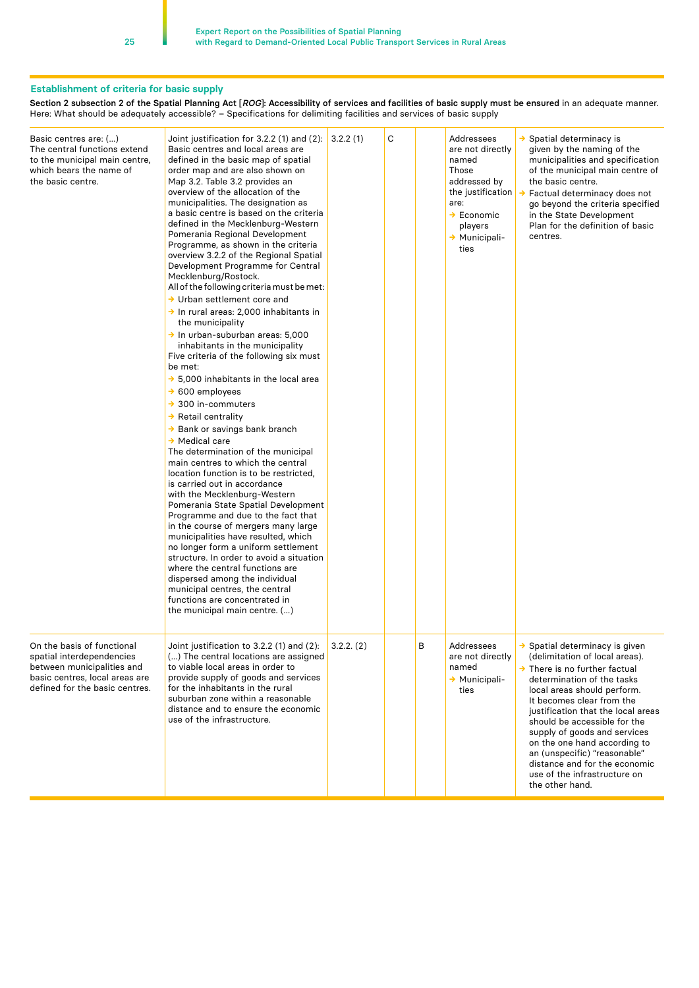#### **Establishment of criteria for basic supply**

Section 2 subsection 2 of the Spatial Planning Act [*ROG*]: Accessibility of services and facilities of basic supply must be ensured in an adequate manner. Here: What should be adequately accessible? – Specifications for delimiting facilities and services of basic supply

| Basic centres are: ()<br>The central functions extend<br>to the municipal main centre,<br>which bears the name of<br>the basic centre.                    | Joint justification for 3.2.2 (1) and (2):<br>Basic centres and local areas are<br>defined in the basic map of spatial<br>order map and are also shown on<br>Map 3.2. Table 3.2 provides an<br>overview of the allocation of the<br>municipalities. The designation as<br>a basic centre is based on the criteria<br>defined in the Mecklenburg-Western<br>Pomerania Regional Development<br>Programme, as shown in the criteria<br>overview 3.2.2 of the Regional Spatial<br>Development Programme for Central<br>Mecklenburg/Rostock.<br>All of the following criteria must be met:<br>$\rightarrow$ Urban settlement core and<br>$\rightarrow$ In rural areas: 2,000 inhabitants in<br>the municipality<br>$\rightarrow$ In urban-suburban areas: 5,000<br>inhabitants in the municipality<br>Five criteria of the following six must<br>be met:<br>$\rightarrow$ 5,000 inhabitants in the local area<br>$\rightarrow$ 600 employees<br>$\rightarrow$ 300 in-commuters<br>$\rightarrow$ Retail centrality<br>→ Bank or savings bank branch<br>$\rightarrow$ Medical care<br>The determination of the municipal<br>main centres to which the central<br>location function is to be restricted.<br>is carried out in accordance<br>with the Mecklenburg-Western<br>Pomerania State Spatial Development<br>Programme and due to the fact that<br>in the course of mergers many large<br>municipalities have resulted, which<br>no longer form a uniform settlement<br>structure. In order to avoid a situation<br>where the central functions are<br>dispersed among the individual<br>municipal centres, the central<br>functions are concentrated in<br>the municipal main centre. () | 3.2.2(1)   | C |   | Addressees<br>are not directly<br>named<br>Those<br>addressed by<br>the justification<br>are:<br>$\rightarrow$ Economic<br>players<br>$\rightarrow$ Municipali-<br>ties | $\rightarrow$ Spatial determinacy is<br>given by the naming of the<br>municipalities and specification<br>of the municipal main centre of<br>the basic centre.<br>Factual determinacy does not<br>→<br>go beyond the criteria specified<br>in the State Development<br>Plan for the definition of basic<br>centres.                                                                                                                                                           |
|-----------------------------------------------------------------------------------------------------------------------------------------------------------|-----------------------------------------------------------------------------------------------------------------------------------------------------------------------------------------------------------------------------------------------------------------------------------------------------------------------------------------------------------------------------------------------------------------------------------------------------------------------------------------------------------------------------------------------------------------------------------------------------------------------------------------------------------------------------------------------------------------------------------------------------------------------------------------------------------------------------------------------------------------------------------------------------------------------------------------------------------------------------------------------------------------------------------------------------------------------------------------------------------------------------------------------------------------------------------------------------------------------------------------------------------------------------------------------------------------------------------------------------------------------------------------------------------------------------------------------------------------------------------------------------------------------------------------------------------------------------------------------------------------------------------------------------------------------------------------|------------|---|---|-------------------------------------------------------------------------------------------------------------------------------------------------------------------------|-------------------------------------------------------------------------------------------------------------------------------------------------------------------------------------------------------------------------------------------------------------------------------------------------------------------------------------------------------------------------------------------------------------------------------------------------------------------------------|
| On the basis of functional<br>spatial interdependencies<br>between municipalities and<br>basic centres, local areas are<br>defined for the basic centres. | Joint justification to 3.2.2 (1) and (2):<br>() The central locations are assigned<br>to viable local areas in order to<br>provide supply of goods and services<br>for the inhabitants in the rural<br>suburban zone within a reasonable<br>distance and to ensure the economic<br>use of the infrastructure.                                                                                                                                                                                                                                                                                                                                                                                                                                                                                                                                                                                                                                                                                                                                                                                                                                                                                                                                                                                                                                                                                                                                                                                                                                                                                                                                                                           | 3.2.2. (2) |   | В | Addressees<br>are not directly<br>named<br>→ Municipali-<br>ties                                                                                                        | $\rightarrow$ Spatial determinacy is given<br>(delimitation of local areas).<br>$\rightarrow$ There is no further factual<br>determination of the tasks<br>local areas should perform.<br>It becomes clear from the<br>justification that the local areas<br>should be accessible for the<br>supply of goods and services<br>on the one hand according to<br>an (unspecific) "reasonable"<br>distance and for the economic<br>use of the infrastructure on<br>the other hand. |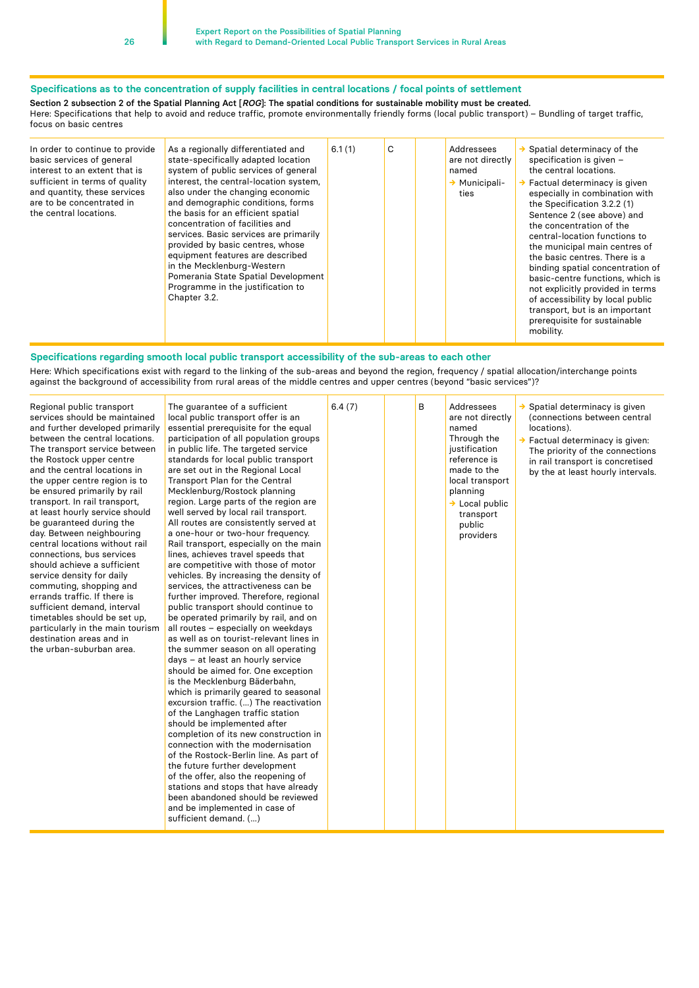#### **Specifications as to the concentration of supply facilities in central locations / focal points of settlement**

Section 2 subsection 2 of the Spatial Planning Act [*ROG*]: The spatial conditions for sustainable mobility must be created.

Here: Specifications that help to avoid and reduce traffic, promote environmentally friendly forms (local public transport) – Bundling of target traffic, focus on basic centres

| In order to continue to provide<br>basic services of general<br>interest to an extent that is<br>sufficient in terms of quality<br>and quantity, these services<br>are to be concentrated in<br>the central locations. | As a regionally differentiated and<br>state-specifically adapted location<br>system of public services of general<br>interest, the central-location system,<br>also under the changing economic<br>and demographic conditions, forms<br>the basis for an efficient spatial<br>concentration of facilities and<br>services. Basic services are primarily<br>provided by basic centres, whose<br>equipment features are described<br>in the Mecklenburg-Western<br>Pomerania State Spatial Development<br>Programme in the justification to<br>Chapter 3.2. | 6.1(1) | C |  | Addressees<br>are not directly<br>named<br>$\rightarrow$ Municipali-<br>ties | Spatial determinacy of the<br>specification is given -<br>the central locations.<br>$\rightarrow$ Factual determinacy is given<br>especially in combination with<br>the Specification 3.2.2 (1)<br>Sentence 2 (see above) and<br>the concentration of the<br>central-location functions to<br>the municipal main centres of<br>the basic centres. There is a<br>binding spatial concentration of<br>basic-centre functions, which is<br>not explicitly provided in terms<br>of accessibility by local public<br>transport, but is an important<br>prerequisite for sustainable<br>mobility. |
|------------------------------------------------------------------------------------------------------------------------------------------------------------------------------------------------------------------------|-----------------------------------------------------------------------------------------------------------------------------------------------------------------------------------------------------------------------------------------------------------------------------------------------------------------------------------------------------------------------------------------------------------------------------------------------------------------------------------------------------------------------------------------------------------|--------|---|--|------------------------------------------------------------------------------|---------------------------------------------------------------------------------------------------------------------------------------------------------------------------------------------------------------------------------------------------------------------------------------------------------------------------------------------------------------------------------------------------------------------------------------------------------------------------------------------------------------------------------------------------------------------------------------------|
|------------------------------------------------------------------------------------------------------------------------------------------------------------------------------------------------------------------------|-----------------------------------------------------------------------------------------------------------------------------------------------------------------------------------------------------------------------------------------------------------------------------------------------------------------------------------------------------------------------------------------------------------------------------------------------------------------------------------------------------------------------------------------------------------|--------|---|--|------------------------------------------------------------------------------|---------------------------------------------------------------------------------------------------------------------------------------------------------------------------------------------------------------------------------------------------------------------------------------------------------------------------------------------------------------------------------------------------------------------------------------------------------------------------------------------------------------------------------------------------------------------------------------------|

#### **Specifications regarding smooth local public transport accessibility of the sub-areas to each other**

Here: Which specifications exist with regard to the linking of the sub-areas and beyond the region, frequency / spatial allocation/interchange points against the background of accessibility from rural areas of the middle centres and upper centres (beyond "basic services")?

| Regional public transport<br>services should be maintained<br>and further developed primarily<br>between the central locations.<br>The transport service between<br>the Rostock upper centre<br>and the central locations in<br>the upper centre region is to<br>be ensured primarily by rail<br>transport. In rail transport,<br>at least hourly service should<br>be guaranteed during the<br>day. Between neighbouring<br>central locations without rail<br>connections, bus services<br>should achieve a sufficient<br>service density for daily<br>commuting, shopping and<br>errands traffic. If there is<br>sufficient demand, interval<br>timetables should be set up,<br>particularly in the main tourism<br>destination areas and in<br>the urban-suburban area. | The guarantee of a sufficient<br>local public transport offer is an<br>essential prerequisite for the equal<br>participation of all population groups<br>in public life. The targeted service<br>standards for local public transport<br>are set out in the Regional Local<br>Transport Plan for the Central<br>Mecklenburg/Rostock planning<br>region. Large parts of the region are<br>well served by local rail transport.<br>All routes are consistently served at<br>a one-hour or two-hour frequency.<br>Rail transport, especially on the main<br>lines, achieves travel speeds that<br>are competitive with those of motor<br>vehicles. By increasing the density of<br>services, the attractiveness can be<br>further improved. Therefore, regional<br>public transport should continue to<br>be operated primarily by rail, and on<br>all routes - especially on weekdays<br>as well as on tourist-relevant lines in<br>the summer season on all operating<br>days - at least an hourly service<br>should be aimed for. One exception<br>is the Mecklenburg Bäderbahn,<br>which is primarily geared to seasonal<br>excursion traffic. () The reactivation<br>of the Langhagen traffic station<br>should be implemented after<br>completion of its new construction in<br>connection with the modernisation<br>of the Rostock-Berlin line. As part of<br>the future further development<br>of the offer, also the reopening of<br>stations and stops that have already<br>been abandoned should be reviewed<br>and be implemented in case of<br>sufficient demand. () | 6.4(7) |  | B | Addressees<br>are not directly<br>named<br>Through the<br>justification<br>reference is<br>made to the<br>local transport<br>planning<br>$\rightarrow$ Local public<br>transport<br>public<br>providers | $\rightarrow$ Spatial determinacy is given<br>(connections between central<br>locations).<br>$\rightarrow$ Factual determinacy is given:<br>The priority of the connections<br>in rail transport is concretised<br>by the at least hourly intervals. |
|----------------------------------------------------------------------------------------------------------------------------------------------------------------------------------------------------------------------------------------------------------------------------------------------------------------------------------------------------------------------------------------------------------------------------------------------------------------------------------------------------------------------------------------------------------------------------------------------------------------------------------------------------------------------------------------------------------------------------------------------------------------------------|--------------------------------------------------------------------------------------------------------------------------------------------------------------------------------------------------------------------------------------------------------------------------------------------------------------------------------------------------------------------------------------------------------------------------------------------------------------------------------------------------------------------------------------------------------------------------------------------------------------------------------------------------------------------------------------------------------------------------------------------------------------------------------------------------------------------------------------------------------------------------------------------------------------------------------------------------------------------------------------------------------------------------------------------------------------------------------------------------------------------------------------------------------------------------------------------------------------------------------------------------------------------------------------------------------------------------------------------------------------------------------------------------------------------------------------------------------------------------------------------------------------------------------------------------------------------------------|--------|--|---|---------------------------------------------------------------------------------------------------------------------------------------------------------------------------------------------------------|------------------------------------------------------------------------------------------------------------------------------------------------------------------------------------------------------------------------------------------------------|
|----------------------------------------------------------------------------------------------------------------------------------------------------------------------------------------------------------------------------------------------------------------------------------------------------------------------------------------------------------------------------------------------------------------------------------------------------------------------------------------------------------------------------------------------------------------------------------------------------------------------------------------------------------------------------------------------------------------------------------------------------------------------------|--------------------------------------------------------------------------------------------------------------------------------------------------------------------------------------------------------------------------------------------------------------------------------------------------------------------------------------------------------------------------------------------------------------------------------------------------------------------------------------------------------------------------------------------------------------------------------------------------------------------------------------------------------------------------------------------------------------------------------------------------------------------------------------------------------------------------------------------------------------------------------------------------------------------------------------------------------------------------------------------------------------------------------------------------------------------------------------------------------------------------------------------------------------------------------------------------------------------------------------------------------------------------------------------------------------------------------------------------------------------------------------------------------------------------------------------------------------------------------------------------------------------------------------------------------------------------------|--------|--|---|---------------------------------------------------------------------------------------------------------------------------------------------------------------------------------------------------------|------------------------------------------------------------------------------------------------------------------------------------------------------------------------------------------------------------------------------------------------------|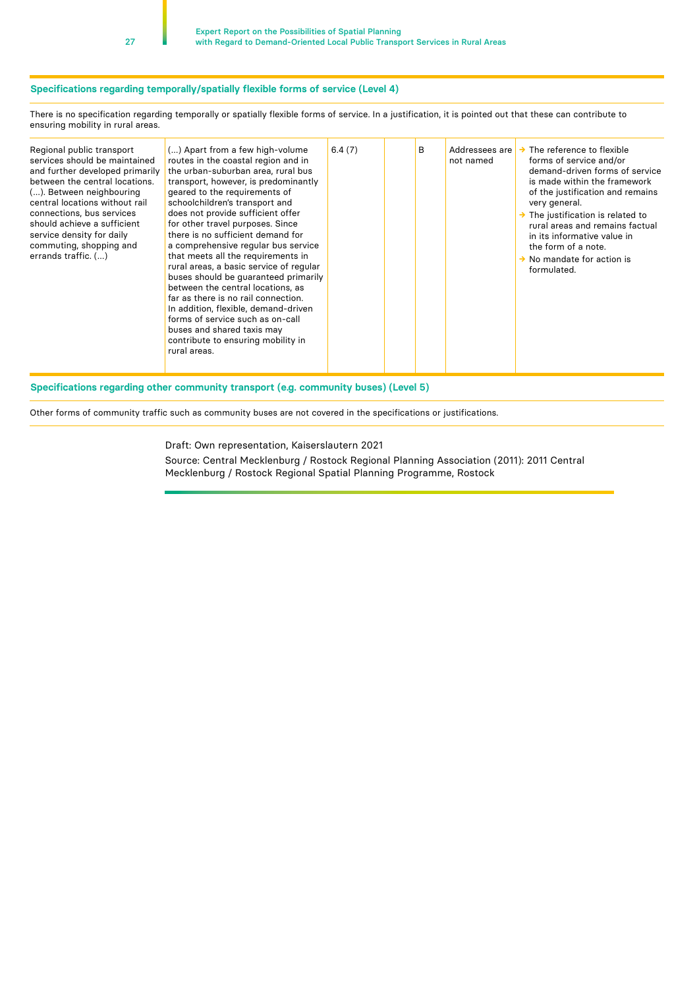#### **Specifications regarding temporally/spatially flexible forms of service (Level 4)**

There is no specification regarding temporally or spatially flexible forms of service. In a justification, it is pointed out that these can contribute to ensuring mobility in rural areas.

| Regional public transport<br>services should be maintained<br>and further developed primarily<br>between the central locations.<br>(). Between neighbouring<br>central locations without rail<br>connections, bus services<br>should achieve a sufficient<br>service density for daily<br>commuting, shopping and<br>errands traffic. () | () Apart from a few high-volume<br>routes in the coastal region and in<br>the urban-suburban area, rural bus<br>transport, however, is predominantly<br>geared to the requirements of<br>schoolchildren's transport and<br>does not provide sufficient offer<br>for other travel purposes. Since<br>there is no sufficient demand for<br>a comprehensive regular bus service<br>that meets all the requirements in<br>rural areas, a basic service of regular<br>buses should be quaranteed primarily<br>between the central locations, as<br>far as there is no rail connection.<br>In addition, flexible, demand-driven<br>forms of service such as on-call<br>buses and shared taxis may<br>contribute to ensuring mobility in<br>rural areas. | 6.4(7) |  | B | Addressees are<br>not named | The reference to flexible<br>forms of service and/or<br>demand-driven forms of service<br>is made within the framework<br>of the justification and remains<br>very general.<br>$\rightarrow$ The justification is related to<br>rural areas and remains factual<br>in its informative value in<br>the form of a note.<br>$\rightarrow$ No mandate for action is<br>formulated. |
|------------------------------------------------------------------------------------------------------------------------------------------------------------------------------------------------------------------------------------------------------------------------------------------------------------------------------------------|---------------------------------------------------------------------------------------------------------------------------------------------------------------------------------------------------------------------------------------------------------------------------------------------------------------------------------------------------------------------------------------------------------------------------------------------------------------------------------------------------------------------------------------------------------------------------------------------------------------------------------------------------------------------------------------------------------------------------------------------------|--------|--|---|-----------------------------|--------------------------------------------------------------------------------------------------------------------------------------------------------------------------------------------------------------------------------------------------------------------------------------------------------------------------------------------------------------------------------|
|------------------------------------------------------------------------------------------------------------------------------------------------------------------------------------------------------------------------------------------------------------------------------------------------------------------------------------------|---------------------------------------------------------------------------------------------------------------------------------------------------------------------------------------------------------------------------------------------------------------------------------------------------------------------------------------------------------------------------------------------------------------------------------------------------------------------------------------------------------------------------------------------------------------------------------------------------------------------------------------------------------------------------------------------------------------------------------------------------|--------|--|---|-----------------------------|--------------------------------------------------------------------------------------------------------------------------------------------------------------------------------------------------------------------------------------------------------------------------------------------------------------------------------------------------------------------------------|

#### **Specifications regarding other community transport (e.g. community buses) (Level 5)**

Other forms of community traffic such as community buses are not covered in the specifications or justifications.

Draft: Own representation, Kaiserslautern 2021

Source: Central Mecklenburg / Rostock Regional Planning Association (2011): 2011 Central Mecklenburg / Rostock Regional Spatial Planning Programme, Rostock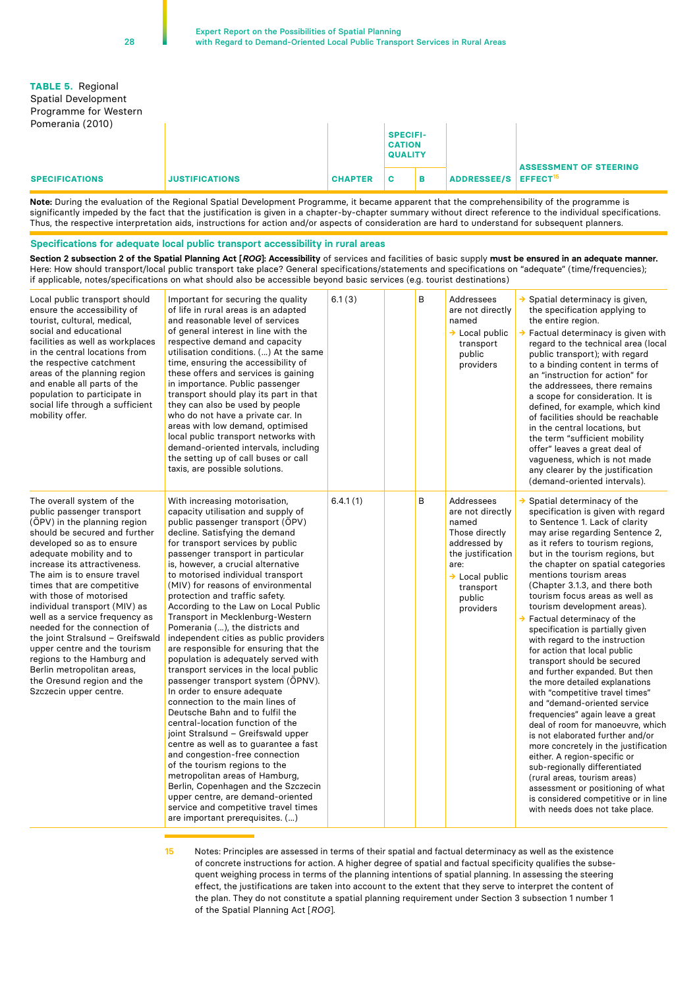28

| <b>TABLE 5. Regional</b><br><b>Spatial Development</b><br>Programme for Western<br>Pomerania (2010) |                       |                |                                                    |   |             |                                                       |
|-----------------------------------------------------------------------------------------------------|-----------------------|----------------|----------------------------------------------------|---|-------------|-------------------------------------------------------|
|                                                                                                     |                       |                | <b>SPECIFI-</b><br><b>CATION</b><br><b>QUALITY</b> |   |             |                                                       |
| <b>SPECIFICATIONS</b>                                                                               | <b>JUSTIFICATIONS</b> | <b>CHAPTER</b> | C                                                  | в | ADDRESSEE/S | <b>ASSESSMENT OF STEERING</b><br>EFFECT <sup>15</sup> |

**Note:** During the evaluation of the Regional Spatial Development Programme, it became apparent that the comprehensibility of the programme is significantly impeded by the fact that the justification is given in a chapter-by-chapter summary without direct reference to the individual specifications. Thus, the respective interpretation aids, instructions for action and/or aspects of consideration are hard to understand for subsequent planners.

#### **Specifications for adequate local public transport accessibility in rural areas**

**Section 2 subsection 2 of the Spatial Planning Act [***ROG***]: Accessibility** of services and facilities of basic supply **must be ensured in an adequate manner.** Here: How should transport/local public transport take place? General specifications/statements and specifications on "adequate" (time/frequencies); if applicable, notes/specifications on what should also be accessible beyond basic services (e.g. tourist destinations)

| Local public transport should<br>ensure the accessibility of<br>tourist, cultural, medical,<br>social and educational<br>facilities as well as workplaces<br>in the central locations from<br>the respective catchment<br>areas of the planning region<br>and enable all parts of the<br>population to participate in<br>social life through a sufficient<br>mobility offer.                                                                                                                                                                                                                         | Important for securing the quality<br>of life in rural areas is an adapted<br>and reasonable level of services<br>of general interest in line with the<br>respective demand and capacity<br>utilisation conditions. () At the same<br>time, ensuring the accessibility of<br>these offers and services is gaining<br>in importance. Public passenger<br>transport should play its part in that<br>they can also be used by people<br>who do not have a private car. In<br>areas with low demand, optimised<br>local public transport networks with<br>demand-oriented intervals, including<br>the setting up of call buses or call<br>taxis, are possible solutions.                                                                                                                                                                                                                                                                                                                                                                                                                                                                                                                | 6.1(3)   | B | Addressees<br>are not directly<br>named<br>$\rightarrow$ Local public<br>transport<br>public<br>providers                                                                       | $\rightarrow$ Spatial determinacy is given,<br>the specification applying to<br>the entire region.<br>$\rightarrow$ Factual determinacy is given with<br>regard to the technical area (local<br>public transport); with regard<br>to a binding content in terms of<br>an "instruction for action" for<br>the addressees, there remains<br>a scope for consideration. It is<br>defined, for example, which kind<br>of facilities should be reachable<br>in the central locations, but<br>the term "sufficient mobility<br>offer" leaves a great deal of<br>vagueness, which is not made<br>any clearer by the justification<br>(demand-oriented intervals).                                                                                                                                                                                                                                                                                                                                                                                                                                 |
|------------------------------------------------------------------------------------------------------------------------------------------------------------------------------------------------------------------------------------------------------------------------------------------------------------------------------------------------------------------------------------------------------------------------------------------------------------------------------------------------------------------------------------------------------------------------------------------------------|-------------------------------------------------------------------------------------------------------------------------------------------------------------------------------------------------------------------------------------------------------------------------------------------------------------------------------------------------------------------------------------------------------------------------------------------------------------------------------------------------------------------------------------------------------------------------------------------------------------------------------------------------------------------------------------------------------------------------------------------------------------------------------------------------------------------------------------------------------------------------------------------------------------------------------------------------------------------------------------------------------------------------------------------------------------------------------------------------------------------------------------------------------------------------------------|----------|---|---------------------------------------------------------------------------------------------------------------------------------------------------------------------------------|--------------------------------------------------------------------------------------------------------------------------------------------------------------------------------------------------------------------------------------------------------------------------------------------------------------------------------------------------------------------------------------------------------------------------------------------------------------------------------------------------------------------------------------------------------------------------------------------------------------------------------------------------------------------------------------------------------------------------------------------------------------------------------------------------------------------------------------------------------------------------------------------------------------------------------------------------------------------------------------------------------------------------------------------------------------------------------------------|
| The overall system of the<br>public passenger transport<br>(ÖPV) in the planning region<br>should be secured and further<br>developed so as to ensure<br>adequate mobility and to<br>increase its attractiveness.<br>The aim is to ensure travel<br>times that are competitive<br>with those of motorised<br>individual transport (MIV) as<br>well as a service frequency as<br>needed for the connection of<br>the joint Stralsund - Greifswald<br>upper centre and the tourism<br>regions to the Hamburg and<br>Berlin metropolitan areas,<br>the Oresund region and the<br>Szczecin upper centre. | With increasing motorisation,<br>capacity utilisation and supply of<br>public passenger transport (OPV)<br>decline. Satisfying the demand<br>for transport services by public<br>passenger transport in particular<br>is, however, a crucial alternative<br>to motorised individual transport<br>(MIV) for reasons of environmental<br>protection and traffic safety.<br>According to the Law on Local Public<br>Transport in Mecklenburg-Western<br>Pomerania (), the districts and<br>independent cities as public providers<br>are responsible for ensuring that the<br>population is adequately served with<br>transport services in the local public<br>passenger transport system (OPNV).<br>In order to ensure adequate<br>connection to the main lines of<br>Deutsche Bahn and to fulfil the<br>central-location function of the<br>joint Stralsund – Greifswald upper<br>centre as well as to guarantee a fast<br>and congestion-free connection<br>of the tourism regions to the<br>metropolitan areas of Hamburg,<br>Berlin, Copenhagen and the Szczecin<br>upper centre, are demand-oriented<br>service and competitive travel times<br>are important prerequisites. () | 6.4.1(1) | B | <b>Addressees</b><br>are not directly<br>named<br>Those directly<br>addressed by<br>the justification<br>are:<br>$\rightarrow$ Local public<br>transport<br>public<br>providers | $\rightarrow$ Spatial determinacy of the<br>specification is given with regard<br>to Sentence 1. Lack of clarity<br>may arise regarding Sentence 2,<br>as it refers to tourism regions,<br>but in the tourism regions, but<br>the chapter on spatial categories<br>mentions tourism areas<br>(Chapter 3.1.3, and there both<br>tourism focus areas as well as<br>tourism development areas).<br>$\rightarrow$ Factual determinacy of the<br>specification is partially given<br>with regard to the instruction<br>for action that local public<br>transport should be secured<br>and further expanded. But then<br>the more detailed explanations<br>with "competitive travel times"<br>and "demand-oriented service<br>frequencies" again leave a great<br>deal of room for manoeuvre, which<br>is not elaborated further and/or<br>more concretely in the justification<br>either. A region-specific or<br>sub-regionally differentiated<br>(rural areas, tourism areas)<br>assessment or positioning of what<br>is considered competitive or in line<br>with needs does not take place. |

**15** Notes: Principles are assessed in terms of their spatial and factual determinacy as well as the existence of concrete instructions for action. A higher degree of spatial and factual specificity qualifies the subsequent weighing process in terms of the planning intentions of spatial planning. In assessing the steering effect, the justifications are taken into account to the extent that they serve to interpret the content of the plan. They do not constitute a spatial planning requirement under Section 3 subsection 1 number 1 of the Spatial Planning Act [*ROG*].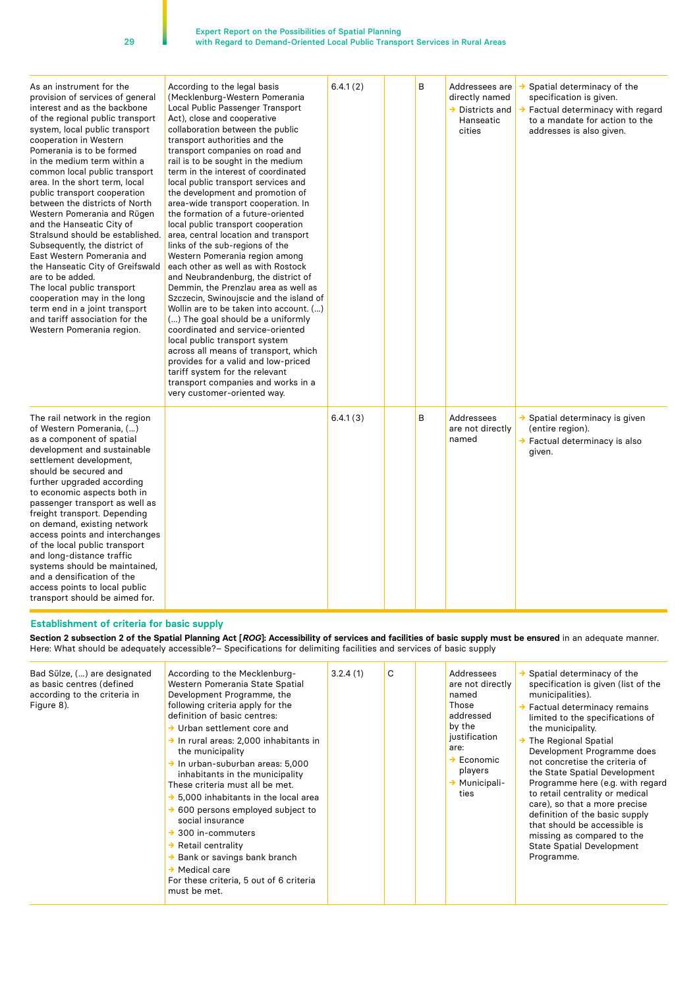29

| As an instrument for the<br>provision of services of general<br>interest and as the backbone<br>of the regional public transport<br>system, local public transport<br>cooperation in Western<br>Pomerania is to be formed<br>in the medium term within a<br>common local public transport<br>area. In the short term, local<br>public transport cooperation<br>between the districts of North<br>Western Pomerania and Rügen<br>and the Hanseatic City of<br>Stralsund should be established.<br>Subsequently, the district of<br>East Western Pomerania and<br>the Hanseatic City of Greifswald<br>are to be added.<br>The local public transport<br>cooperation may in the long<br>term end in a joint transport<br>and tariff association for the<br>Western Pomerania region. | According to the legal basis<br>(Mecklenburg-Western Pomerania<br>Local Public Passenger Transport<br>Act), close and cooperative<br>collaboration between the public<br>transport authorities and the<br>transport companies on road and<br>rail is to be sought in the medium<br>term in the interest of coordinated<br>local public transport services and<br>the development and promotion of<br>area-wide transport cooperation. In<br>the formation of a future-oriented<br>local public transport cooperation<br>area, central location and transport<br>links of the sub-regions of the<br>Western Pomerania region among<br>each other as well as with Rostock<br>and Neubrandenburg, the district of<br>Demmin, the Prenzlau area as well as<br>Szczecin, Swinoujscie and the island of<br>Wollin are to be taken into account. ()<br>() The goal should be a uniformly<br>coordinated and service-oriented<br>local public transport system<br>across all means of transport, which<br>provides for a valid and low-priced<br>tariff system for the relevant<br>transport companies and works in a<br>very customer-oriented way. | 6.4.1(2) | B | Addressees are<br>directly named<br>$\rightarrow$ Districts and<br>Hanseatic<br>cities | Spatial determinacy of the<br>specification is given.<br>Factual determinacy with regard<br>→<br>to a mandate for action to the<br>addresses is also given. |
|-----------------------------------------------------------------------------------------------------------------------------------------------------------------------------------------------------------------------------------------------------------------------------------------------------------------------------------------------------------------------------------------------------------------------------------------------------------------------------------------------------------------------------------------------------------------------------------------------------------------------------------------------------------------------------------------------------------------------------------------------------------------------------------|----------------------------------------------------------------------------------------------------------------------------------------------------------------------------------------------------------------------------------------------------------------------------------------------------------------------------------------------------------------------------------------------------------------------------------------------------------------------------------------------------------------------------------------------------------------------------------------------------------------------------------------------------------------------------------------------------------------------------------------------------------------------------------------------------------------------------------------------------------------------------------------------------------------------------------------------------------------------------------------------------------------------------------------------------------------------------------------------------------------------------------------------|----------|---|----------------------------------------------------------------------------------------|-------------------------------------------------------------------------------------------------------------------------------------------------------------|
| The rail network in the region<br>of Western Pomerania, ()<br>as a component of spatial<br>development and sustainable<br>settlement development,<br>should be secured and<br>further upgraded according<br>to economic aspects both in<br>passenger transport as well as<br>freight transport. Depending<br>on demand, existing network<br>access points and interchanges<br>of the local public transport<br>and long-distance traffic<br>systems should be maintained,<br>and a densification of the<br>access points to local public<br>transport should be aimed for.                                                                                                                                                                                                        |                                                                                                                                                                                                                                                                                                                                                                                                                                                                                                                                                                                                                                                                                                                                                                                                                                                                                                                                                                                                                                                                                                                                              | 6.4.1(3) | B | Addressees<br>are not directly<br>named                                                | → Spatial determinacy is given<br>(entire region).<br>→ Factual determinacy is also<br>given.                                                               |

## **Establishment of criteria for basic supply**

**Section 2 subsection 2 of the Spatial Planning Act [***ROG***]: Accessibility of services and facilities of basic supply must be ensured** in an adequate manner. Here: What should be adequately accessible?– Specifications for delimiting facilities and services of basic supply

| Bad Sülze, () are designated<br>as basic centres (defined<br>according to the criteria in<br>Figure 8). | According to the Mecklenburg-<br>Western Pomerania State Spatial<br>Development Programme, the<br>following criteria apply for the<br>definition of basic centres:<br>$\rightarrow$ Urban settlement core and<br>$\rightarrow$ In rural areas: 2,000 inhabitants in<br>the municipality<br>In urban-suburban areas: 5,000<br>inhabitants in the municipality<br>These criteria must all be met.<br>5,000 inhabitants in the local area<br>600 persons employed subject to<br>social insurance<br>300 in-commuters<br>$\rightarrow$ Retail centrality<br>Bank or savings bank branch<br>Medical care<br>For these criteria, 5 out of 6 criteria<br>must be met. | 3.2.4(1) | C |  | Addressees<br>are not directly<br>named<br>Those<br>addressed<br>by the<br>justification<br>are:<br>$\rightarrow$ Economic<br>players<br>$\rightarrow$ Municipali-<br>ties | Spatial determinacy of the<br>specification is given (list of the<br>municipalities).<br>Factual determinacy remains<br>limited to the specifications of<br>the municipality.<br>The Regional Spatial<br>Development Programme does<br>not concretise the criteria of<br>the State Spatial Development<br>Programme here (e.g. with regard<br>to retail centrality or medical<br>care), so that a more precise<br>definition of the basic supply<br>that should be accessible is<br>missing as compared to the<br><b>State Spatial Development</b><br>Programme. |
|---------------------------------------------------------------------------------------------------------|----------------------------------------------------------------------------------------------------------------------------------------------------------------------------------------------------------------------------------------------------------------------------------------------------------------------------------------------------------------------------------------------------------------------------------------------------------------------------------------------------------------------------------------------------------------------------------------------------------------------------------------------------------------|----------|---|--|----------------------------------------------------------------------------------------------------------------------------------------------------------------------------|------------------------------------------------------------------------------------------------------------------------------------------------------------------------------------------------------------------------------------------------------------------------------------------------------------------------------------------------------------------------------------------------------------------------------------------------------------------------------------------------------------------------------------------------------------------|
|---------------------------------------------------------------------------------------------------------|----------------------------------------------------------------------------------------------------------------------------------------------------------------------------------------------------------------------------------------------------------------------------------------------------------------------------------------------------------------------------------------------------------------------------------------------------------------------------------------------------------------------------------------------------------------------------------------------------------------------------------------------------------------|----------|---|--|----------------------------------------------------------------------------------------------------------------------------------------------------------------------------|------------------------------------------------------------------------------------------------------------------------------------------------------------------------------------------------------------------------------------------------------------------------------------------------------------------------------------------------------------------------------------------------------------------------------------------------------------------------------------------------------------------------------------------------------------------|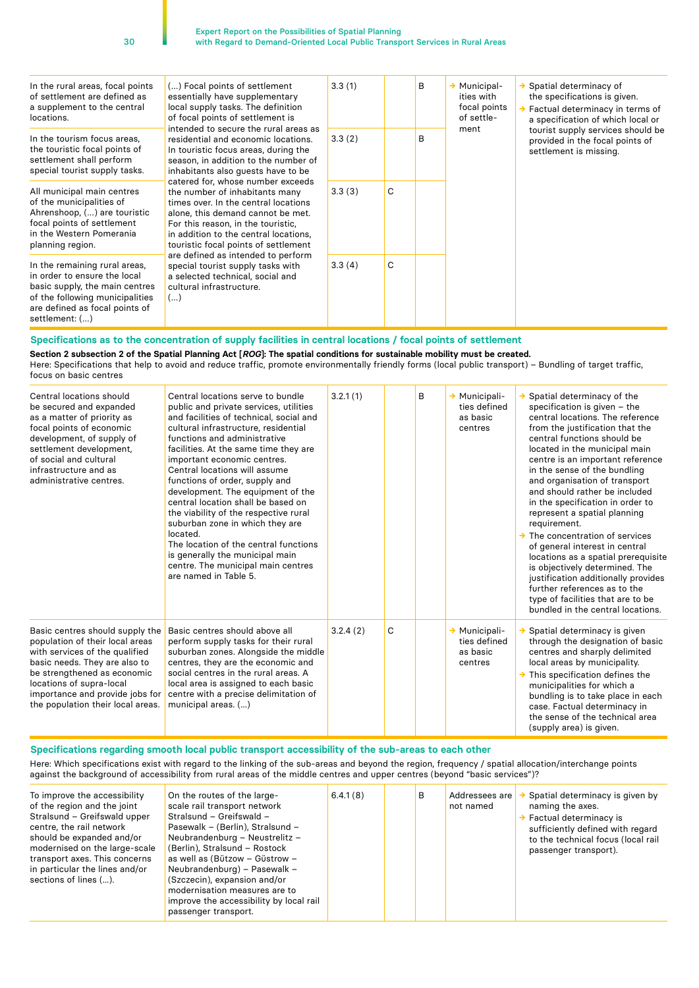| In the rural areas, focal points<br>of settlement are defined as<br>a supplement to the central<br>locations.                                                                          | () Focal points of settlement<br>essentially have supplementary<br>local supply tasks. The definition<br>of focal points of settlement is                                                                                                                                                                                                                                                                                                                                                                                                                                                                                      | 3.3(1) |   | B | $\rightarrow$ Municipal-<br>ities with<br>focal points<br>of settle- | Spatial determinacy of<br>the specifications is given.<br>Factual determinacy in terms of<br>a specification of which local or |
|----------------------------------------------------------------------------------------------------------------------------------------------------------------------------------------|--------------------------------------------------------------------------------------------------------------------------------------------------------------------------------------------------------------------------------------------------------------------------------------------------------------------------------------------------------------------------------------------------------------------------------------------------------------------------------------------------------------------------------------------------------------------------------------------------------------------------------|--------|---|---|----------------------------------------------------------------------|--------------------------------------------------------------------------------------------------------------------------------|
| In the tourism focus areas.<br>the touristic focal points of<br>settlement shall perform<br>special tourist supply tasks.                                                              | intended to secure the rural areas as<br>residential and economic locations.<br>In touristic focus areas, during the<br>season, in addition to the number of<br>inhabitants also guests have to be<br>catered for, whose number exceeds<br>the number of inhabitants many<br>times over. In the central locations<br>alone, this demand cannot be met.<br>For this reason, in the touristic,<br>in addition to the central locations.<br>touristic focal points of settlement<br>are defined as intended to perform<br>special tourist supply tasks with<br>a selected technical, social and<br>cultural infrastructure.<br>() | 3.3(2) |   | B | ment                                                                 | tourist supply services should be<br>provided in the focal points of<br>settlement is missing.                                 |
| All municipal main centres<br>of the municipalities of<br>Ahrenshoop, () are touristic<br>focal points of settlement<br>in the Western Pomerania<br>planning region.                   |                                                                                                                                                                                                                                                                                                                                                                                                                                                                                                                                                                                                                                | 3.3(3) | C |   |                                                                      |                                                                                                                                |
| In the remaining rural areas,<br>in order to ensure the local<br>basic supply, the main centres<br>of the following municipalities<br>are defined as focal points of<br>settlement: () |                                                                                                                                                                                                                                                                                                                                                                                                                                                                                                                                                                                                                                | 3.3(4) | C |   |                                                                      |                                                                                                                                |

#### **Specifications as to the concentration of supply facilities in central locations / focal points of settlement**

**Section 2 subsection 2 of the Spatial Planning Act [***ROG***]: The spatial conditions for sustainable mobility must be created.**

Here: Specifications that help to avoid and reduce traffic, promote environmentally friendly forms (local public transport) – Bundling of target traffic, focus on basic centres

| Central locations should<br>be secured and expanded<br>as a matter of priority as<br>focal points of economic<br>development, of supply of<br>settlement development,<br>of social and cultural<br>infrastructure and as<br>administrative centres.                      | Central locations serve to bundle<br>public and private services, utilities<br>and facilities of technical, social and<br>cultural infrastructure, residential<br>functions and administrative<br>facilities. At the same time they are<br>important economic centres.<br>Central locations will assume<br>functions of order, supply and<br>development. The equipment of the<br>central location shall be based on<br>the viability of the respective rural<br>suburban zone in which they are<br>located.<br>The location of the central functions<br>is generally the municipal main<br>centre. The municipal main centres<br>are named in Table 5. | 3.2.1(1) |   | B | → Municipali-<br>ties defined<br>as basic<br>centres | Spatial determinacy of the<br>specification is given - the<br>central locations. The reference<br>from the justification that the<br>central functions should be<br>located in the municipal main<br>centre is an important reference<br>in the sense of the bundling<br>and organisation of transport<br>and should rather be included<br>in the specification in order to<br>represent a spatial planning<br>requirement.<br>$\rightarrow$ The concentration of services<br>of general interest in central<br>locations as a spatial prerequisite<br>is objectively determined. The<br>justification additionally provides<br>further references as to the<br>type of facilities that are to be<br>bundled in the central locations. |
|--------------------------------------------------------------------------------------------------------------------------------------------------------------------------------------------------------------------------------------------------------------------------|---------------------------------------------------------------------------------------------------------------------------------------------------------------------------------------------------------------------------------------------------------------------------------------------------------------------------------------------------------------------------------------------------------------------------------------------------------------------------------------------------------------------------------------------------------------------------------------------------------------------------------------------------------|----------|---|---|------------------------------------------------------|----------------------------------------------------------------------------------------------------------------------------------------------------------------------------------------------------------------------------------------------------------------------------------------------------------------------------------------------------------------------------------------------------------------------------------------------------------------------------------------------------------------------------------------------------------------------------------------------------------------------------------------------------------------------------------------------------------------------------------------|
| Basic centres should supply the<br>population of their local areas<br>with services of the qualified<br>basic needs. They are also to<br>be strengthened as economic<br>locations of supra-local<br>importance and provide jobs for<br>the population their local areas. | Basic centres should above all<br>perform supply tasks for their rural<br>suburban zones. Alongside the middle<br>centres, they are the economic and<br>social centres in the rural areas. A<br>local area is assigned to each basic<br>centre with a precise delimitation of<br>municipal areas. ()                                                                                                                                                                                                                                                                                                                                                    | 3.2.4(2) | C |   | → Municipali-<br>ties defined<br>as basic<br>centres | Spatial determinacy is given<br>through the designation of basic<br>centres and sharply delimited<br>local areas by municipality.<br>$\rightarrow$ This specification defines the<br>municipalities for which a<br>bundling is to take place in each<br>case. Factual determinacy in<br>the sense of the technical area<br>(supply area) is given.                                                                                                                                                                                                                                                                                                                                                                                     |

**Specifications regarding smooth local public transport accessibility of the sub-areas to each other**

Here: Which specifications exist with regard to the linking of the sub-areas and beyond the region, frequency / spatial allocation/interchange points against the background of accessibility from rural areas of the middle centres and upper centres (beyond "basic services")?

| To improve the accessibility<br>of the region and the joint<br>Stralsund - Greifswald upper<br>centre, the rail network<br>should be expanded and/or<br>modernised on the large-scale<br>transport axes. This concerns<br>in particular the lines and/or<br>sections of lines (). | On the routes of the large-<br>scale rail transport network<br>Stralsund - Greifswald -<br>Pasewalk - (Berlin), Stralsund -<br>Neubrandenburg - Neustrelitz -<br>(Berlin), Stralsund - Rostock<br>as well as (Bützow - Güstrow -<br>Neubrandenburg) - Pasewalk -<br>(Szczecin), expansion and/or<br>modernisation measures are to<br>improve the accessibility by local rail<br>passenger transport. | 6.4.1(8) |  | B | Addressees are<br>not named | Spatial determinacy is given by<br>naming the axes.<br>Factual determinacy is<br>sufficiently defined with regard<br>to the technical focus (local rail<br>passenger transport). |
|-----------------------------------------------------------------------------------------------------------------------------------------------------------------------------------------------------------------------------------------------------------------------------------|------------------------------------------------------------------------------------------------------------------------------------------------------------------------------------------------------------------------------------------------------------------------------------------------------------------------------------------------------------------------------------------------------|----------|--|---|-----------------------------|----------------------------------------------------------------------------------------------------------------------------------------------------------------------------------|
|-----------------------------------------------------------------------------------------------------------------------------------------------------------------------------------------------------------------------------------------------------------------------------------|------------------------------------------------------------------------------------------------------------------------------------------------------------------------------------------------------------------------------------------------------------------------------------------------------------------------------------------------------------------------------------------------------|----------|--|---|-----------------------------|----------------------------------------------------------------------------------------------------------------------------------------------------------------------------------|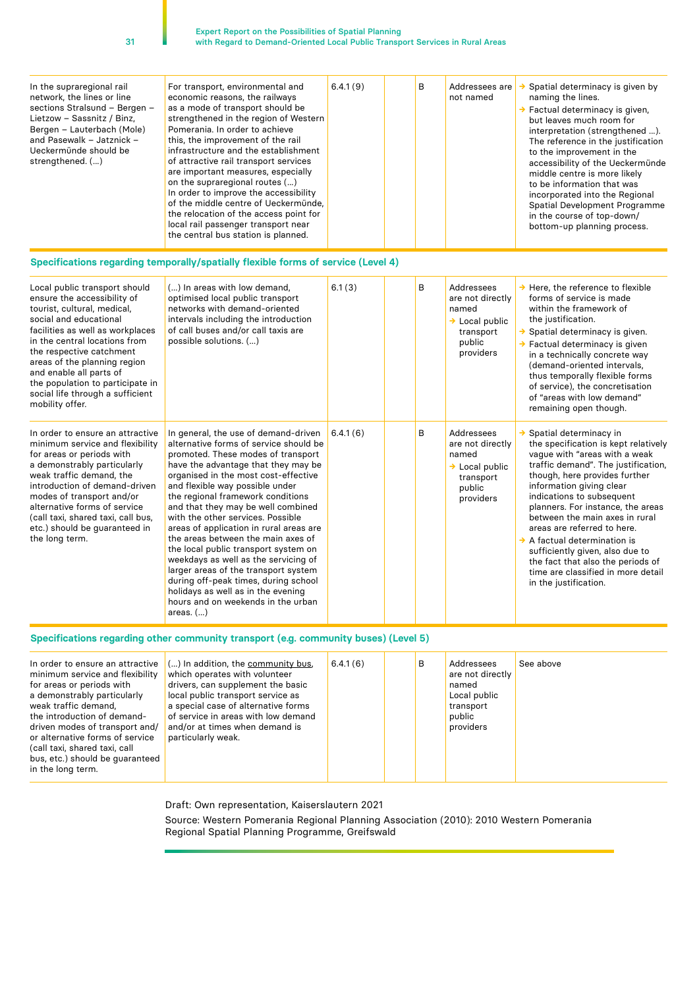| In the supraregional rail<br>network, the lines or line<br>sections Stralsund - Bergen -<br>Lietzow - Sassnitz / Binz.<br>Bergen – Lauterbach (Mole)<br>and Pasewalk – Jatznick –<br>Ueckermünde should be<br>strengthened. () | For transport, environmental and<br>economic reasons, the railways<br>as a mode of transport should be<br>strengthened in the region of Western<br>Pomerania. In order to achieve<br>this, the improvement of the rail<br>infrastructure and the establishment<br>of attractive rail transport services<br>are important measures, especially<br>on the supraregional routes ()<br>In order to improve the accessibility<br>of the middle centre of Ueckermünde.<br>the relocation of the access point for<br>local rail passenger transport near<br>the central bus station is planned. | 6.4.1(9) |  | B | Addressees are<br>not named | Spatial determinacy is given by<br>naming the lines.<br>$\rightarrow$ Factual determinacy is given,<br>but leaves much room for<br>interpretation (strengthened ).<br>The reference in the justification<br>to the improvement in the<br>accessibility of the Ueckermünde<br>middle centre is more likely<br>to be information that was<br>incorporated into the Regional<br>Spatial Development Programme<br>in the course of top-down/<br>bottom-up planning process. |
|--------------------------------------------------------------------------------------------------------------------------------------------------------------------------------------------------------------------------------|------------------------------------------------------------------------------------------------------------------------------------------------------------------------------------------------------------------------------------------------------------------------------------------------------------------------------------------------------------------------------------------------------------------------------------------------------------------------------------------------------------------------------------------------------------------------------------------|----------|--|---|-----------------------------|-------------------------------------------------------------------------------------------------------------------------------------------------------------------------------------------------------------------------------------------------------------------------------------------------------------------------------------------------------------------------------------------------------------------------------------------------------------------------|
|--------------------------------------------------------------------------------------------------------------------------------------------------------------------------------------------------------------------------------|------------------------------------------------------------------------------------------------------------------------------------------------------------------------------------------------------------------------------------------------------------------------------------------------------------------------------------------------------------------------------------------------------------------------------------------------------------------------------------------------------------------------------------------------------------------------------------------|----------|--|---|-----------------------------|-------------------------------------------------------------------------------------------------------------------------------------------------------------------------------------------------------------------------------------------------------------------------------------------------------------------------------------------------------------------------------------------------------------------------------------------------------------------------|

#### **Specifications regarding temporally/spatially flexible forms of service (Level 4)**

| Local public transport should<br>ensure the accessibility of<br>tourist, cultural, medical,<br>social and educational<br>facilities as well as workplaces<br>in the central locations from<br>the respective catchment<br>areas of the planning region<br>and enable all parts of<br>the population to participate in<br>social life through a sufficient<br>mobility offer. | () In areas with low demand,<br>optimised local public transport<br>networks with demand-oriented<br>intervals including the introduction<br>of call buses and/or call taxis are<br>possible solutions. ()                                                                                                                                                                                                                                                                                                                                                                                                                                                                                         | 6.1(3)   | B | Addressees<br>are not directly<br>named<br>$\rightarrow$ Local public<br>transport<br>public<br>providers | $\rightarrow$ Here, the reference to flexible<br>forms of service is made<br>within the framework of<br>the justification.<br>Spatial determinacy is given.<br>→ Factual determinacy is given<br>in a technically concrete way<br>(demand-oriented intervals.<br>thus temporally flexible forms<br>of service), the concretisation<br>of "areas with low demand"<br>remaining open though.                                                                                                                                |
|------------------------------------------------------------------------------------------------------------------------------------------------------------------------------------------------------------------------------------------------------------------------------------------------------------------------------------------------------------------------------|----------------------------------------------------------------------------------------------------------------------------------------------------------------------------------------------------------------------------------------------------------------------------------------------------------------------------------------------------------------------------------------------------------------------------------------------------------------------------------------------------------------------------------------------------------------------------------------------------------------------------------------------------------------------------------------------------|----------|---|-----------------------------------------------------------------------------------------------------------|---------------------------------------------------------------------------------------------------------------------------------------------------------------------------------------------------------------------------------------------------------------------------------------------------------------------------------------------------------------------------------------------------------------------------------------------------------------------------------------------------------------------------|
| In order to ensure an attractive<br>minimum service and flexibility<br>for areas or periods with<br>a demonstrably particularly<br>weak traffic demand, the<br>introduction of demand-driven<br>modes of transport and/or<br>alternative forms of service<br>(call taxi, shared taxi, call bus,<br>etc.) should be guaranteed in<br>the long term.                           | In general, the use of demand-driven<br>alternative forms of service should be<br>promoted. These modes of transport<br>have the advantage that they may be<br>organised in the most cost-effective<br>and flexible way possible under<br>the regional framework conditions<br>and that they may be well combined<br>with the other services. Possible<br>areas of application in rural areas are<br>the areas between the main axes of<br>the local public transport system on<br>weekdays as well as the servicing of<br>larger areas of the transport system<br>during off-peak times, during school<br>holidays as well as in the evening<br>hours and on weekends in the urban<br>areas. $()$ | 6.4.1(6) | B | Addressees<br>are not directly<br>named<br>$\rightarrow$ Local public<br>transport<br>public<br>providers | Spatial determinacy in<br>the specification is kept relatively<br>vague with "areas with a weak<br>traffic demand". The justification,<br>though, here provides further<br>information giving clear<br>indications to subsequent<br>planners. For instance, the areas<br>between the main axes in rural<br>areas are referred to here.<br>$\rightarrow$ A factual determination is<br>sufficiently given, also due to<br>the fact that also the periods of<br>time are classified in more detail<br>in the justification. |

#### **Specifications regarding other community transport (e.g. community buses) (Level 5)**

| In order to ensure an attractive<br>minimum service and flexibility<br>for areas or periods with<br>a demonstrably particularly<br>weak traffic demand,<br>the introduction of demand-<br>driven modes of transport and/<br>or alternative forms of service<br>(call taxi, shared taxi, call<br>bus, etc.) should be quaranteed<br>in the long term. | () In addition, the community bus,<br>which operates with volunteer<br>drivers, can supplement the basic<br>local public transport service as<br>a special case of alternative forms<br>of service in areas with low demand<br>and/or at times when demand is<br>particularly weak. | 6.4.1(6) |  | B | <b>Addressees</b><br>are not directly<br>named<br>Local public<br>transport<br>public<br>providers | See above |
|------------------------------------------------------------------------------------------------------------------------------------------------------------------------------------------------------------------------------------------------------------------------------------------------------------------------------------------------------|-------------------------------------------------------------------------------------------------------------------------------------------------------------------------------------------------------------------------------------------------------------------------------------|----------|--|---|----------------------------------------------------------------------------------------------------|-----------|
|------------------------------------------------------------------------------------------------------------------------------------------------------------------------------------------------------------------------------------------------------------------------------------------------------------------------------------------------------|-------------------------------------------------------------------------------------------------------------------------------------------------------------------------------------------------------------------------------------------------------------------------------------|----------|--|---|----------------------------------------------------------------------------------------------------|-----------|

Draft: Own representation, Kaiserslautern 2021 Source: Western Pomerania Regional Planning Association (2010): 2010 Western Pomerania Regional Spatial Planning Programme, Greifswald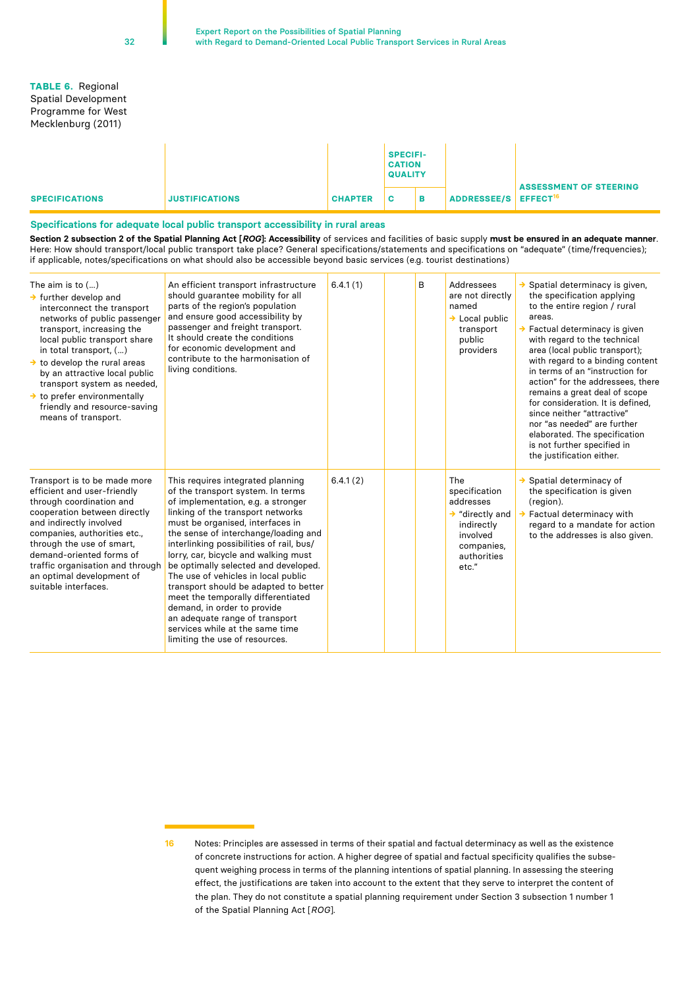#### **TABLE 6.** Regional Spatial Development Programme for West Mecklenburg (2011)

|                       |                       |                | <b>SPECIFI-</b><br><b>CATION</b><br><b>QUALITY</b> |   |                                  |                               |
|-----------------------|-----------------------|----------------|----------------------------------------------------|---|----------------------------------|-------------------------------|
| <b>SPECIFICATIONS</b> | <b>JUSTIFICATIONS</b> | <b>CHAPTER</b> | c                                                  | в | ADDRESSEE/S EFFECT <sup>16</sup> | <b>ASSESSMENT OF STEERING</b> |

#### **Specifications for adequate local public transport accessibility in rural areas**

**Section 2 subsection 2 of the Spatial Planning Act [***ROG***]: Accessibility** of services and facilities of basic supply **must be ensured in an adequate manner**. Here: How should transport/local public transport take place? General specifications/statements and specifications on "adequate" (time/frequencies); if applicable, notes/specifications on what should also be accessible beyond basic services (e.g. tourist destinations)

| The aim is to $()$<br>$\rightarrow$ further develop and<br>interconnect the transport<br>networks of public passenger<br>transport, increasing the<br>local public transport share<br>in total transport, ()<br>$\rightarrow$ to develop the rural areas<br>by an attractive local public<br>transport system as needed,<br>$\rightarrow$ to prefer environmentally<br>friendly and resource-saving<br>means of transport. | An efficient transport infrastructure<br>should guarantee mobility for all<br>parts of the region's population<br>and ensure good accessibility by<br>passenger and freight transport.<br>It should create the conditions<br>for economic development and<br>contribute to the harmonisation of<br>living conditions.                                                                                                                                                                                                                                                                                                 | 6.4.1(1) | B | Addressees<br>are not directly<br>named<br>$\rightarrow$ Local public<br>transport<br>public<br>providers                        | Spatial determinacy is given,<br>the specification applying<br>to the entire region / rural<br>areas.<br>$\rightarrow$ Factual determinacy is given<br>with regard to the technical<br>area (local public transport);<br>with regard to a binding content<br>in terms of an "instruction for<br>action" for the addressees, there<br>remains a great deal of scope<br>for consideration. It is defined,<br>since neither "attractive"<br>nor "as needed" are further<br>elaborated. The specification<br>is not further specified in<br>the justification either. |
|----------------------------------------------------------------------------------------------------------------------------------------------------------------------------------------------------------------------------------------------------------------------------------------------------------------------------------------------------------------------------------------------------------------------------|-----------------------------------------------------------------------------------------------------------------------------------------------------------------------------------------------------------------------------------------------------------------------------------------------------------------------------------------------------------------------------------------------------------------------------------------------------------------------------------------------------------------------------------------------------------------------------------------------------------------------|----------|---|----------------------------------------------------------------------------------------------------------------------------------|-------------------------------------------------------------------------------------------------------------------------------------------------------------------------------------------------------------------------------------------------------------------------------------------------------------------------------------------------------------------------------------------------------------------------------------------------------------------------------------------------------------------------------------------------------------------|
| Transport is to be made more<br>efficient and user-friendly<br>through coordination and<br>cooperation between directly<br>and indirectly involved<br>companies, authorities etc.,<br>through the use of smart,<br>demand-oriented forms of<br>traffic organisation and through<br>an optimal development of<br>suitable interfaces.                                                                                       | This requires integrated planning<br>of the transport system. In terms<br>of implementation, e.g. a stronger<br>linking of the transport networks<br>must be organised, interfaces in<br>the sense of interchange/loading and<br>interlinking possibilities of rail, bus/<br>lorry, car, bicycle and walking must<br>be optimally selected and developed.<br>The use of vehicles in local public<br>transport should be adapted to better<br>meet the temporally differentiated<br>demand, in order to provide<br>an adequate range of transport<br>services while at the same time<br>limiting the use of resources. | 6.4.1(2) |   | The<br>specification<br>addresses<br>$\rightarrow$ "directly and<br>indirectly<br>involved<br>companies,<br>authorities<br>etc." | $\rightarrow$ Spatial determinacy of<br>the specification is given<br>(region).<br>Factual determinacy with<br>regard to a mandate for action<br>to the addresses is also given.                                                                                                                                                                                                                                                                                                                                                                                  |

**<sup>16</sup>** Notes: Principles are assessed in terms of their spatial and factual determinacy as well as the existence of concrete instructions for action. A higher degree of spatial and factual specificity qualifies the subsequent weighing process in terms of the planning intentions of spatial planning. In assessing the steering effect, the justifications are taken into account to the extent that they serve to interpret the content of the plan. They do not constitute a spatial planning requirement under Section 3 subsection 1 number 1 of the Spatial Planning Act [*ROG*].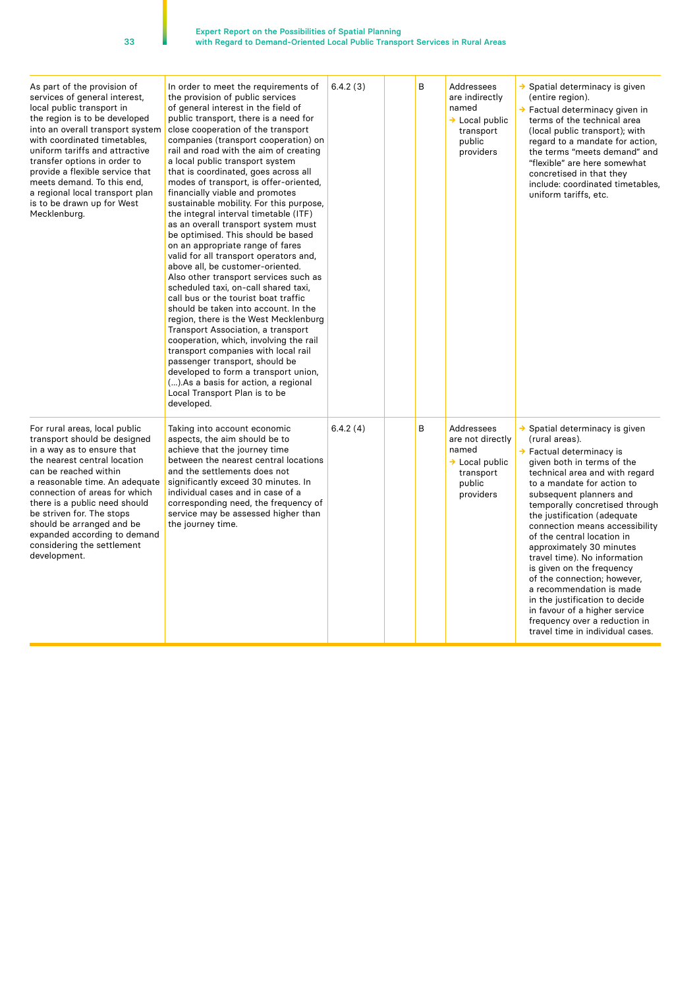| As part of the provision of<br>services of general interest,<br>local public transport in<br>the region is to be developed<br>into an overall transport system<br>with coordinated timetables,<br>uniform tariffs and attractive<br>transfer options in order to<br>provide a flexible service that<br>meets demand. To this end,<br>a regional local transport plan<br>is to be drawn up for West<br>Mecklenburg. | In order to meet the requirements of<br>the provision of public services<br>of general interest in the field of<br>public transport, there is a need for<br>close cooperation of the transport<br>companies (transport cooperation) on<br>rail and road with the aim of creating<br>a local public transport system<br>that is coordinated, goes across all<br>modes of transport, is offer-oriented,<br>financially viable and promotes<br>sustainable mobility. For this purpose,<br>the integral interval timetable (ITF)<br>as an overall transport system must<br>be optimised. This should be based<br>on an appropriate range of fares<br>valid for all transport operators and,<br>above all, be customer-oriented.<br>Also other transport services such as<br>scheduled taxi, on-call shared taxi,<br>call bus or the tourist boat traffic<br>should be taken into account. In the<br>region, there is the West Mecklenburg<br>Transport Association, a transport<br>cooperation, which, involving the rail<br>transport companies with local rail<br>passenger transport, should be<br>developed to form a transport union,<br>(). As a basis for action, a regional<br>Local Transport Plan is to be<br>developed. | 6.4.2(3) | B | Addressees<br>are indirectly<br>named<br>$\rightarrow$ Local public<br>transport<br>public<br>providers   | $\rightarrow$ Spatial determinacy is given<br>(entire region).<br>→ Factual determinacy given in<br>terms of the technical area<br>(local public transport); with<br>regard to a mandate for action,<br>the terms "meets demand" and<br>"flexible" are here somewhat<br>concretised in that they<br>include: coordinated timetables,<br>uniform tariffs, etc.                                                                                                                                                                                                                                                                                  |
|--------------------------------------------------------------------------------------------------------------------------------------------------------------------------------------------------------------------------------------------------------------------------------------------------------------------------------------------------------------------------------------------------------------------|--------------------------------------------------------------------------------------------------------------------------------------------------------------------------------------------------------------------------------------------------------------------------------------------------------------------------------------------------------------------------------------------------------------------------------------------------------------------------------------------------------------------------------------------------------------------------------------------------------------------------------------------------------------------------------------------------------------------------------------------------------------------------------------------------------------------------------------------------------------------------------------------------------------------------------------------------------------------------------------------------------------------------------------------------------------------------------------------------------------------------------------------------------------------------------------------------------------------------------|----------|---|-----------------------------------------------------------------------------------------------------------|------------------------------------------------------------------------------------------------------------------------------------------------------------------------------------------------------------------------------------------------------------------------------------------------------------------------------------------------------------------------------------------------------------------------------------------------------------------------------------------------------------------------------------------------------------------------------------------------------------------------------------------------|
| For rural areas, local public<br>transport should be designed<br>in a way as to ensure that<br>the nearest central location<br>can be reached within<br>a reasonable time. An adequate<br>connection of areas for which<br>there is a public need should<br>be striven for. The stops<br>should be arranged and be<br>expanded according to demand<br>considering the settlement<br>development.                   | Taking into account economic<br>aspects, the aim should be to<br>achieve that the journey time<br>between the nearest central locations<br>and the settlements does not<br>significantly exceed 30 minutes. In<br>individual cases and in case of a<br>corresponding need, the frequency of<br>service may be assessed higher than<br>the journey time.                                                                                                                                                                                                                                                                                                                                                                                                                                                                                                                                                                                                                                                                                                                                                                                                                                                                        | 6.4.2(4) | B | Addressees<br>are not directly<br>named<br>$\rightarrow$ Local public<br>transport<br>public<br>providers | → Spatial determinacy is given<br>(rural areas).<br>$\rightarrow$ Factual determinacy is<br>given both in terms of the<br>technical area and with regard<br>to a mandate for action to<br>subsequent planners and<br>temporally concretised through<br>the justification (adequate<br>connection means accessibility<br>of the central location in<br>approximately 30 minutes<br>travel time). No information<br>is given on the frequency<br>of the connection; however,<br>a recommendation is made<br>in the justification to decide<br>in favour of a higher service<br>frequency over a reduction in<br>travel time in individual cases. |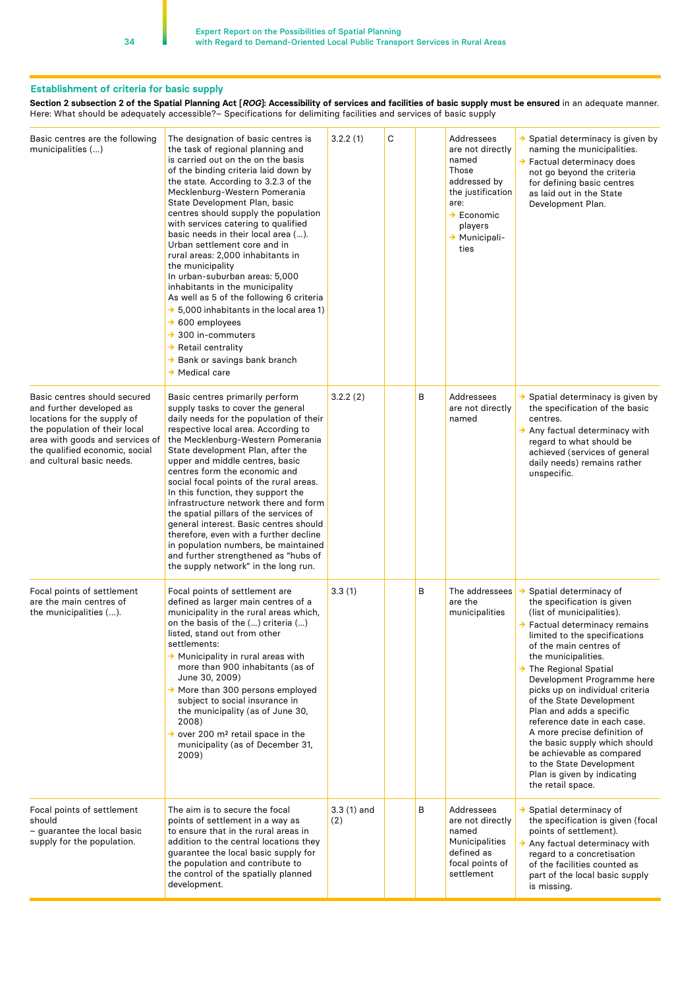#### **Establishment of criteria for basic supply**

**Section 2 subsection 2 of the Spatial Planning Act [***ROG***]: Accessibility of services and facilities of basic supply must be ensured** in an adequate manner. Here: What should be adequately accessible?– Specifications for delimiting facilities and services of basic supply

| Basic centres are the following<br>municipalities ()                                                                                                                                                                                                                                                                                                                                                                                                                                                                                                                                                                          | The designation of basic centres is<br>the task of regional planning and<br>is carried out on the on the basis<br>of the binding criteria laid down by<br>the state. According to 3.2.3 of the<br>Mecklenburg-Western Pomerania<br>State Development Plan, basic<br>centres should supply the population<br>with services catering to qualified<br>basic needs in their local area ().<br>Urban settlement core and in<br>rural areas: 2,000 inhabitants in<br>the municipality<br>In urban-suburban areas: 5,000<br>inhabitants in the municipality<br>As well as 5 of the following 6 criteria<br>$\rightarrow$ 5,000 inhabitants in the local area 1)<br>$\rightarrow$ 600 employees<br>$\rightarrow$ 300 in-commuters<br>$\rightarrow$ Retail centrality<br>→ Bank or savings bank branch<br>$\rightarrow$ Medical care | 3.2.2(1)            | С |   | Addressees<br>are not directly<br>named<br>Those<br>addressed by<br>the justification<br>are:<br>$\rightarrow$ Economic<br>players<br>→ Municipali-<br>ties | → Spatial determinacy is given by<br>naming the municipalities.<br>→ Factual determinacy does<br>not go beyond the criteria<br>for defining basic centres<br>as laid out in the State<br>Development Plan.                                                                                                                                                                                                                                                                                                                                                                             |
|-------------------------------------------------------------------------------------------------------------------------------------------------------------------------------------------------------------------------------------------------------------------------------------------------------------------------------------------------------------------------------------------------------------------------------------------------------------------------------------------------------------------------------------------------------------------------------------------------------------------------------|-----------------------------------------------------------------------------------------------------------------------------------------------------------------------------------------------------------------------------------------------------------------------------------------------------------------------------------------------------------------------------------------------------------------------------------------------------------------------------------------------------------------------------------------------------------------------------------------------------------------------------------------------------------------------------------------------------------------------------------------------------------------------------------------------------------------------------|---------------------|---|---|-------------------------------------------------------------------------------------------------------------------------------------------------------------|----------------------------------------------------------------------------------------------------------------------------------------------------------------------------------------------------------------------------------------------------------------------------------------------------------------------------------------------------------------------------------------------------------------------------------------------------------------------------------------------------------------------------------------------------------------------------------------|
| Basic centres should secured<br>and further developed as<br>locations for the supply of<br>the population of their local<br>area with goods and services of<br>the qualified economic, social<br>and cultural basic needs.                                                                                                                                                                                                                                                                                                                                                                                                    | Basic centres primarily perform<br>supply tasks to cover the general<br>daily needs for the population of their<br>respective local area. According to<br>the Mecklenburg-Western Pomerania<br>State development Plan, after the<br>upper and middle centres, basic<br>centres form the economic and<br>social focal points of the rural areas.<br>In this function, they support the<br>infrastructure network there and form<br>the spatial pillars of the services of<br>general interest. Basic centres should<br>therefore, even with a further decline<br>in population numbers, be maintained<br>and further strengthened as "hubs of<br>the supply network" in the long run.                                                                                                                                        | 3.2.2(2)            |   | В | Addressees<br>are not directly<br>named                                                                                                                     | → Spatial determinacy is given by<br>the specification of the basic<br>centres.<br>$\rightarrow$ Any factual determinacy with<br>regard to what should be<br>achieved (services of general<br>daily needs) remains rather<br>unspecific.                                                                                                                                                                                                                                                                                                                                               |
| Focal points of settlement<br>Focal points of settlement are<br>defined as larger main centres of a<br>are the main centres of<br>municipality in the rural areas which,<br>the municipalities ().<br>on the basis of the () criteria ()<br>listed, stand out from other<br>settlements:<br>→ Municipality in rural areas with<br>more than 900 inhabitants (as of<br>June 30, 2009)<br>$\rightarrow$ More than 300 persons employed<br>subject to social insurance in<br>the municipality (as of June 30,<br>2008)<br>$\rightarrow$ over 200 m <sup>2</sup> retail space in the<br>municipality (as of December 31,<br>2009) |                                                                                                                                                                                                                                                                                                                                                                                                                                                                                                                                                                                                                                                                                                                                                                                                                             | 3.3(1)              |   | В | The addressees<br>are the<br>municipalities                                                                                                                 | Spatial determinacy of<br>→<br>the specification is given<br>(list of municipalities).<br>→ Factual determinacy remains<br>limited to the specifications<br>of the main centres of<br>the municipalities.<br>$\rightarrow$ The Regional Spatial<br>Development Programme here<br>picks up on individual criteria<br>of the State Development<br>Plan and adds a specific<br>reference date in each case.<br>A more precise definition of<br>the basic supply which should<br>be achievable as compared<br>to the State Development<br>Plan is given by indicating<br>the retail space. |
| Focal points of settlement<br>should<br>– guarantee the local basic<br>supply for the population.                                                                                                                                                                                                                                                                                                                                                                                                                                                                                                                             | The aim is to secure the focal<br>points of settlement in a way as<br>to ensure that in the rural areas in<br>addition to the central locations they<br>guarantee the local basic supply for<br>the population and contribute to<br>the control of the spatially planned<br>development.                                                                                                                                                                                                                                                                                                                                                                                                                                                                                                                                    | $3.3(1)$ and<br>(2) |   | В | Addressees<br>are not directly<br>named<br>Municipalities<br>defined as<br>focal points of<br>settlement                                                    | $\rightarrow$ Spatial determinacy of<br>the specification is given (focal<br>points of settlement).<br>$\rightarrow$ Any factual determinacy with<br>regard to a concretisation<br>of the facilities counted as<br>part of the local basic supply<br>is missing.                                                                                                                                                                                                                                                                                                                       |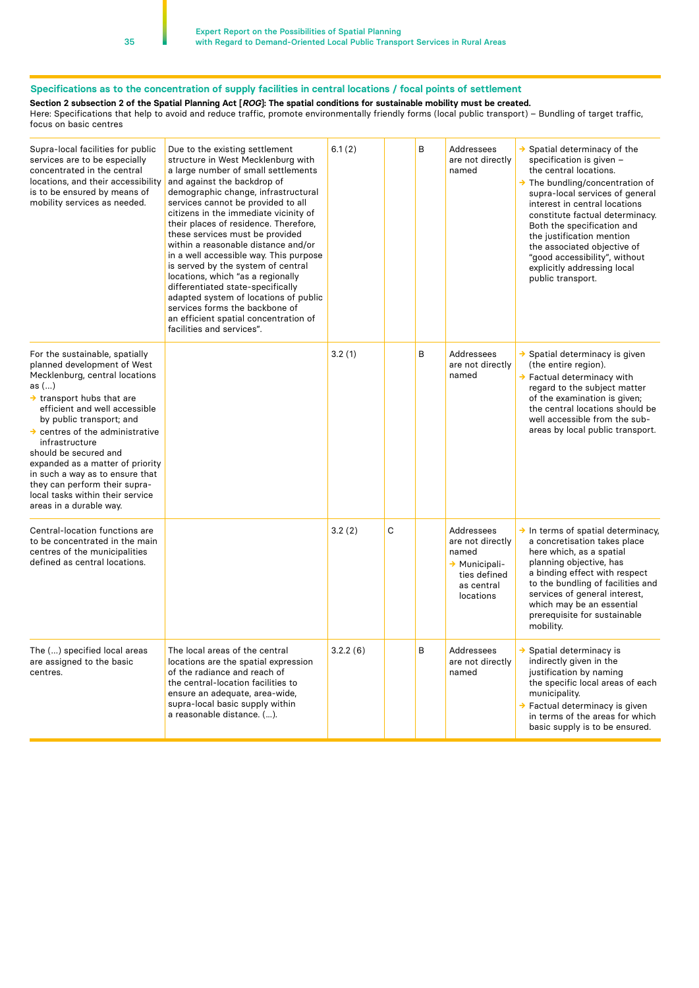## **Specifications as to the concentration of supply facilities in central locations / focal points of settlement**

**Section 2 subsection 2 of the Spatial Planning Act [***ROG***]: The spatial conditions for sustainable mobility must be created.**

Here: Specifications that help to avoid and reduce traffic, promote environmentally friendly forms (local public transport) – Bundling of target traffic, focus on basic centres

| Supra-local facilities for public<br>services are to be especially<br>concentrated in the central<br>locations, and their accessibility<br>is to be ensured by means of<br>mobility services as needed.                                                                                                                                                                                                                                                                           | Due to the existing settlement<br>structure in West Mecklenburg with<br>a large number of small settlements<br>and against the backdrop of<br>demographic change, infrastructural<br>services cannot be provided to all<br>citizens in the immediate vicinity of<br>their places of residence. Therefore,<br>these services must be provided<br>within a reasonable distance and/or<br>in a well accessible way. This purpose<br>is served by the system of central<br>locations, which "as a regionally<br>differentiated state-specifically<br>adapted system of locations of public<br>services forms the backbone of<br>an efficient spatial concentration of<br>facilities and services". | 6.1(2)   |              | B | Addressees<br>are not directly<br>named                                                             | $\rightarrow$ Spatial determinacy of the<br>specification is given -<br>the central locations.<br>$\rightarrow$ The bundling/concentration of<br>supra-local services of general<br>interest in central locations<br>constitute factual determinacy.<br>Both the specification and<br>the justification mention<br>the associated objective of<br>"good accessibility", without<br>explicitly addressing local<br>public transport. |
|-----------------------------------------------------------------------------------------------------------------------------------------------------------------------------------------------------------------------------------------------------------------------------------------------------------------------------------------------------------------------------------------------------------------------------------------------------------------------------------|------------------------------------------------------------------------------------------------------------------------------------------------------------------------------------------------------------------------------------------------------------------------------------------------------------------------------------------------------------------------------------------------------------------------------------------------------------------------------------------------------------------------------------------------------------------------------------------------------------------------------------------------------------------------------------------------|----------|--------------|---|-----------------------------------------------------------------------------------------------------|-------------------------------------------------------------------------------------------------------------------------------------------------------------------------------------------------------------------------------------------------------------------------------------------------------------------------------------------------------------------------------------------------------------------------------------|
| For the sustainable, spatially<br>planned development of West<br>Mecklenburg, central locations<br>as $()$<br>$\rightarrow$ transport hubs that are<br>efficient and well accessible<br>by public transport; and<br>$\rightarrow$ centres of the administrative<br>infrastructure<br>should be secured and<br>expanded as a matter of priority<br>in such a way as to ensure that<br>they can perform their supra-<br>local tasks within their service<br>areas in a durable way. |                                                                                                                                                                                                                                                                                                                                                                                                                                                                                                                                                                                                                                                                                                | 3.2(1)   |              | B | Addressees<br>are not directly<br>named                                                             | → Spatial determinacy is given<br>(the entire region).<br>$\rightarrow$ Factual determinacy with<br>regard to the subject matter<br>of the examination is given;<br>the central locations should be<br>well accessible from the sub-<br>areas by local public transport.                                                                                                                                                            |
| Central-location functions are<br>to be concentrated in the main<br>centres of the municipalities<br>defined as central locations.                                                                                                                                                                                                                                                                                                                                                |                                                                                                                                                                                                                                                                                                                                                                                                                                                                                                                                                                                                                                                                                                | 3.2(2)   | $\mathsf{C}$ |   | Addressees<br>are not directly<br>named<br>→ Municipali-<br>ties defined<br>as central<br>locations | $\rightarrow$ In terms of spatial determinacy,<br>a concretisation takes place<br>here which, as a spatial<br>planning objective, has<br>a binding effect with respect<br>to the bundling of facilities and<br>services of general interest,<br>which may be an essential<br>prerequisite for sustainable<br>mobility.                                                                                                              |
| The () specified local areas<br>are assigned to the basic<br>centres.                                                                                                                                                                                                                                                                                                                                                                                                             | The local areas of the central<br>locations are the spatial expression<br>of the radiance and reach of<br>the central-location facilities to<br>ensure an adequate, area-wide,<br>supra-local basic supply within<br>a reasonable distance. ().                                                                                                                                                                                                                                                                                                                                                                                                                                                | 3.2.2(6) |              | В | Addressees<br>are not directly<br>named                                                             | $\rightarrow$ Spatial determinacy is<br>indirectly given in the<br>justification by naming<br>the specific local areas of each<br>municipality.<br>→ Factual determinacy is given<br>in terms of the areas for which<br>basic supply is to be ensured.                                                                                                                                                                              |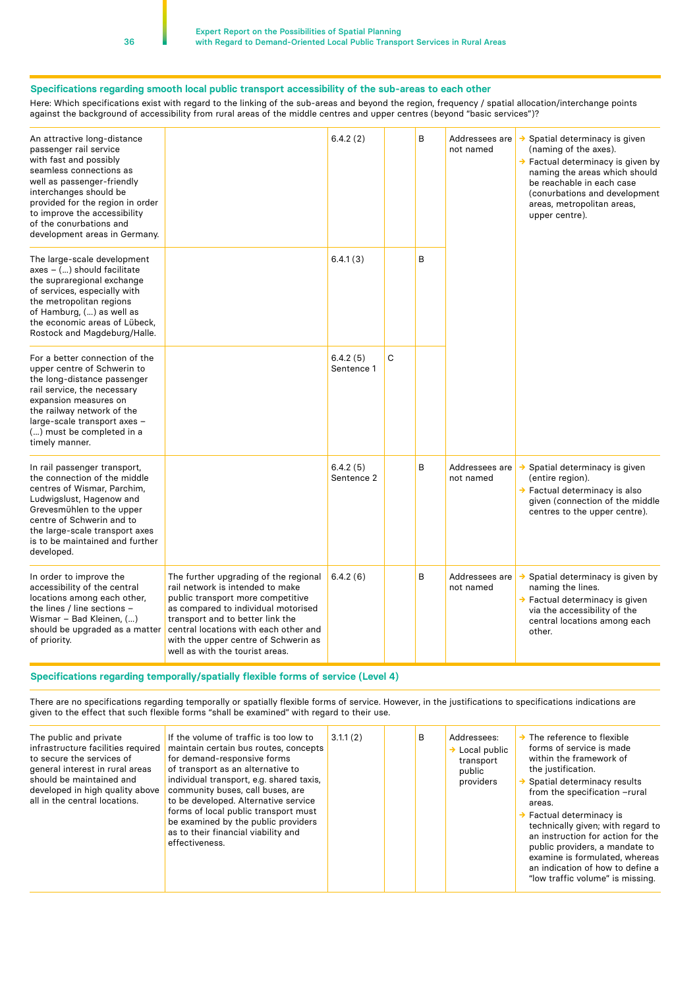#### **Specifications regarding smooth local public transport accessibility of the sub-areas to each other**

Here: Which specifications exist with regard to the linking of the sub-areas and beyond the region, frequency / spatial allocation/interchange points against the background of accessibility from rural areas of the middle centres and upper centres (beyond "basic services")?

| An attractive long-distance<br>passenger rail service<br>with fast and possibly<br>seamless connections as<br>well as passenger-friendly<br>interchanges should be<br>provided for the region in order<br>to improve the accessibility<br>of the conurbations and<br>development areas in Germany. |                                                                                                                                                                                                                                                                                                               | 6.4.2(2)               |   | B | Addressees are<br>not named | $\rightarrow$ Spatial determinacy is given<br>(naming of the axes).<br>$\rightarrow$ Factual determinacy is given by<br>naming the areas which should<br>be reachable in each case<br>(conurbations and development<br>areas, metropolitan areas,<br>upper centre). |
|----------------------------------------------------------------------------------------------------------------------------------------------------------------------------------------------------------------------------------------------------------------------------------------------------|---------------------------------------------------------------------------------------------------------------------------------------------------------------------------------------------------------------------------------------------------------------------------------------------------------------|------------------------|---|---|-----------------------------|---------------------------------------------------------------------------------------------------------------------------------------------------------------------------------------------------------------------------------------------------------------------|
| The large-scale development<br>axes - () should facilitate<br>the supraregional exchange<br>of services, especially with<br>the metropolitan regions<br>of Hamburg, () as well as<br>the economic areas of Lübeck,<br>Rostock and Magdeburg/Halle.                                                 |                                                                                                                                                                                                                                                                                                               | 6.4.1(3)               |   | B |                             |                                                                                                                                                                                                                                                                     |
| For a better connection of the<br>upper centre of Schwerin to<br>the long-distance passenger<br>rail service, the necessary<br>expansion measures on<br>the railway network of the<br>large-scale transport axes -<br>() must be completed in a<br>timely manner.                                  |                                                                                                                                                                                                                                                                                                               | 6.4.2(5)<br>Sentence 1 | C |   |                             |                                                                                                                                                                                                                                                                     |
| In rail passenger transport,<br>the connection of the middle<br>centres of Wismar, Parchim,<br>Ludwigslust, Hagenow and<br>Grevesmühlen to the upper<br>centre of Schwerin and to<br>the large-scale transport axes<br>is to be maintained and further<br>developed.                               |                                                                                                                                                                                                                                                                                                               | 6.4.2(5)<br>Sentence 2 |   | B | Addressees are<br>not named | → Spatial determinacy is given<br>(entire region).<br>→ Factual determinacy is also<br>given (connection of the middle<br>centres to the upper centre).                                                                                                             |
| In order to improve the<br>accessibility of the central<br>locations among each other,<br>the lines / line sections -<br>Wismar - Bad Kleinen, ()<br>should be upgraded as a matter<br>of priority.                                                                                                | The further upgrading of the regional<br>rail network is intended to make<br>public transport more competitive<br>as compared to individual motorised<br>transport and to better link the<br>central locations with each other and<br>with the upper centre of Schwerin as<br>well as with the tourist areas. | 6.4.2(6)               |   | В | Addressees are<br>not named | Spatial determinacy is given by<br>→<br>naming the lines.<br>→ Factual determinacy is given<br>via the accessibility of the<br>central locations among each<br>other.                                                                                               |

#### **Specifications regarding temporally/spatially flexible forms of service (Level 4)**

There are no specifications regarding temporally or spatially flexible forms of service. However, in the justifications to specifications indications are given to the effect that such flexible forms "shall be examined" with regard to their use.

| The public and private<br>infrastructure facilities required<br>to secure the services of<br>general interest in rural areas<br>should be maintained and<br>developed in high quality above<br>all in the central locations. | If the volume of traffic is too low to<br>maintain certain bus routes, concepts<br>for demand-responsive forms<br>of transport as an alternative to<br>individual transport, e.g. shared taxis,<br>community buses, call buses, are<br>to be developed. Alternative service<br>forms of local public transport must<br>be examined by the public providers<br>as to their financial viability and<br>effectiveness. | 3.1.1(2) |  | B | Addressees:<br>$\rightarrow$ Local public<br>transport<br>public<br>providers | $\rightarrow$ The reference to flexible<br>forms of service is made<br>within the framework of<br>the justification.<br>Spatial determinacy results<br>from the specification -rural<br>areas.<br>$\rightarrow$ Factual determinacy is<br>technically given; with regard to<br>an instruction for action for the<br>public providers, a mandate to<br>examine is formulated, whereas<br>an indication of how to define a<br>"low traffic volume" is missing. |
|------------------------------------------------------------------------------------------------------------------------------------------------------------------------------------------------------------------------------|---------------------------------------------------------------------------------------------------------------------------------------------------------------------------------------------------------------------------------------------------------------------------------------------------------------------------------------------------------------------------------------------------------------------|----------|--|---|-------------------------------------------------------------------------------|--------------------------------------------------------------------------------------------------------------------------------------------------------------------------------------------------------------------------------------------------------------------------------------------------------------------------------------------------------------------------------------------------------------------------------------------------------------|
|------------------------------------------------------------------------------------------------------------------------------------------------------------------------------------------------------------------------------|---------------------------------------------------------------------------------------------------------------------------------------------------------------------------------------------------------------------------------------------------------------------------------------------------------------------------------------------------------------------------------------------------------------------|----------|--|---|-------------------------------------------------------------------------------|--------------------------------------------------------------------------------------------------------------------------------------------------------------------------------------------------------------------------------------------------------------------------------------------------------------------------------------------------------------------------------------------------------------------------------------------------------------|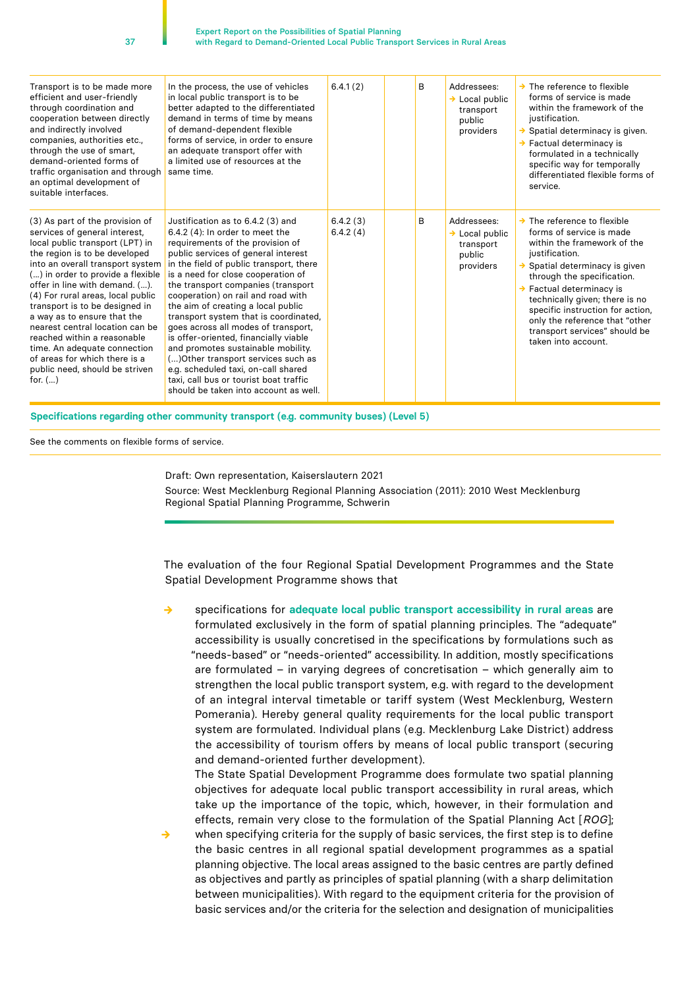| Transport is to be made more<br>efficient and user-friendly<br>through coordination and<br>cooperation between directly<br>and indirectly involved<br>companies, authorities etc.,<br>through the use of smart,<br>demand-oriented forms of<br>traffic organisation and through<br>an optimal development of<br>suitable interfaces.                                                                                                                                                                                                    | In the process, the use of vehicles<br>in local public transport is to be<br>better adapted to the differentiated<br>demand in terms of time by means<br>of demand-dependent flexible<br>forms of service, in order to ensure<br>an adequate transport offer with<br>a limited use of resources at the<br>same time.                                                                                                                                                                                                                                                                                                                                                                 | 6.4.1(2)             | <sub>R</sub> | Addressees:<br>$\rightarrow$ Local public<br>transport<br>public<br>providers | $\rightarrow$ The reference to flexible<br>forms of service is made<br>within the framework of the<br>justification.<br>$\rightarrow$ Spatial determinacy is given.<br>$\rightarrow$ Factual determinacy is<br>formulated in a technically<br>specific way for temporally<br>differentiated flexible forms of<br>service.                                                                                |
|-----------------------------------------------------------------------------------------------------------------------------------------------------------------------------------------------------------------------------------------------------------------------------------------------------------------------------------------------------------------------------------------------------------------------------------------------------------------------------------------------------------------------------------------|--------------------------------------------------------------------------------------------------------------------------------------------------------------------------------------------------------------------------------------------------------------------------------------------------------------------------------------------------------------------------------------------------------------------------------------------------------------------------------------------------------------------------------------------------------------------------------------------------------------------------------------------------------------------------------------|----------------------|--------------|-------------------------------------------------------------------------------|----------------------------------------------------------------------------------------------------------------------------------------------------------------------------------------------------------------------------------------------------------------------------------------------------------------------------------------------------------------------------------------------------------|
| (3) As part of the provision of<br>services of general interest,<br>local public transport (LPT) in<br>the region is to be developed<br>into an overall transport system<br>() in order to provide a flexible<br>offer in line with demand. ().<br>(4) For rural areas, local public<br>transport is to be designed in<br>a way as to ensure that the<br>nearest central location can be<br>reached within a reasonable<br>time. An adequate connection<br>of areas for which there is a<br>public need, should be striven<br>for. $()$ | Justification as to 6.4.2 (3) and<br>$6.4.2$ (4): In order to meet the<br>requirements of the provision of<br>public services of general interest<br>in the field of public transport, there<br>is a need for close cooperation of<br>the transport companies (transport<br>cooperation) on rail and road with<br>the aim of creating a local public<br>transport system that is coordinated,<br>goes across all modes of transport,<br>is offer-oriented, financially viable<br>and promotes sustainable mobility.<br>() Other transport services such as<br>e.g. scheduled taxi, on-call shared<br>taxi, call bus or tourist boat traffic<br>should be taken into account as well. | 6.4.2(3)<br>6.4.2(4) | B            | Addressees:<br>$\rightarrow$ Local public<br>transport<br>public<br>providers | $\rightarrow$ The reference to flexible<br>forms of service is made<br>within the framework of the<br>justification.<br>$\rightarrow$ Spatial determinacy is given<br>through the specification.<br>$\rightarrow$ Factual determinacy is<br>technically given; there is no<br>specific instruction for action,<br>only the reference that "other<br>transport services" should be<br>taken into account. |

**Specifications regarding other community transport (e.g. community buses) (Level 5)**

See the comments on flexible forms of service.

Draft: Own representation, Kaiserslautern 2021

Source: West Mecklenburg Regional Planning Association (2011): 2010 West Mecklenburg Regional Spatial Planning Programme, Schwerin

The evaluation of the four Regional Spatial Development Programmes and the State Spatial Development Programme shows that

specifications for adequate local public transport accessibility in rural areas are formulated exclusively in the form of spatial planning principles. The "adequate" accessibility is usually concretised in the specifications by formulations such as "needs-based" or "needs-oriented" accessibility. In addition, mostly specifications are formulated – in varying degrees of concretisation – which generally aim to strengthen the local public transport system, e.g. with regard to the development of an integral interval timetable or tariff system (West Mecklenburg, Western Pomerania). Hereby general quality requirements for the local public transport system are formulated. Individual plans (e.g. Mecklenburg Lake District) address the accessibility of tourism offers by means of local public transport (securing and demand-oriented further development).

The State Spatial Development Programme does formulate two spatial planning objectives for adequate local public transport accessibility in rural areas, which take up the importance of the topic, which, however, in their formulation and effects, remain very close to the formulation of the Spatial Planning Act [*ROG*]; **→** when specifying criteria for the supply of basic services, the first step is to define the basic centres in all regional spatial development programmes as a spatial planning objective. The local areas assigned to the basic centres are partly defined as objectives and partly as principles of spatial planning (with a sharp delimitation between municipalities). With regard to the equipment criteria for the provision of basic services and/or the criteria for the selection and designation of municipalities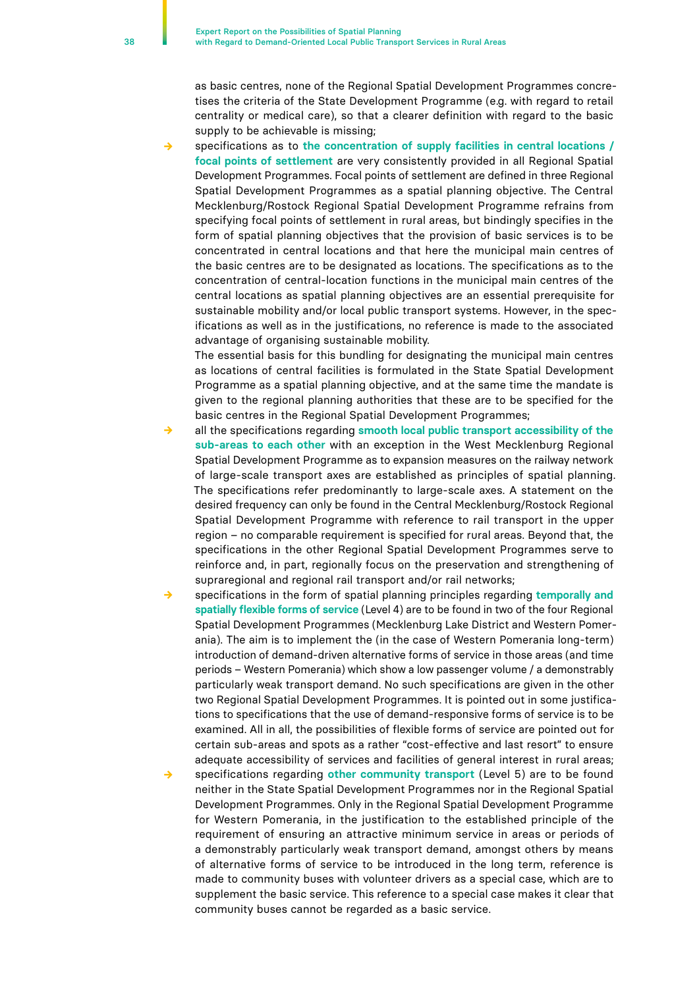as basic centres, none of the Regional Spatial Development Programmes concretises the criteria of the State Development Programme (e.g. with regard to retail centrality or medical care), so that a clearer definition with regard to the basic supply to be achievable is missing;

specifications as to the concentration of supply facilities in central locations / **focal points of settlement** are very consistently provided in all Regional Spatial Development Programmes. Focal points of settlement are defined in three Regional Spatial Development Programmes as a spatial planning objective. The Central Mecklenburg/Rostock Regional Spatial Development Programme refrains from specifying focal points of settlement in rural areas, but bindingly specifies in the form of spatial planning objectives that the provision of basic services is to be concentrated in central locations and that here the municipal main centres of the basic centres are to be designated as locations. The specifications as to the concentration of central-location functions in the municipal main centres of the central locations as spatial planning objectives are an essential prerequisite for sustainable mobility and/or local public transport systems. However, in the specifications as well as in the justifications, no reference is made to the associated advantage of organising sustainable mobility.

The essential basis for this bundling for designating the municipal main centres as locations of central facilities is formulated in the State Spatial Development Programme as a spatial planning objective, and at the same time the mandate is given to the regional planning authorities that these are to be specified for the basic centres in the Regional Spatial Development Programmes;

- **→** all the specifications regarding **smooth local public transport accessibility of the sub-areas to each other** with an exception in the West Mecklenburg Regional Spatial Development Programme as to expansion measures on the railway network of large-scale transport axes are established as principles of spatial planning. The specifications refer predominantly to large-scale axes. A statement on the desired frequency can only be found in the Central Mecklenburg/Rostock Regional Spatial Development Programme with reference to rail transport in the upper region – no comparable requirement is specified for rural areas. Beyond that, the specifications in the other Regional Spatial Development Programmes serve to reinforce and, in part, regionally focus on the preservation and strengthening of supraregional and regional rail transport and/or rail networks;
- **→** specifications in the form of spatial planning principles regarding **temporally and spatially flexible forms of service** (Level 4) are to be found in two of the four Regional Spatial Development Programmes (Mecklenburg Lake District and Western Pomerania). The aim is to implement the (in the case of Western Pomerania long-term) introduction of demand-driven alternative forms of service in those areas (and time periods – Western Pomerania) which show a low passenger volume / a demonstrably particularly weak transport demand. No such specifications are given in the other two Regional Spatial Development Programmes. It is pointed out in some justifications to specifications that the use of demand-responsive forms of service is to be examined. All in all, the possibilities of flexible forms of service are pointed out for certain sub-areas and spots as a rather "cost-effective and last resort" to ensure adequate accessibility of services and facilities of general interest in rural areas;
- specifications regarding other community transport (Level 5) are to be found neither in the State Spatial Development Programmes nor in the Regional Spatial Development Programmes. Only in the Regional Spatial Development Programme for Western Pomerania, in the justification to the established principle of the requirement of ensuring an attractive minimum service in areas or periods of a demonstrably particularly weak transport demand, amongst others by means of alternative forms of service to be introduced in the long term, reference is made to community buses with volunteer drivers as a special case, which are to supplement the basic service. This reference to a special case makes it clear that community buses cannot be regarded as a basic service.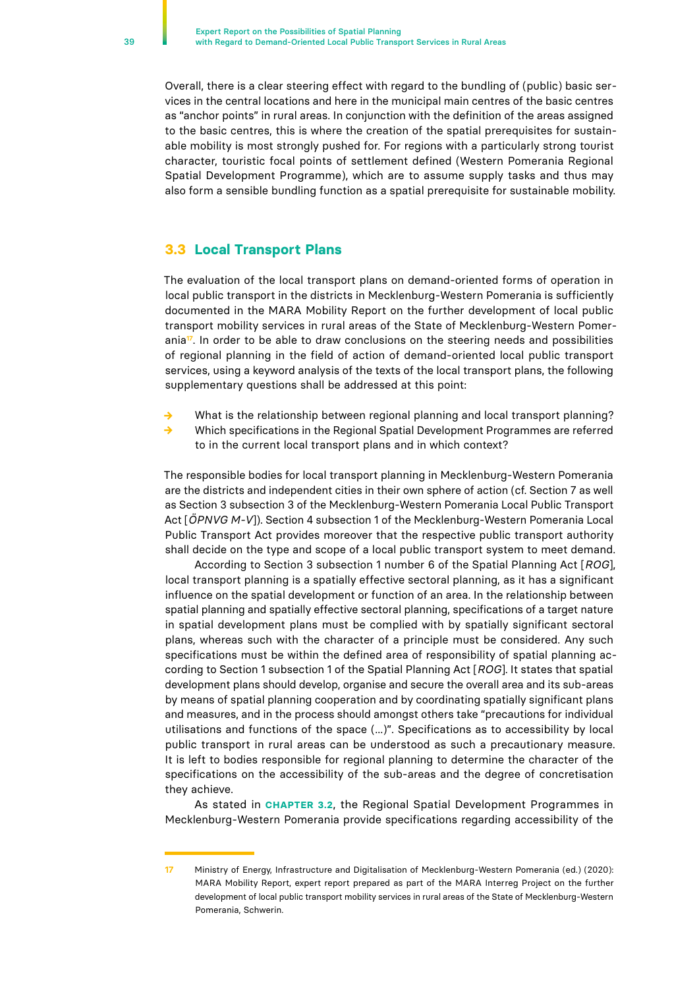<span id="page-38-0"></span>Overall, there is a clear steering effect with regard to the bundling of (public) basic services in the central locations and here in the municipal main centres of the basic centres as "anchor points" in rural areas. In conjunction with the definition of the areas assigned to the basic centres, this is where the creation of the spatial prerequisites for sustainable mobility is most strongly pushed for. For regions with a particularly strong tourist character, touristic focal points of settlement defined (Western Pomerania Regional Spatial Development Programme), which are to assume supply tasks and thus may also form a sensible bundling function as a spatial prerequisite for sustainable mobility.

### **3.3 Local Transport Plans**

The evaluation of the local transport plans on demand-oriented forms of operation in local public transport in the districts in Mecklenburg-Western Pomerania is sufficiently documented in the MARA Mobility Report on the further development of local public transport mobility services in rural areas of the State of Mecklenburg-Western Pomerania**17**. In order to be able to draw conclusions on the steering needs and possibilities of regional planning in the field of action of demand-oriented local public transport services, using a keyword analysis of the texts of the local transport plans, the following supplementary questions shall be addressed at this point:

- **→** What is the relationship between regional planning and local transport planning? **→** Which specifications in the Regional Spatial Development Programmes are referred
	- to in the current local transport plans and in which context?

The responsible bodies for local transport planning in Mecklenburg-Western Pomerania are the districts and independent cities in their own sphere of action (cf. Section 7 as well as Section 3 subsection 3 of the Mecklenburg-Western Pomerania Local Public Transport Act [*ÖPNVG M-V*]). Section 4 subsection 1 of the Mecklenburg-Western Pomerania Local Public Transport Act provides moreover that the respective public transport authority shall decide on the type and scope of a local public transport system to meet demand.

According to Section 3 subsection 1 number 6 of the Spatial Planning Act [*ROG*], local transport planning is a spatially effective sectoral planning, as it has a significant influence on the spatial development or function of an area. In the relationship between spatial planning and spatially effective sectoral planning, specifications of a target nature in spatial development plans must be complied with by spatially significant sectoral plans, whereas such with the character of a principle must be considered. Any such specifications must be within the defined area of responsibility of spatial planning according to Section 1 subsection 1 of the Spatial Planning Act [*ROG*]. It states that spatial development plans should develop, organise and secure the overall area and its sub-areas by means of spatial planning cooperation and by coordinating spatially significant plans and measures, and in the process should amongst others take "precautions for individual utilisations and functions of the space (...)". Specifications as to accessibility by local public transport in rural areas can be understood as such a precautionary measure. It is left to bodies responsible for regional planning to determine the character of the specifications on the accessibility of the sub-areas and the degree of concretisation they achieve.

As stated in **CHAPTER 3.2**, the Regional Spatial Development Programmes in Mecklenburg-Western Pomerania provide specifications regarding accessibility of the

**<sup>17</sup>** Ministry of Energy, Infrastructure and Digitalisation of Mecklenburg-Western Pomerania (ed.) (2020): MARA Mobility Report, expert report prepared as part of the MARA Interreg Project on the further development of local public transport mobility services in rural areas of the State of Mecklenburg-Western Pomerania, Schwerin.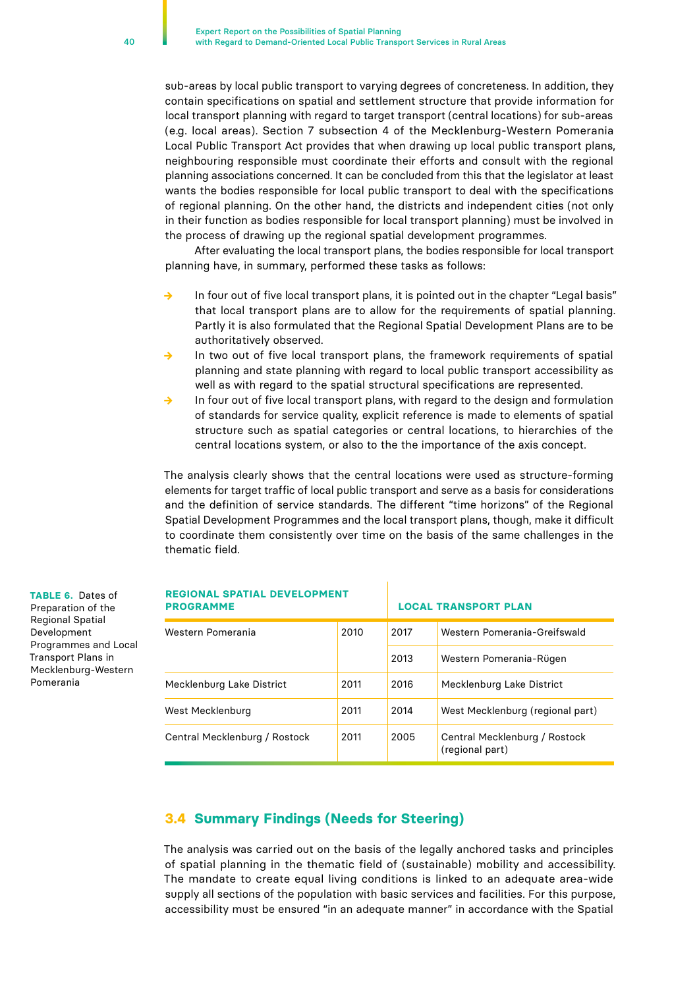<span id="page-39-0"></span>sub-areas by local public transport to varying degrees of concreteness. In addition, they contain specifications on spatial and settlement structure that provide information for local transport planning with regard to target transport (central locations) for sub-areas (e.g. local areas). Section 7 subsection 4 of the Mecklenburg-Western Pomerania Local Public Transport Act provides that when drawing up local public transport plans, neighbouring responsible must coordinate their efforts and consult with the regional planning associations concerned. It can be concluded from this that the legislator at least wants the bodies responsible for local public transport to deal with the specifications of regional planning. On the other hand, the districts and independent cities (not only in their function as bodies responsible for local transport planning) must be involved in the process of drawing up the regional spatial development programmes.

After evaluating the local transport plans, the bodies responsible for local transport planning have, in summary, performed these tasks as follows:

- **→** In four out of five local transport plans, it is pointed out in the chapter "Legal basis" that local transport plans are to allow for the requirements of spatial planning. Partly it is also formulated that the Regional Spatial Development Plans are to be authoritatively observed.
- **→** In two out of five local transport plans, the framework requirements of spatial planning and state planning with regard to local public transport accessibility as well as with regard to the spatial structural specifications are represented.
- In four out of five local transport plans, with regard to the design and formulation of standards for service quality, explicit reference is made to elements of spatial structure such as spatial categories or central locations, to hierarchies of the central locations system, or also to the the importance of the axis concept.

The analysis clearly shows that the central locations were used as structure-forming elements for target traffic of local public transport and serve as a basis for considerations and the definition of service standards. The different "time horizons" of the Regional Spatial Development Programmes and the local transport plans, though, make it difficult to coordinate them consistently over time on the basis of the same challenges in the thematic field.

| <b>REGIONAL SPATIAL DEVELOPMENT</b><br><b>PROGRAMME</b> |      | <b>LOCAL TRANSPORT PLAN</b> |                                                  |  |  |
|---------------------------------------------------------|------|-----------------------------|--------------------------------------------------|--|--|
| 2010<br>Western Pomerania                               |      | 2017                        | Western Pomerania-Greifswald                     |  |  |
|                                                         |      | 2013                        | Western Pomerania-Rügen                          |  |  |
| Mecklenburg Lake District                               | 2011 | 2016                        | Mecklenburg Lake District                        |  |  |
| West Mecklenburg<br>2011                                |      | 2014                        | West Mecklenburg (regional part)                 |  |  |
| Central Mecklenburg / Rostock<br>2011                   |      | 2005                        | Central Mecklenburg / Rostock<br>(regional part) |  |  |

## **REGIONAL SPATIAL DEVELOPMENT**

## **3.4 Summary Findings (Needs for Steering)**

The analysis was carried out on the basis of the legally anchored tasks and principles of spatial planning in the thematic field of (sustainable) mobility and accessibility. The mandate to create equal living conditions is linked to an adequate area-wide supply all sections of the population with basic services and facilities. For this purpose, accessibility must be ensured "in an adequate manner" in accordance with the Spatial

**TABLE 6.** Dates of Preparation of the Regional Spatial Development

Pomerania

Programmes and Local Transport Plans in Mecklenburg-Western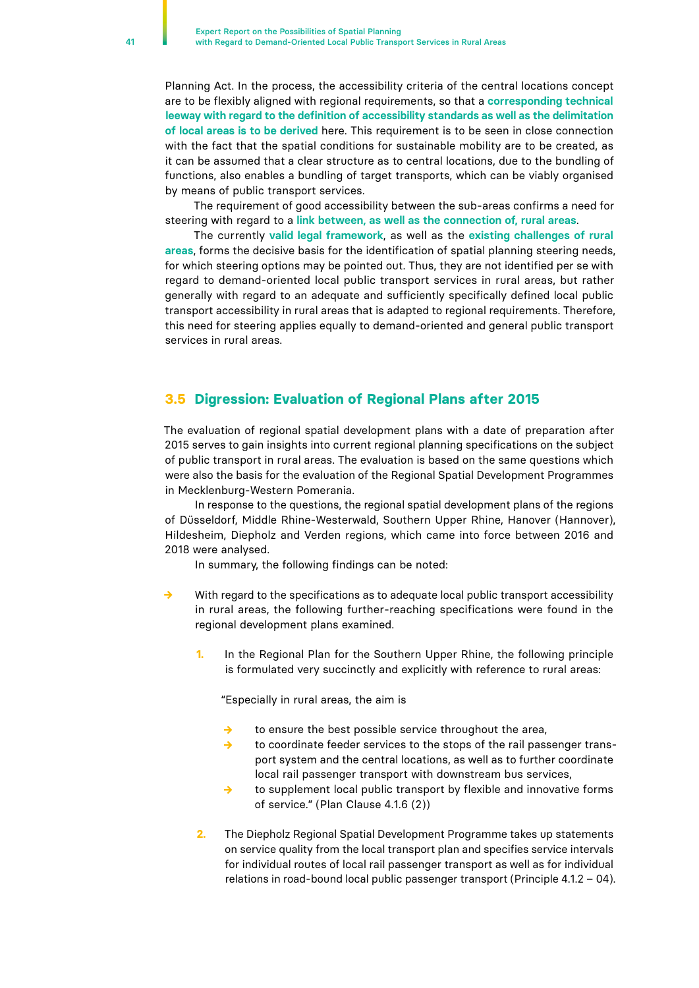<span id="page-40-0"></span>Planning Act. In the process, the accessibility criteria of the central locations concept are to be flexibly aligned with regional requirements, so that a **corresponding technical leeway with regard to the definition of accessibility standards as well as the delimitation of local areas is to be derived** here. This requirement is to be seen in close connection with the fact that the spatial conditions for sustainable mobility are to be created, as it can be assumed that a clear structure as to central locations, due to the bundling of functions, also enables a bundling of target transports, which can be viably organised by means of public transport services.

The requirement of good accessibility between the sub-areas confirms a need for steering with regard to a **link between, as well as the connection of, rural areas**.

The currently **valid legal framework**, as well as the **existing challenges of rural areas**, forms the decisive basis for the identification of spatial planning steering needs, for which steering options may be pointed out. Thus, they are not identified per se with regard to demand-oriented local public transport services in rural areas, but rather generally with regard to an adequate and sufficiently specifically defined local public transport accessibility in rural areas that is adapted to regional requirements. Therefore, this need for steering applies equally to demand-oriented and general public transport services in rural areas.

## **3.5 Digression: Evaluation of Regional Plans after 2015**

The evaluation of regional spatial development plans with a date of preparation after 2015 serves to gain insights into current regional planning specifications on the subject of public transport in rural areas. The evaluation is based on the same questions which were also the basis for the evaluation of the Regional Spatial Development Programmes in Mecklenburg-Western Pomerania.

In response to the questions, the regional spatial development plans of the regions of Düsseldorf, Middle Rhine-Westerwald, Southern Upper Rhine, Hanover (Hannover), Hildesheim, Diepholz and Verden regions, which came into force between 2016 and 2018 were analysed.

In summary, the following findings can be noted:

- **→** With regard to the specifications as to adequate local public transport accessibility in rural areas, the following further-reaching specifications were found in the regional development plans examined.
	- **1.** In the Regional Plan for the Southern Upper Rhine, the following principle is formulated very succinctly and explicitly with reference to rural areas:

"Especially in rural areas, the aim is

- **→** to ensure the best possible service throughout the area,
- **→** to coordinate feeder services to the stops of the rail passenger transport system and the central locations, as well as to further coordinate local rail passenger transport with downstream bus services,
- **→** to supplement local public transport by flexible and innovative forms of service." (Plan Clause 4.1.6 (2))
- **2.** The Diepholz Regional Spatial Development Programme takes up statements on service quality from the local transport plan and specifies service intervals for individual routes of local rail passenger transport as well as for individual relations in road-bound local public passenger transport (Principle 4.1.2 – 04).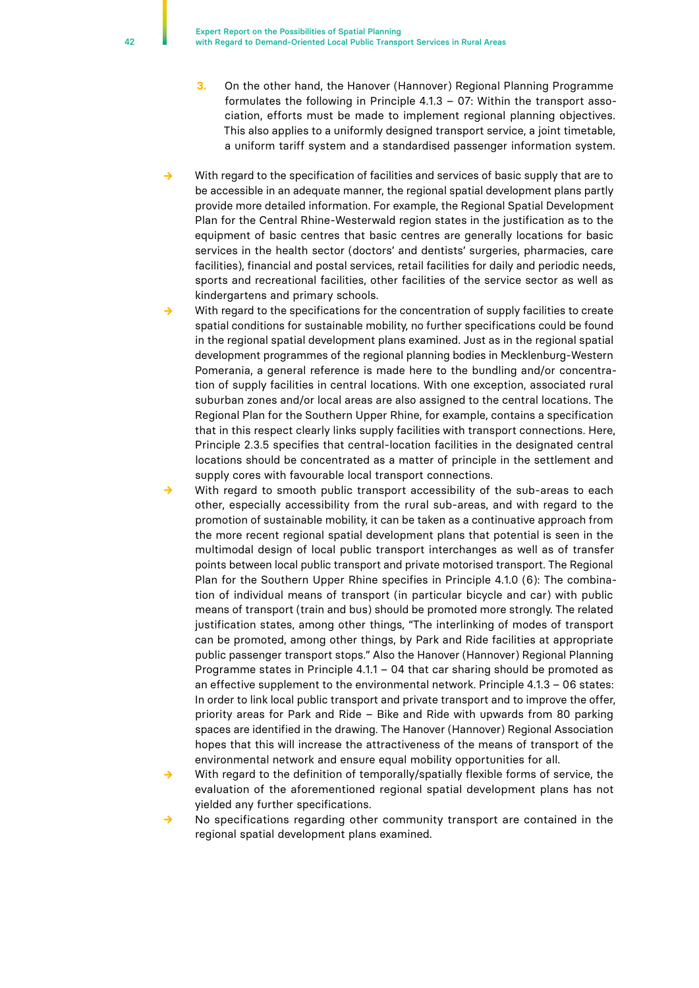- **3.** On the other hand, the Hanover (Hannover) Regional Planning Programme formulates the following in Principle 4.1.3 – 07: Within the transport association, efforts must be made to implement regional planning objectives. This also applies to a uniformly designed transport service, a joint timetable, a uniform tariff system and a standardised passenger information system.
- **→** With regard to the specification of facilities and services of basic supply that are to be accessible in an adequate manner, the regional spatial development plans partly provide more detailed information. For example, the Regional Spatial Development Plan for the Central Rhine-Westerwald region states in the justification as to the equipment of basic centres that basic centres are generally locations for basic services in the health sector (doctors' and dentists' surgeries, pharmacies, care facilities), financial and postal services, retail facilities for daily and periodic needs, sports and recreational facilities, other facilities of the service sector as well as kindergartens and primary schools.
- With regard to the specifications for the concentration of supply facilities to create spatial conditions for sustainable mobility, no further specifications could be found in the regional spatial development plans examined. Just as in the regional spatial development programmes of the regional planning bodies in Mecklenburg-Western Pomerania, a general reference is made here to the bundling and/or concentration of supply facilities in central locations. With one exception, associated rural suburban zones and/or local areas are also assigned to the central locations. The Regional Plan for the Southern Upper Rhine, for example, contains a specification that in this respect clearly links supply facilities with transport connections. Here, Principle 2.3.5 specifies that central-location facilities in the designated central locations should be concentrated as a matter of principle in the settlement and supply cores with favourable local transport connections.
- With regard to smooth public transport accessibility of the sub-areas to each other, especially accessibility from the rural sub-areas, and with regard to the promotion of sustainable mobility, it can be taken as a continuative approach from the more recent regional spatial development plans that potential is seen in the multimodal design of local public transport interchanges as well as of transfer points between local public transport and private motorised transport. The Regional Plan for the Southern Upper Rhine specifies in Principle 4.1.0 (6): The combination of individual means of transport (in particular bicycle and car) with public means of transport (train and bus) should be promoted more strongly. The related justification states, among other things, "The interlinking of modes of transport can be promoted, among other things, by Park and Ride facilities at appropriate public passenger transport stops." Also the Hanover (Hannover) Regional Planning Programme states in Principle 4.1.1 – 04 that car sharing should be promoted as an effective supplement to the environmental network. Principle 4.1.3 – 06 states: In order to link local public transport and private transport and to improve the offer, priority areas for Park and Ride – Bike and Ride with upwards from 80 parking spaces are identified in the drawing. The Hanover (Hannover) Regional Association hopes that this will increase the attractiveness of the means of transport of the environmental network and ensure equal mobility opportunities for all.
- With regard to the definition of temporally/spatially flexible forms of service, the evaluation of the aforementioned regional spatial development plans has not yielded any further specifications.
- **→** No specifications regarding other community transport are contained in the regional spatial development plans examined.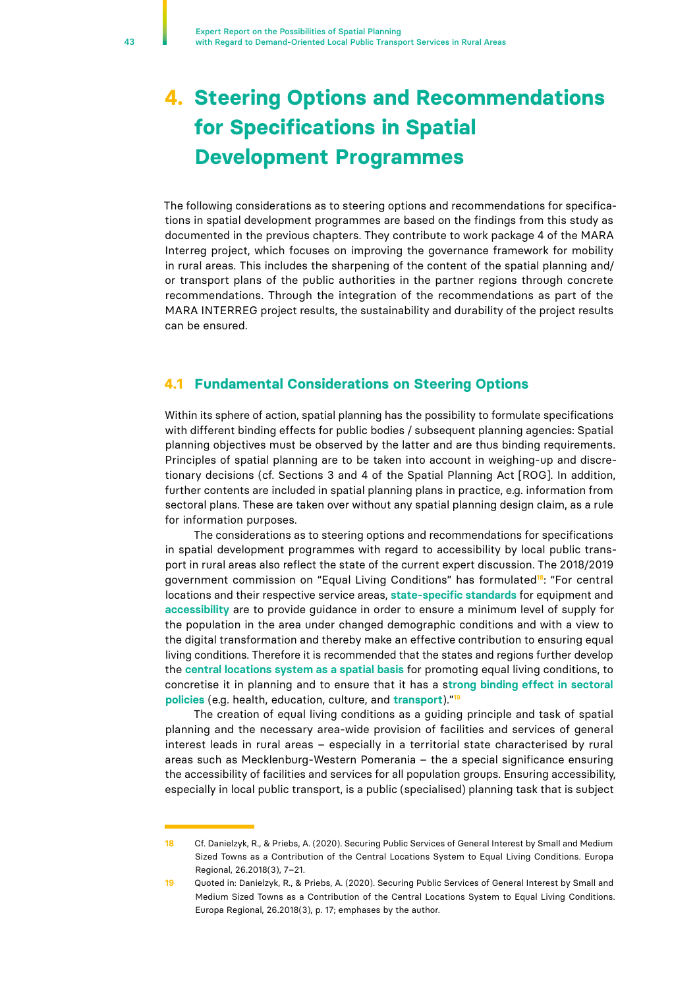# <span id="page-42-0"></span>**4. Steering Options and Recommendations for Specifications in Spatial Development Programmes**

The following considerations as to steering options and recommendations for specifications in spatial development programmes are based on the findings from this study as documented in the previous chapters. They contribute to work package 4 of the MARA Interreg project, which focuses on improving the governance framework for mobility in rural areas. This includes the sharpening of the content of the spatial planning and/ or transport plans of the public authorities in the partner regions through concrete recommendations. Through the integration of the recommendations as part of the MARA INTERREG project results, the sustainability and durability of the project results can be ensured.

## **4.1 Fundamental Considerations on Steering Options**

Within its sphere of action, spatial planning has the possibility to formulate specifications with different binding effects for public bodies / subsequent planning agencies: Spatial planning objectives must be observed by the latter and are thus binding requirements. Principles of spatial planning are to be taken into account in weighing-up and discretionary decisions (cf. Sections 3 and 4 of the Spatial Planning Act [ROG]. In addition, further contents are included in spatial planning plans in practice, e.g. information from sectoral plans. These are taken over without any spatial planning design claim, as a rule for information purposes.

The considerations as to steering options and recommendations for specifications in spatial development programmes with regard to accessibility by local public transport in rural areas also reflect the state of the current expert discussion. The 2018/2019 government commission on "Equal Living Conditions" has formulated**18**: "For central locations and their respective service areas, **state-specific standards** for equipment and **accessibility** are to provide guidance in order to ensure a minimum level of supply for the population in the area under changed demographic conditions and with a view to the digital transformation and thereby make an effective contribution to ensuring equal living conditions. Therefore it is recommended that the states and regions further develop the **central locations system as a spatial basis** for promoting equal living conditions, to concretise it in planning and to ensure that it has a s**trong binding effect in sectoral policies** (e.g. health, education, culture, and **transport**)."**<sup>19</sup>**

The creation of equal living conditions as a guiding principle and task of spatial planning and the necessary area-wide provision of facilities and services of general interest leads in rural areas – especially in a territorial state characterised by rural areas such as Mecklenburg-Western Pomerania – the a special significance ensuring the accessibility of facilities and services for all population groups. Ensuring accessibility, especially in local public transport, is a public (specialised) planning task that is subject

**<sup>18</sup>** Cf. Danielzyk, R., & Priebs, A. (2020). Securing Public Services of General Interest by Small and Medium Sized Towns as a Contribution of the Central Locations System to Equal Living Conditions. Europa Regional, 26.2018(3), 7–21.

**<sup>19</sup>** Quoted in: Danielzyk, R., & Priebs, A. (2020). Securing Public Services of General Interest by Small and Medium Sized Towns as a Contribution of the Central Locations System to Equal Living Conditions. Europa Regional, 26.2018(3), p. 17; emphases by the author.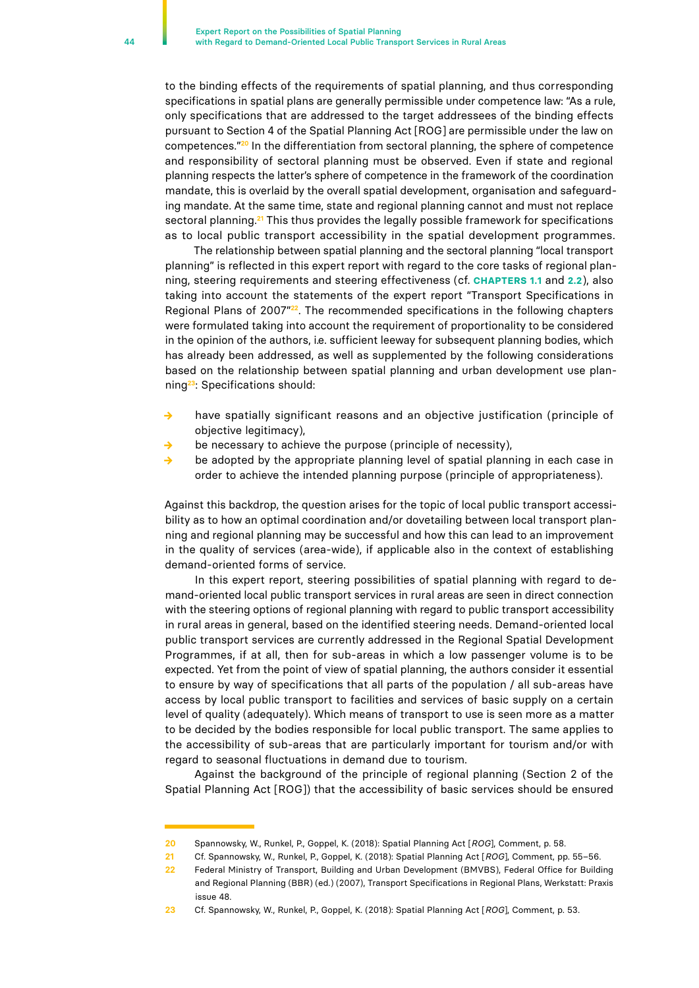to the binding effects of the requirements of spatial planning, and thus corresponding specifications in spatial plans are generally permissible under competence law: "As a rule, only specifications that are addressed to the target addressees of the binding effects pursuant to Section 4 of the Spatial Planning Act [ROG] are permissible under the law on competences."**<sup>20</sup>** In the differentiation from sectoral planning, the sphere of competence and responsibility of sectoral planning must be observed. Even if state and regional planning respects the latter's sphere of competence in the framework of the coordination mandate, this is overlaid by the overall spatial development, organisation and safeguarding mandate. At the same time, state and regional planning cannot and must not replace sectoral planning.**21** This thus provides the legally possible framework for specifications as to local public transport accessibility in the spatial development programmes.

The relationship between spatial planning and the sectoral planning "local transport planning" is reflected in this expert report with regard to the core tasks of regional planning, steering requirements and steering effectiveness (cf. **CHAPTERS 1.1** and **2.2**), also taking into account the statements of the expert report "Transport Specifications in Regional Plans of 2007"**22**. The recommended specifications in the following chapters were formulated taking into account the requirement of proportionality to be considered in the opinion of the authors, i.e. sufficient leeway for subsequent planning bodies, which has already been addressed, as well as supplemented by the following considerations based on the relationship between spatial planning and urban development use planning**23**: Specifications should:

- have spatially significant reasons and an objective justification (principle of objective legitimacy),
- **→** be necessary to achieve the purpose (principle of necessity),
- **→** be adopted by the appropriate planning level of spatial planning in each case in order to achieve the intended planning purpose (principle of appropriateness).

Against this backdrop, the question arises for the topic of local public transport accessibility as to how an optimal coordination and/or dovetailing between local transport planning and regional planning may be successful and how this can lead to an improvement in the quality of services (area-wide), if applicable also in the context of establishing demand-oriented forms of service.

In this expert report, steering possibilities of spatial planning with regard to demand-oriented local public transport services in rural areas are seen in direct connection with the steering options of regional planning with regard to public transport accessibility in rural areas in general, based on the identified steering needs. Demand-oriented local public transport services are currently addressed in the Regional Spatial Development Programmes, if at all, then for sub-areas in which a low passenger volume is to be expected. Yet from the point of view of spatial planning, the authors consider it essential to ensure by way of specifications that all parts of the population / all sub-areas have access by local public transport to facilities and services of basic supply on a certain level of quality (adequately). Which means of transport to use is seen more as a matter to be decided by the bodies responsible for local public transport. The same applies to the accessibility of sub-areas that are particularly important for tourism and/or with regard to seasonal fluctuations in demand due to tourism.

Against the background of the principle of regional planning (Section 2 of the Spatial Planning Act [ROG]) that the accessibility of basic services should be ensured

**<sup>20</sup>** Spannowsky, W., Runkel, P., Goppel, K. (2018): Spatial Planning Act [*ROG*], Comment, p. 58.

**<sup>21</sup>** Cf. Spannowsky, W., Runkel, P., Goppel, K. (2018): Spatial Planning Act [*ROG*], Comment, pp. 55–56.

**<sup>22</sup>** Federal Ministry of Transport, Building and Urban Development (BMVBS), Federal Office for Building and Regional Planning (BBR) (ed.) (2007), Transport Specifications in Regional Plans, Werkstatt: Praxis issue 48.

**<sup>23</sup>** Cf. Spannowsky, W., Runkel, P., Goppel, K. (2018): Spatial Planning Act [*ROG*], Comment, p. 53.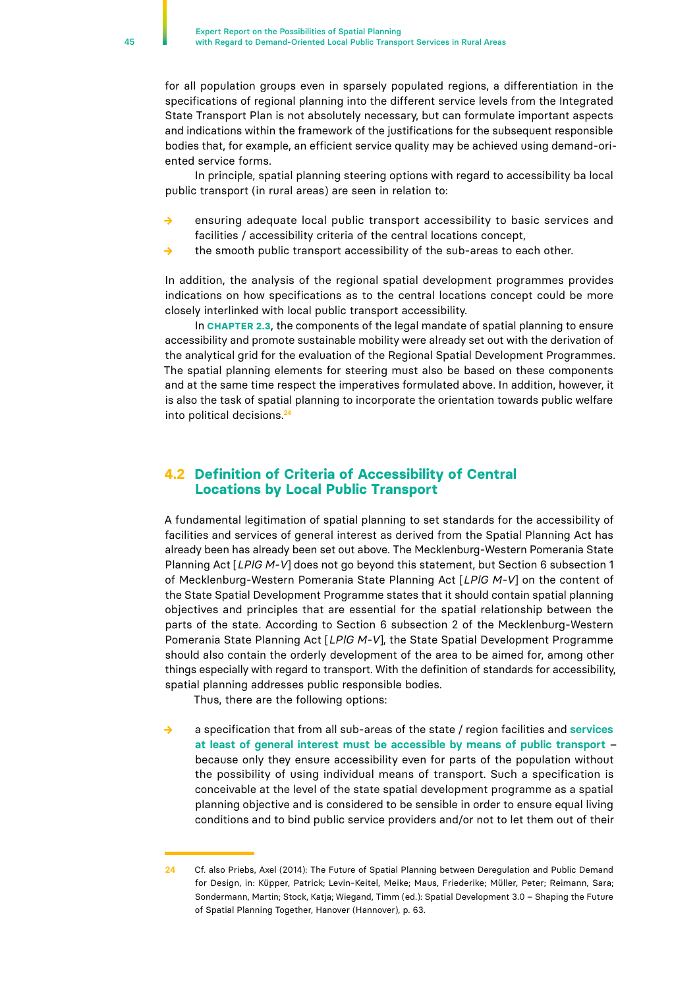<span id="page-44-0"></span>for all population groups even in sparsely populated regions, a differentiation in the specifications of regional planning into the different service levels from the Integrated State Transport Plan is not absolutely necessary, but can formulate important aspects and indications within the framework of the justifications for the subsequent responsible bodies that, for example, an efficient service quality may be achieved using demand-oriented service forms.

In principle, spatial planning steering options with regard to accessibility ba local public transport (in rural areas) are seen in relation to:

- **→** ensuring adequate local public transport accessibility to basic services and facilities / accessibility criteria of the central locations concept,
- the smooth public transport accessibility of the sub-areas to each other.

In addition, the analysis of the regional spatial development programmes provides indications on how specifications as to the central locations concept could be more closely interlinked with local public transport accessibility.

In **CHAPTER 2.3**, the components of the legal mandate of spatial planning to ensure accessibility and promote sustainable mobility were already set out with the derivation of the analytical grid for the evaluation of the Regional Spatial Development Programmes. The spatial planning elements for steering must also be based on these components and at the same time respect the imperatives formulated above. In addition, however, it is also the task of spatial planning to incorporate the orientation towards public welfare into political decisions.**<sup>24</sup>**

## **4.2 Definition of Criteria of Accessibility of Central Locations by Local Public Transport**

A fundamental legitimation of spatial planning to set standards for the accessibility of facilities and services of general interest as derived from the Spatial Planning Act has already been has already been set out above. The Mecklenburg-Western Pomerania State Planning Act [*LPlG M-V*] does not go beyond this statement, but Section 6 subsection 1 of Mecklenburg-Western Pomerania State Planning Act [*LPlG M-V*] on the content of the State Spatial Development Programme states that it should contain spatial planning objectives and principles that are essential for the spatial relationship between the parts of the state. According to Section 6 subsection 2 of the Mecklenburg-Western Pomerania State Planning Act [*LPlG M-V*], the State Spatial Development Programme should also contain the orderly development of the area to be aimed for, among other things especially with regard to transport. With the definition of standards for accessibility, spatial planning addresses public responsible bodies.

Thus, there are the following options:

**→** a specification that from all sub-areas of the state / region facilities and **services at least of general interest must be accessible by means of public transport** – because only they ensure accessibility even for parts of the population without the possibility of using individual means of transport. Such a specification is conceivable at the level of the state spatial development programme as a spatial planning objective and is considered to be sensible in order to ensure equal living conditions and to bind public service providers and/or not to let them out of their

**<sup>24</sup>** Cf. also Priebs, Axel (2014): The Future of Spatial Planning between Deregulation and Public Demand for Design, in: Küpper, Patrick; Levin-Keitel, Meike; Maus, Friederike; Müller, Peter; Reimann, Sara; Sondermann, Martin; Stock, Katja; Wiegand, Timm (ed.): Spatial Development 3.0 – Shaping the Future of Spatial Planning Together, Hanover (Hannover), p. 63.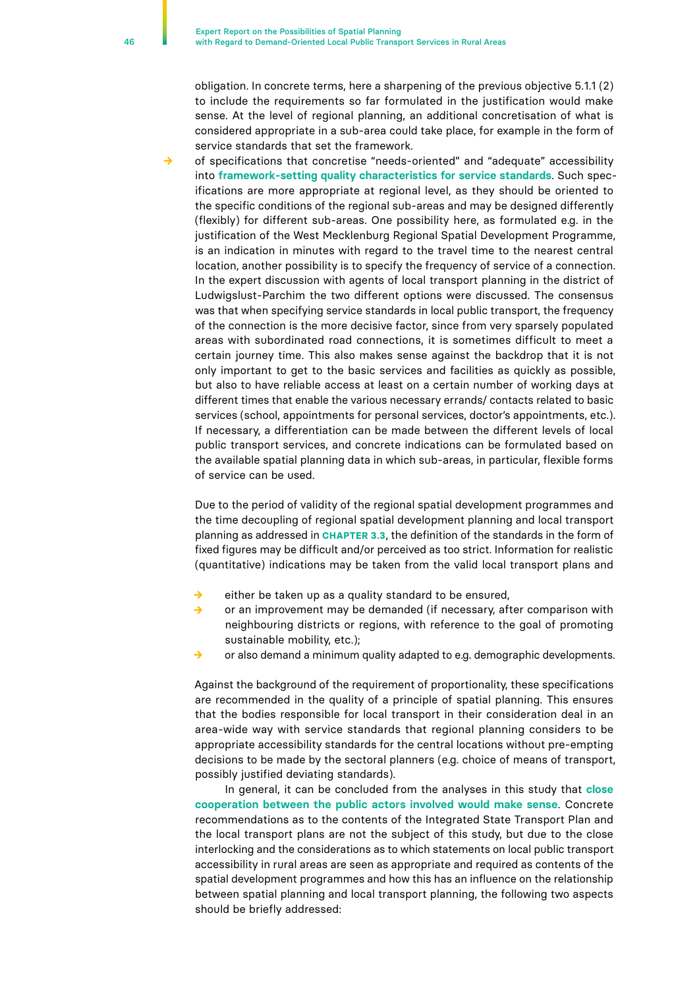obligation. In concrete terms, here a sharpening of the previous objective 5.1.1 (2) to include the requirements so far formulated in the justification would make sense. At the level of regional planning, an additional concretisation of what is considered appropriate in a sub-area could take place, for example in the form of service standards that set the framework.

of specifications that concretise "needs-oriented" and "adequate" accessibility into **framework-setting quality characteristics for service standards**. Such specifications are more appropriate at regional level, as they should be oriented to the specific conditions of the regional sub-areas and may be designed differently (flexibly) for different sub-areas. One possibility here, as formulated e.g. in the justification of the West Mecklenburg Regional Spatial Development Programme, is an indication in minutes with regard to the travel time to the nearest central location, another possibility is to specify the frequency of service of a connection. In the expert discussion with agents of local transport planning in the district of Ludwigslust-Parchim the two different options were discussed. The consensus was that when specifying service standards in local public transport, the frequency of the connection is the more decisive factor, since from very sparsely populated areas with subordinated road connections, it is sometimes difficult to meet a certain journey time. This also makes sense against the backdrop that it is not only important to get to the basic services and facilities as quickly as possible, but also to have reliable access at least on a certain number of working days at different times that enable the various necessary errands/ contacts related to basic services (school, appointments for personal services, doctor's appointments, etc.). If necessary, a differentiation can be made between the different levels of local public transport services, and concrete indications can be formulated based on the available spatial planning data in which sub-areas, in particular, flexible forms of service can be used.

Due to the period of validity of the regional spatial development programmes and the time decoupling of regional spatial development planning and local transport planning as addressed in **CHAPTER 3.3**, the definition of the standards in the form of fixed figures may be difficult and/or perceived as too strict. Information for realistic (quantitative) indications may be taken from the valid local transport plans and

- **→** either be taken up as a quality standard to be ensured,
- **→** or an improvement may be demanded (if necessary, after comparison with neighbouring districts or regions, with reference to the goal of promoting sustainable mobility, etc.);
- or also demand a minimum quality adapted to e.g. demographic developments.

Against the background of the requirement of proportionality, these specifications are recommended in the quality of a principle of spatial planning. This ensures that the bodies responsible for local transport in their consideration deal in an area-wide way with service standards that regional planning considers to be appropriate accessibility standards for the central locations without pre-empting decisions to be made by the sectoral planners (e.g. choice of means of transport, possibly justified deviating standards).

In general, it can be concluded from the analyses in this study that **close cooperation between the public actors involved would make sense**. Concrete recommendations as to the contents of the Integrated State Transport Plan and the local transport plans are not the subject of this study, but due to the close interlocking and the considerations as to which statements on local public transport accessibility in rural areas are seen as appropriate and required as contents of the spatial development programmes and how this has an influence on the relationship between spatial planning and local transport planning, the following two aspects should be briefly addressed: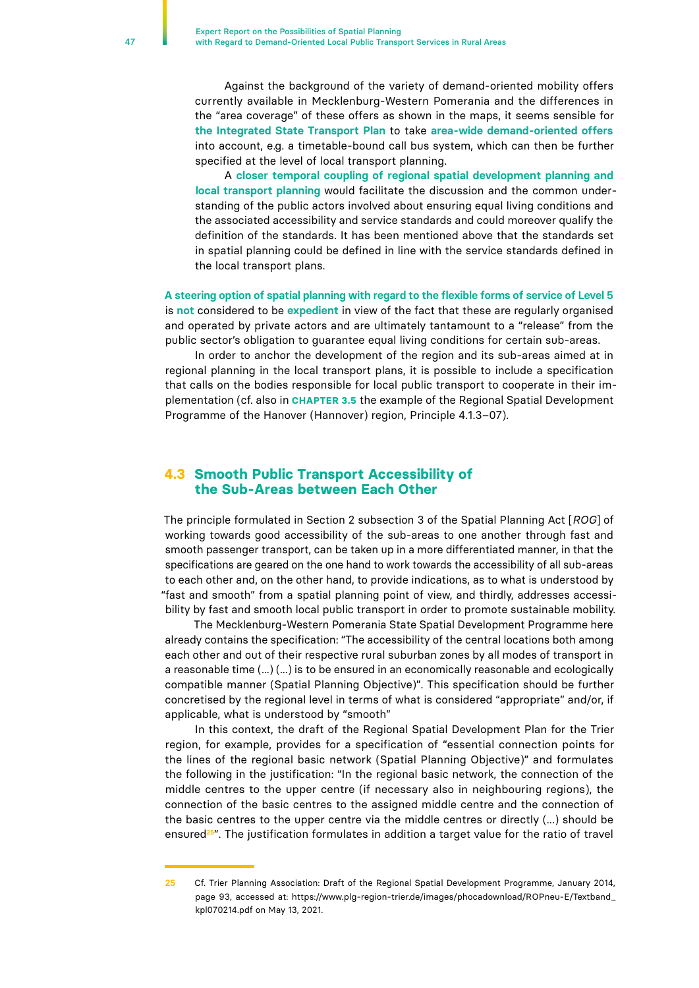<span id="page-46-0"></span>Against the background of the variety of demand-oriented mobility offers currently available in Mecklenburg-Western Pomerania and the differences in the "area coverage" of these offers as shown in the maps, it seems sensible for **the Integrated State Transport Plan** to take **area-wide demand-oriented offers**  into account, e.g. a timetable-bound call bus system, which can then be further specified at the level of local transport planning.

A **closer temporal coupling of regional spatial development planning and local transport planning** would facilitate the discussion and the common understanding of the public actors involved about ensuring equal living conditions and the associated accessibility and service standards and could moreover qualify the definition of the standards. It has been mentioned above that the standards set in spatial planning could be defined in line with the service standards defined in the local transport plans.

**A steering option of spatial planning with regard to the flexible forms of service of Level 5** is **not** considered to be **expedient** in view of the fact that these are regularly organised and operated by private actors and are ultimately tantamount to a "release" from the public sector's obligation to guarantee equal living conditions for certain sub-areas.

In order to anchor the development of the region and its sub-areas aimed at in regional planning in the local transport plans, it is possible to include a specification that calls on the bodies responsible for local public transport to cooperate in their implementation (cf. also in **CHAPTER 3.5** the example of the Regional Spatial Development Programme of the Hanover (Hannover) region, Principle 4.1.3–07).

## **4.3 Smooth Public Transport Accessibility of the Sub-Areas between Each Other**

The principle formulated in Section 2 subsection 3 of the Spatial Planning Act [*ROG*] of working towards good accessibility of the sub-areas to one another through fast and smooth passenger transport, can be taken up in a more differentiated manner, in that the specifications are geared on the one hand to work towards the accessibility of all sub-areas to each other and, on the other hand, to provide indications, as to what is understood by "fast and smooth" from a spatial planning point of view, and thirdly, addresses accessibility by fast and smooth local public transport in order to promote sustainable mobility.

The Mecklenburg-Western Pomerania State Spatial Development Programme here already contains the specification: "The accessibility of the central locations both among each other and out of their respective rural suburban zones by all modes of transport in a reasonable time (...) (...) is to be ensured in an economically reasonable and ecologically compatible manner (Spatial Planning Objective)". This specification should be further concretised by the regional level in terms of what is considered "appropriate" and/or, if applicable, what is understood by "smooth"

In this context, the draft of the Regional Spatial Development Plan for the Trier region, for example, provides for a specification of "essential connection points for the lines of the regional basic network (Spatial Planning Objective)" and formulates the following in the justification: "In the regional basic network, the connection of the middle centres to the upper centre (if necessary also in neighbouring regions), the connection of the basic centres to the assigned middle centre and the connection of the basic centres to the upper centre via the middle centres or directly (...) should be ensured**25**". The justification formulates in addition a target value for the ratio of travel

**<sup>25</sup>** Cf. Trier Planning Association: Draft of the Regional Spatial Development Programme, January 2014, page 93, accessed at: https://www.plg-region-trier.de/images/phocadownload/ROPneu-E/Textband\_ kpl070214.pdf on May 13, 2021.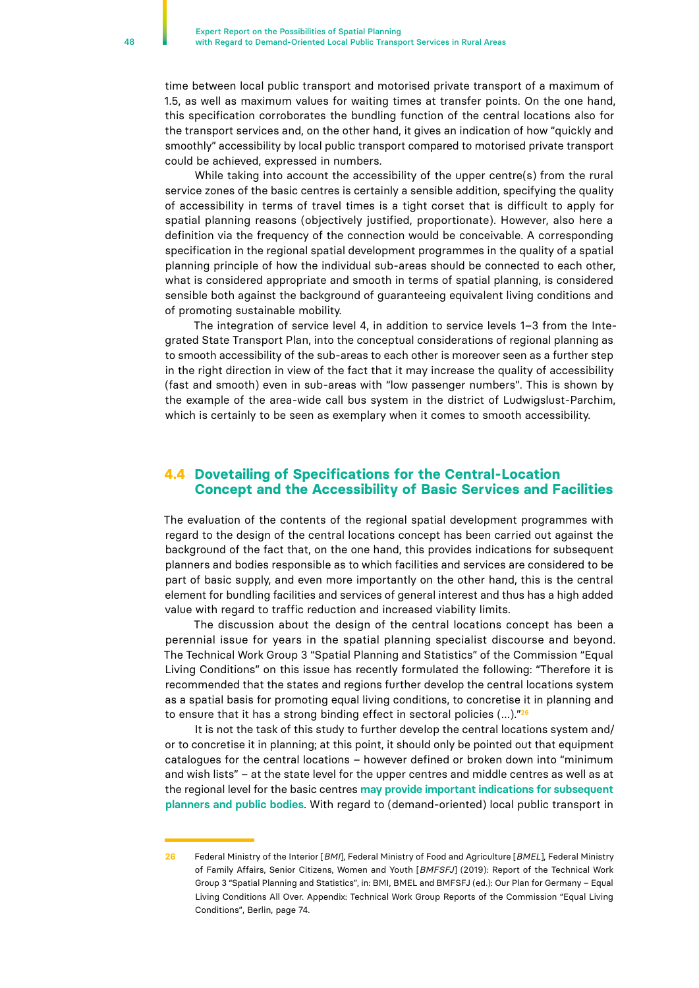<span id="page-47-0"></span>time between local public transport and motorised private transport of a maximum of 1.5, as well as maximum values for waiting times at transfer points. On the one hand, this specification corroborates the bundling function of the central locations also for the transport services and, on the other hand, it gives an indication of how "quickly and smoothly" accessibility by local public transport compared to motorised private transport could be achieved, expressed in numbers.

While taking into account the accessibility of the upper centre(s) from the rural service zones of the basic centres is certainly a sensible addition, specifying the quality of accessibility in terms of travel times is a tight corset that is difficult to apply for spatial planning reasons (objectively justified, proportionate). However, also here a definition via the frequency of the connection would be conceivable. A corresponding specification in the regional spatial development programmes in the quality of a spatial planning principle of how the individual sub-areas should be connected to each other, what is considered appropriate and smooth in terms of spatial planning, is considered sensible both against the background of guaranteeing equivalent living conditions and of promoting sustainable mobility.

The integration of service level 4, in addition to service levels 1–3 from the Integrated State Transport Plan, into the conceptual considerations of regional planning as to smooth accessibility of the sub-areas to each other is moreover seen as a further step in the right direction in view of the fact that it may increase the quality of accessibility (fast and smooth) even in sub-areas with "low passenger numbers". This is shown by the example of the area-wide call bus system in the district of Ludwigslust-Parchim, which is certainly to be seen as exemplary when it comes to smooth accessibility.

## **4.4 Dovetailing of Specifications for the Central-Location Concept and the Accessibility of Basic Services and Facilities**

The evaluation of the contents of the regional spatial development programmes with regard to the design of the central locations concept has been carried out against the background of the fact that, on the one hand, this provides indications for subsequent planners and bodies responsible as to which facilities and services are considered to be part of basic supply, and even more importantly on the other hand, this is the central element for bundling facilities and services of general interest and thus has a high added value with regard to traffic reduction and increased viability limits.

The discussion about the design of the central locations concept has been a perennial issue for years in the spatial planning specialist discourse and beyond. The Technical Work Group 3 "Spatial Planning and Statistics" of the Commission "Equal Living Conditions" on this issue has recently formulated the following: "Therefore it is recommended that the states and regions further develop the central locations system as a spatial basis for promoting equal living conditions, to concretise it in planning and to ensure that it has a strong binding effect in sectoral policies (…)."**<sup>26</sup>**

It is not the task of this study to further develop the central locations system and/ or to concretise it in planning; at this point, it should only be pointed out that equipment catalogues for the central locations – however defined or broken down into "minimum and wish lists" – at the state level for the upper centres and middle centres as well as at the regional level for the basic centres **may provide important indications for subsequent planners and public bodies**. With regard to (demand-oriented) local public transport in

**<sup>26</sup>** Federal Ministry of the Interior [*BMI*], Federal Ministry of Food and Agriculture [*BMEL*], Federal Ministry of Family Affairs, Senior Citizens, Women and Youth [*BMFSFJ*] (2019): Report of the Technical Work Group 3 "Spatial Planning and Statistics", in: BMI, BMEL and BMFSFJ (ed.): Our Plan for Germany – Equal Living Conditions All Over. Appendix: Technical Work Group Reports of the Commission "Equal Living Conditions", Berlin, page 74.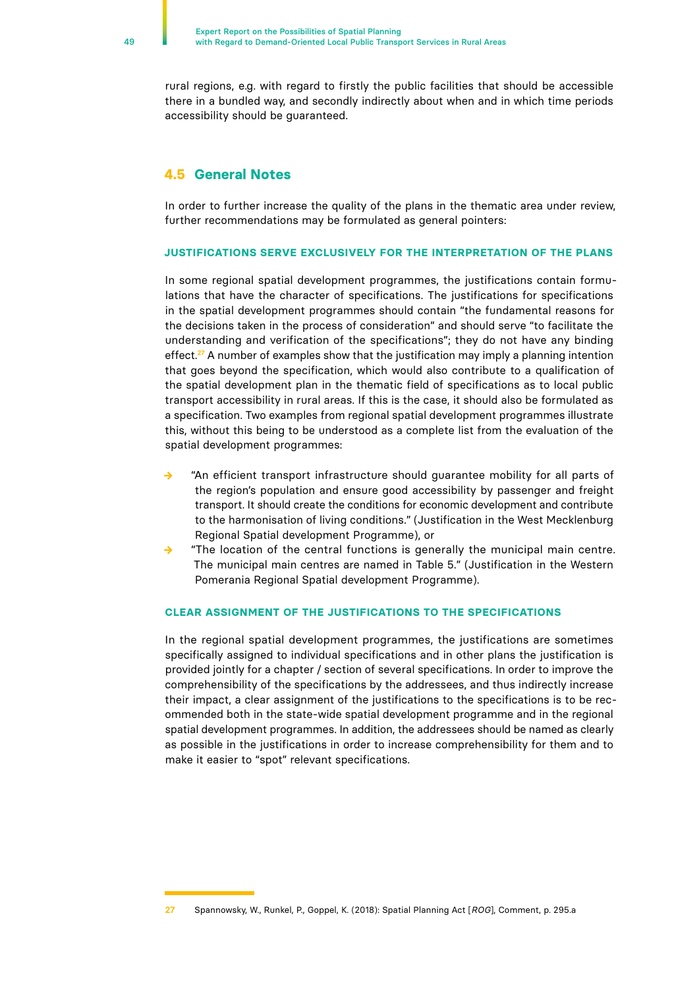<span id="page-48-0"></span>rural regions, e.g. with regard to firstly the public facilities that should be accessible there in a bundled way, and secondly indirectly about when and in which time periods accessibility should be guaranteed.

## **4.5 General Notes**

In order to further increase the quality of the plans in the thematic area under review, further recommendations may be formulated as general pointers:

#### **JUSTIFICATIONS SERVE EXCLUSIVELY FOR THE INTERPRETATION OF THE PLANS**

In some regional spatial development programmes, the justifications contain formulations that have the character of specifications. The justifications for specifications in the spatial development programmes should contain "the fundamental reasons for the decisions taken in the process of consideration" and should serve "to facilitate the understanding and verification of the specifications"; they do not have any binding effect.**<sup>27</sup>** A number of examples show that the justification may imply a planning intention that goes beyond the specification, which would also contribute to a qualification of the spatial development plan in the thematic field of specifications as to local public transport accessibility in rural areas. If this is the case, it should also be formulated as a specification. Two examples from regional spatial development programmes illustrate this, without this being to be understood as a complete list from the evaluation of the spatial development programmes:

- **→** "An efficient transport infrastructure should guarantee mobility for all parts of the region's population and ensure good accessibility by passenger and freight transport. It should create the conditions for economic development and contribute to the harmonisation of living conditions." (Justification in the West Mecklenburg Regional Spatial development Programme), or
- **→** "The location of the central functions is generally the municipal main centre. The municipal main centres are named in Table 5." (Justification in the Western Pomerania Regional Spatial development Programme).

#### **CLEAR ASSIGNMENT OF THE JUSTIFICATIONS TO THE SPECIFICATIONS**

In the regional spatial development programmes, the justifications are sometimes specifically assigned to individual specifications and in other plans the justification is provided jointly for a chapter / section of several specifications. In order to improve the comprehensibility of the specifications by the addressees, and thus indirectly increase their impact, a clear assignment of the justifications to the specifications is to be recommended both in the state-wide spatial development programme and in the regional spatial development programmes. In addition, the addressees should be named as clearly as possible in the justifications in order to increase comprehensibility for them and to make it easier to "spot" relevant specifications.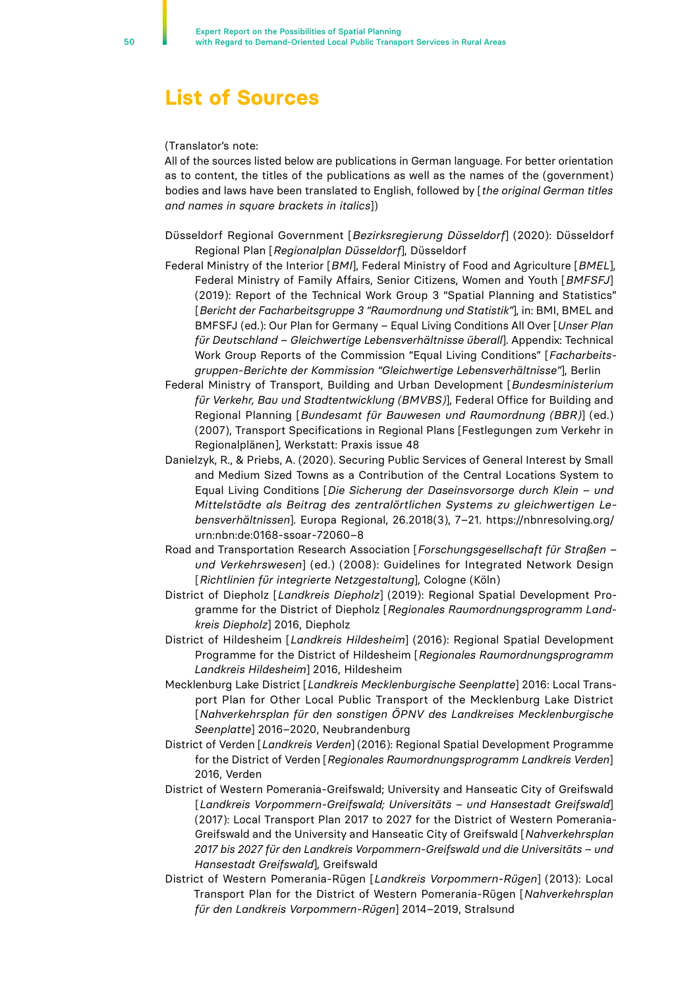## <span id="page-49-0"></span>**List of Sources**

#### (Translator's note:

All of the sources listed below are publications in German language. For better orientation as to content, the titles of the publications as well as the names of the (government) bodies and laws have been translated to English, followed by [*the original German titles and names in square brackets in italics*])

Düsseldorf Regional Government [*Bezirksregierung Düsseldorf*] (2020): Düsseldorf Regional Plan [*Regionalplan Düsseldorf*], Düsseldorf

- Federal Ministry of the Interior [*BMI*], Federal Ministry of Food and Agriculture [*BMEL*], Federal Ministry of Family Affairs, Senior Citizens, Women and Youth [*BMFSFJ*] (2019): Report of the Technical Work Group 3 "Spatial Planning and Statistics" [*Bericht der Facharbeitsgruppe 3 "Raumordnung und Statistik"*], in: BMI, BMEL and BMFSFJ (ed.): Our Plan for Germany – Equal Living Conditions All Over [*Unser Plan für Deutschland – Gleichwertige Lebensverhältnisse überall*]. Appendix: Technical Work Group Reports of the Commission "Equal Living Conditions" [*Facharbeitsgruppen-Berichte der Kommission "Gleichwertige Lebensverhältnisse"*], Berlin
- Federal Ministry of Transport, Building and Urban Development [*Bundesministerium für Verkehr, Bau und Stadtentwicklung (BMVBS)*], Federal Office for Building and Regional Planning [*Bundesamt für Bauwesen und Raumordnung (BBR)*] (ed.) (2007), Transport Specifications in Regional Plans [Festlegungen zum Verkehr in Regionalplänen], Werkstatt: Praxis issue 48
- Danielzyk, R., & Priebs, A. (2020). Securing Public Services of General Interest by Small and Medium Sized Towns as a Contribution of the Central Locations System to Equal Living Conditions [*Die Sicherung der Daseinsvorsorge durch Klein – und Mittelstädte als Beitrag des zentralörtlichen Systems zu gleichwertigen Lebensverhältnissen*]. Europa Regional, 26.2018(3), 7–21. https://nbnresolving.org/ urn:nbn:de:0168-ssoar-72060–8
- Road and Transportation Research Association [*Forschungsgesellschaft für Straßen und Verkehrswesen*] (ed.) (2008): Guidelines for Integrated Network Design [*Richtlinien für integrierte Netzgestaltung*], Cologne (Köln)
- District of Diepholz [*Landkreis Diepholz*] (2019): Regional Spatial Development Programme for the District of Diepholz [*Regionales Raumordnungsprogramm Landkreis Diepholz*] 2016, Diepholz
- District of Hildesheim [*Landkreis Hildesheim*] (2016): Regional Spatial Development Programme for the District of Hildesheim [*Regionales Raumordnungsprogramm Landkreis Hildesheim*] 2016, Hildesheim
- Mecklenburg Lake District [*Landkreis Mecklenburgische Seenplatte*] 2016: Local Transport Plan for Other Local Public Transport of the Mecklenburg Lake District [*Nahverkehrsplan für den sonstigen ÖPNV des Landkreises Mecklenburgische Seenplatte*] 2016–2020, Neubrandenburg
- District of Verden [*Landkreis Verden*] (2016): Regional Spatial Development Programme for the District of Verden [*Regionales Raumordnungsprogramm Landkreis Verden*] 2016, Verden
- District of Western Pomerania-Greifswald; University and Hanseatic City of Greifswald [*Landkreis Vorpommern-Greifswald; Universitäts – und Hansestadt Greifswald*] (2017): Local Transport Plan 2017 to 2027 for the District of Western Pomerania-Greifswald and the University and Hanseatic City of Greifswald [*Nahverkehrsplan 2017 bis 2027 für den Landkreis Vorpommern-Greifswald und die Universitäts – und Hansestadt Greifswald*], Greifswald
- District of Western Pomerania-Rügen [*Landkreis Vorpommern-Rügen*] (2013): Local Transport Plan for the District of Western Pomerania-Rügen [*Nahverkehrsplan für den Landkreis Vorpommern-Rügen*] 2014–2019, Stralsund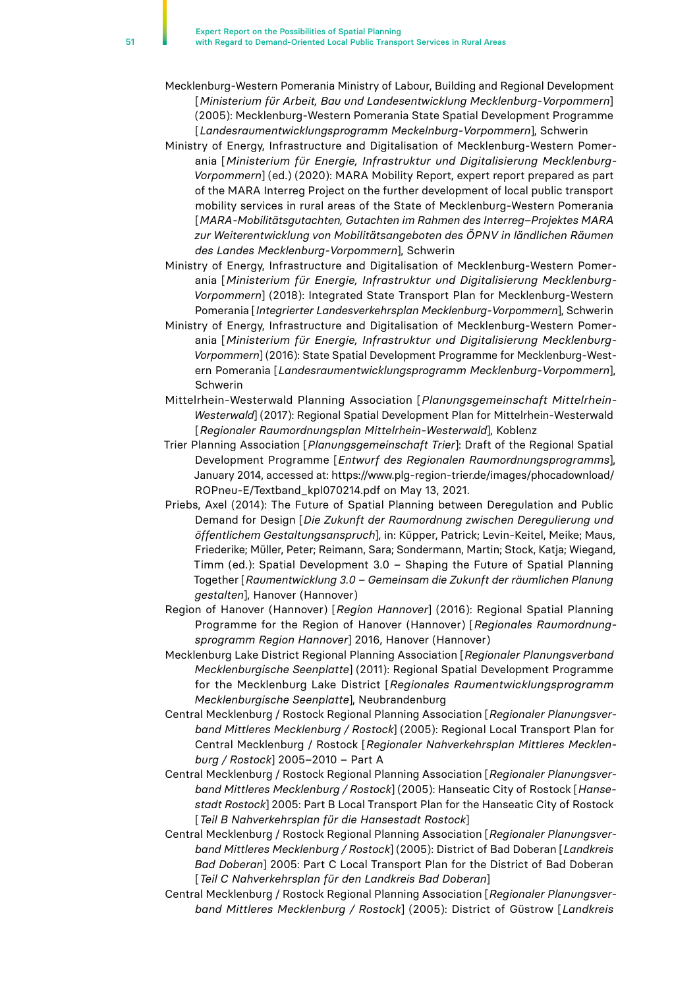- Mecklenburg-Western Pomerania Ministry of Labour, Building and Regional Development [*Ministerium für Arbeit, Bau und Landesentwicklung Mecklenburg-Vorpommern*] (2005): Mecklenburg-Western Pomerania State Spatial Development Programme [*Landesraumentwicklungsprogramm Meckelnburg-Vorpommern*], Schwerin
- Ministry of Energy, Infrastructure and Digitalisation of Mecklenburg-Western Pomerania [*Ministerium für Energie, Infrastruktur und Digitalisierung Mecklenburg-Vorpommern*] (ed.) (2020): MARA Mobility Report, expert report prepared as part of the MARA Interreg Project on the further development of local public transport mobility services in rural areas of the State of Mecklenburg-Western Pomerania [*MARA-Mobilitätsgutachten, Gutachten im Rahmen des Interreg–Projektes MARA zur Weiterentwicklung von Mobilitätsangeboten des ÖPNV in ländlichen Räumen des Landes Mecklenburg-Vorpommern*], Schwerin
- Ministry of Energy, Infrastructure and Digitalisation of Mecklenburg-Western Pomerania [*Ministerium für Energie, Infrastruktur und Digitalisierung Mecklenburg-Vorpommern*] (2018): Integrated State Transport Plan for Mecklenburg-Western Pomerania [*Integrierter Landesverkehrsplan Mecklenburg-Vorpommern*], Schwerin
- Ministry of Energy, Infrastructure and Digitalisation of Mecklenburg-Western Pomerania [*Ministerium für Energie, Infrastruktur und Digitalisierung Mecklenburg-Vorpommern*] (2016): State Spatial Development Programme for Mecklenburg-Western Pomerania [*Landesraumentwicklungsprogramm Mecklenburg-Vorpommern*], Schwerin
- Mittelrhein-Westerwald Planning Association [*Planungsgemeinschaft Mittelrhein-Westerwald*] (2017): Regional Spatial Development Plan for Mittelrhein-Westerwald [*Regionaler Raumordnungsplan Mittelrhein-Westerwald*], Koblenz
- Trier Planning Association [*Planungsgemeinschaft Trier*]: Draft of the Regional Spatial Development Programme [*Entwurf des Regionalen Raumordnungsprogramms*], January 2014, accessed at: https://www.plg-region-trier.de/images/phocadownload/ ROPneu-E/Textband\_kpl070214.pdf on May 13, 2021.
- Priebs, Axel (2014): The Future of Spatial Planning between Deregulation and Public Demand for Design [*Die Zukunft der Raumordnung zwischen Deregulierung und öffentlichem Gestaltungsanspruch*], in: Küpper, Patrick; Levin-Keitel, Meike; Maus, Friederike; Müller, Peter; Reimann, Sara; Sondermann, Martin; Stock, Katja; Wiegand, Timm (ed.): Spatial Development 3.0 – Shaping the Future of Spatial Planning Together [*Raumentwicklung 3.0 – Gemeinsam die Zukunft der räumlichen Planung gestalten*], Hanover (Hannover)
- Region of Hanover (Hannover) [*Region Hannover*] (2016): Regional Spatial Planning Programme for the Region of Hanover (Hannover) [*Regionales Raumordnungsprogramm Region Hannover*] 2016, Hanover (Hannover)
- Mecklenburg Lake District Regional Planning Association [*Regionaler Planungsverband Mecklenburgische Seenplatte*] (2011): Regional Spatial Development Programme for the Mecklenburg Lake District [*Regionales Raumentwicklungsprogramm Mecklenburgische Seenplatte*], Neubrandenburg
- Central Mecklenburg / Rostock Regional Planning Association [*Regionaler Planungsverband Mittleres Mecklenburg / Rostock*] (2005): Regional Local Transport Plan for Central Mecklenburg / Rostock [*Regionaler Nahverkehrsplan Mittleres Mecklenburg / Rostock*] 2005–2010 – Part A
- Central Mecklenburg / Rostock Regional Planning Association [*Regionaler Planungsverband Mittleres Mecklenburg / Rostock*] (2005): Hanseatic City of Rostock [*Hansestadt Rostock*] 2005: Part B Local Transport Plan for the Hanseatic City of Rostock [*Teil B Nahverkehrsplan für die Hansestadt Rostock*]
- Central Mecklenburg / Rostock Regional Planning Association [*Regionaler Planungsverband Mittleres Mecklenburg / Rostock*] (2005): District of Bad Doberan [*Landkreis Bad Doberan*] 2005: Part C Local Transport Plan for the District of Bad Doberan [*Teil C Nahverkehrsplan für den Landkreis Bad Doberan*]
- Central Mecklenburg / Rostock Regional Planning Association [*Regionaler Planungsverband Mittleres Mecklenburg / Rostock*] (2005): District of Güstrow [*Landkreis*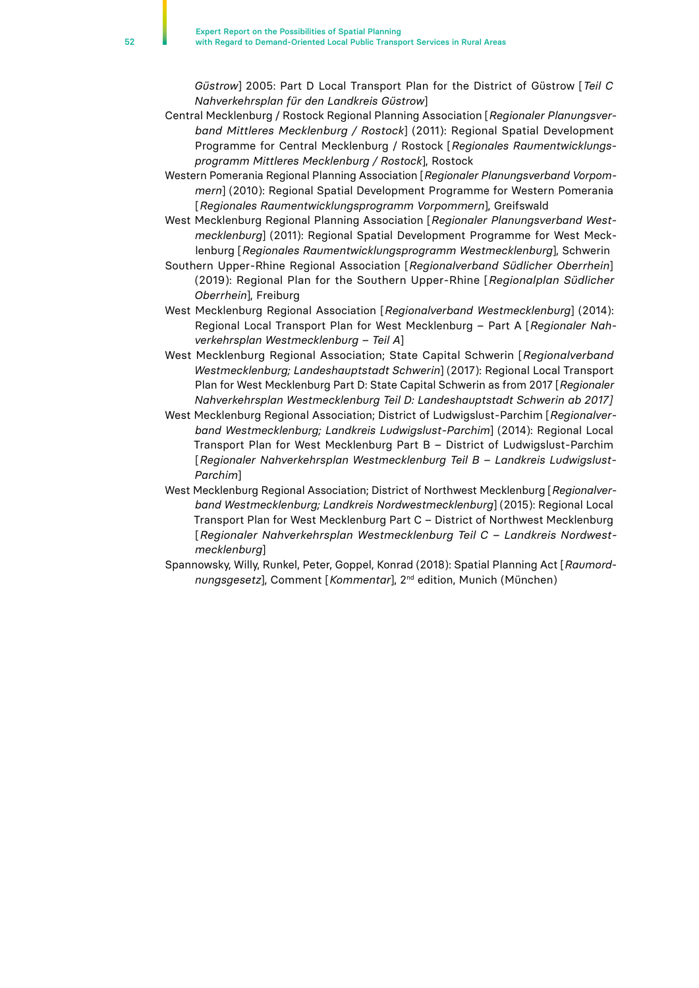*Güstrow*] 2005: Part D Local Transport Plan for the District of Güstrow [*Teil C Nahverkehrsplan für den Landkreis Güstrow*]

- Central Mecklenburg / Rostock Regional Planning Association [*Regionaler Planungsverband Mittleres Mecklenburg / Rostock*] (2011): Regional Spatial Development Programme for Central Mecklenburg / Rostock [*Regionales Raumentwicklungsprogramm Mittleres Mecklenburg / Rostock*], Rostock
- Western Pomerania Regional Planning Association [*Regionaler Planungsverband Vorpommern*] (2010): Regional Spatial Development Programme for Western Pomerania [*Regionales Raumentwicklungsprogramm Vorpommern*], Greifswald
- West Mecklenburg Regional Planning Association [*Regionaler Planungsverband Westmecklenburg*] (2011): Regional Spatial Development Programme for West Mecklenburg [*Regionales Raumentwicklungsprogramm Westmecklenburg*], Schwerin
- Southern Upper-Rhine Regional Association [*Regionalverband Südlicher Oberrhein*] (2019): Regional Plan for the Southern Upper-Rhine [*Regionalplan Südlicher Oberrhein*], Freiburg
- West Mecklenburg Regional Association [*Regionalverband Westmecklenburg*] (2014): Regional Local Transport Plan for West Mecklenburg – Part A [*Regionaler Nahverkehrsplan Westmecklenburg – Teil A*]
- West Mecklenburg Regional Association; State Capital Schwerin [*Regionalverband Westmecklenburg; Landeshauptstadt Schwerin*] (2017): Regional Local Transport Plan for West Mecklenburg Part D: State Capital Schwerin as from 2017 [*Regionaler Nahverkehrsplan Westmecklenburg Teil D: Landeshauptstadt Schwerin ab 2017]*
- West Mecklenburg Regional Association; District of Ludwigslust-Parchim [*Regionalverband Westmecklenburg; Landkreis Ludwigslust-Parchim*] (2014): Regional Local Transport Plan for West Mecklenburg Part B – District of Ludwigslust-Parchim [*Regionaler Nahverkehrsplan Westmecklenburg Teil B – Landkreis Ludwigslust-Parchim*]
- West Mecklenburg Regional Association; District of Northwest Mecklenburg [*Regionalverband Westmecklenburg; Landkreis Nordwestmecklenburg*] (2015): Regional Local Transport Plan for West Mecklenburg Part C – District of Northwest Mecklenburg [*Regionaler Nahverkehrsplan Westmecklenburg Teil C – Landkreis Nordwestmecklenburg*]
- Spannowsky, Willy, Runkel, Peter, Goppel, Konrad (2018): Spatial Planning Act [*Raumordnungsgesetz*], Comment [*Kommentar*], 2nd edition, Munich (München)